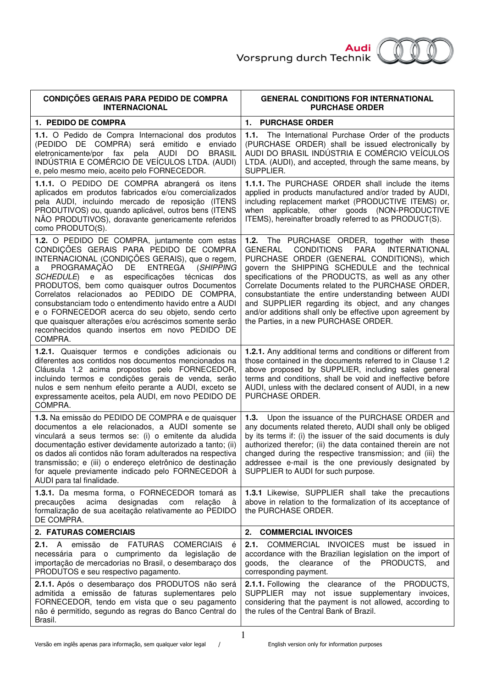

| <b>CONDIÇÕES GERAIS PARA PEDIDO DE COMPRA</b><br><b>INTERNACIONAL</b>                                                                                                                                                                                                                                                                                                                                                                                                                                                                                                                                    | <b>GENERAL CONDITIONS FOR INTERNATIONAL</b><br><b>PURCHASE ORDER</b>                                                                                                                                                                                                                                                                                                                                                                                                                                                                                       |
|----------------------------------------------------------------------------------------------------------------------------------------------------------------------------------------------------------------------------------------------------------------------------------------------------------------------------------------------------------------------------------------------------------------------------------------------------------------------------------------------------------------------------------------------------------------------------------------------------------|------------------------------------------------------------------------------------------------------------------------------------------------------------------------------------------------------------------------------------------------------------------------------------------------------------------------------------------------------------------------------------------------------------------------------------------------------------------------------------------------------------------------------------------------------------|
| 1. PEDIDO DE COMPRA                                                                                                                                                                                                                                                                                                                                                                                                                                                                                                                                                                                      | 1. PURCHASE ORDER                                                                                                                                                                                                                                                                                                                                                                                                                                                                                                                                          |
| 1.1. O Pedido de Compra Internacional dos produtos<br>(PEDIDO DE COMPRA) será emitido e<br>enviado<br>eletronicamente/por fax pela AUDI DO<br><b>BRASIL</b><br>INDÚSTRIA E COMÉRCIO DE VEÍCULOS LTDA. (AUDI)<br>e, pelo mesmo meio, aceito pelo FORNECEDOR.                                                                                                                                                                                                                                                                                                                                              | 1.1. The International Purchase Order of the products<br>(PURCHASE ORDER) shall be issued electronically by<br>AUDI DO BRASIL INDÚSTRIA E COMÉRCIO VEÍCULOS<br>LTDA. (AUDI), and accepted, through the same means, by<br>SUPPLIER.                                                                                                                                                                                                                                                                                                                         |
| 1.1.1. O PEDIDO DE COMPRA abrangerá os itens<br>aplicados em produtos fabricados e/ou comercializados<br>pela AUDI, incluindo mercado de reposição (ITENS<br>PRODUTIVOS) ou, quando aplicável, outros bens (ITENS<br>NÃO PRODUTIVOS), doravante genericamente referidos<br>como PRODUTO(S).                                                                                                                                                                                                                                                                                                              | 1.1.1. The PURCHASE ORDER shall include the items<br>applied in products manufactured and/or traded by AUDI,<br>including replacement market (PRODUCTIVE ITEMS) or,<br>applicable, other goods (NON-PRODUCTIVE<br>when<br>ITEMS), hereinafter broadly referred to as PRODUCT(S).                                                                                                                                                                                                                                                                           |
| 1.2. O PEDIDO DE COMPRA, juntamente com estas<br>CONDIÇÕES GERAIS PARA PEDIDO DE COMPRA<br>INTERNACIONAL (CONDIÇÕES GERAIS), que o regem,<br>PROGRAMAÇÃO<br>DE<br><b>ENTREGA</b><br>(SHIPPING<br>a<br>especificações técnicas<br><i>SCHEDULE</i> )<br>e as<br>dos<br>PRODUTOS, bem como quaisquer outros Documentos<br>Correlatos relacionados ao PEDIDO DE COMPRA,<br>consubstanciam todo o entendimento havido entre a AUDI<br>e o FORNECEDOR acerca do seu objeto, sendo certo<br>que quaisquer alterações e/ou acréscimos somente serão<br>reconhecidos quando insertos em novo PEDIDO DE<br>COMPRA. | 1.2.<br>The PURCHASE ORDER, together with these<br><b>PARA</b><br>GENERAL<br><b>CONDITIONS</b><br><b>INTERNATIONAL</b><br>PURCHASE ORDER (GENERAL CONDITIONS), which<br>govern the SHIPPING SCHEDULE and the technical<br>specifications of the PRODUCTS, as well as any other<br>Correlate Documents related to the PURCHASE ORDER,<br>consubstantiate the entire understanding between AUDI<br>and SUPPLIER regarding its object, and any changes<br>and/or additions shall only be effective upon agreement by<br>the Parties, in a new PURCHASE ORDER. |
| 1.2.1. Quaisquer termos e condições adicionais ou<br>diferentes aos contidos nos documentos mencionados na<br>Cláusula 1.2 acima propostos pelo FORNECEDOR,<br>incluindo termos e condições gerais de venda, serão<br>nulos e sem nenhum efeito perante a AUDI, exceto se<br>expressamente aceitos, pela AUDI, em novo PEDIDO DE<br>COMPRA.                                                                                                                                                                                                                                                              | 1.2.1. Any additional terms and conditions or different from<br>those contained in the documents referred to in Clause 1.2<br>above proposed by SUPPLIER, including sales general<br>terms and conditions, shall be void and ineffective before<br>AUDI, unless with the declared consent of AUDI, in a new<br>PURCHASE ORDER.                                                                                                                                                                                                                             |
| 1.3. Na emissão do PEDIDO DE COMPRA e de quaisquer<br>documentos a ele relacionados, a AUDI somente se<br>vinculará a seus termos se: (i) o emitente da aludida<br>documentação estiver devidamente autorizado a tanto; (ii)<br>os dados ali contidos não foram adulterados na respectiva<br>transmissão; e (iii) o endereço eletrônico de destinação<br>for aquele previamente indicado pelo FORNECEDOR à<br>AUDI para tal finalidade.                                                                                                                                                                  | Upon the issuance of the PURCHASE ORDER and<br>1.3.<br>any documents related thereto, AUDI shall only be obliged<br>by its terms if: (i) the issuer of the said documents is duly<br>authorized therefor; (ii) the data contained therein are not<br>changed during the respective transmission; and (iii) the<br>addressee e-mail is the one previously designated by<br>SUPPLIER to AUDI for such purpose.                                                                                                                                               |
| 1.3.1. Da mesma forma, o FORNECEDOR tomará as<br>acima<br>designadas<br>precauções<br>com<br>relação<br>à<br>formalização de sua aceitação relativamente ao PEDIDO<br>DE COMPRA.                                                                                                                                                                                                                                                                                                                                                                                                                         | 1.3.1 Likewise, SUPPLIER shall take the precautions<br>above in relation to the formalization of its acceptance of<br>the PURCHASE ORDER.                                                                                                                                                                                                                                                                                                                                                                                                                  |
| 2. FATURAS COMERCIAIS                                                                                                                                                                                                                                                                                                                                                                                                                                                                                                                                                                                    | 2.<br><b>COMMERCIAL INVOICES</b>                                                                                                                                                                                                                                                                                                                                                                                                                                                                                                                           |
| FATURAS<br><b>COMERCIAIS</b><br>2.1. A emissão<br>de<br>é<br>necessária para o cumprimento da legislação<br>de<br>importação de mercadorias no Brasil, o desembaraço dos<br>PRODUTOS e seu respectivo pagamento.                                                                                                                                                                                                                                                                                                                                                                                         | 2.1.<br>COMMERCIAL INVOICES must be issued in<br>accordance with the Brazilian legislation on the import of<br>of the PRODUCTS,<br>goods, the<br>clearance<br>and<br>corresponding payment.                                                                                                                                                                                                                                                                                                                                                                |
| 2.1.1. Após o desembaraço dos PRODUTOS não será<br>admitida a emissão de faturas suplementares pelo<br>FORNECEDOR, tendo em vista que o seu pagamento<br>não é permitido, segundo as regras do Banco Central do<br>Brasil.                                                                                                                                                                                                                                                                                                                                                                               | 2.1.1. Following the clearance of the PRODUCTS,<br>SUPPLIER may not issue supplementary invoices,<br>considering that the payment is not allowed, according to<br>the rules of the Central Bank of Brazil.                                                                                                                                                                                                                                                                                                                                                 |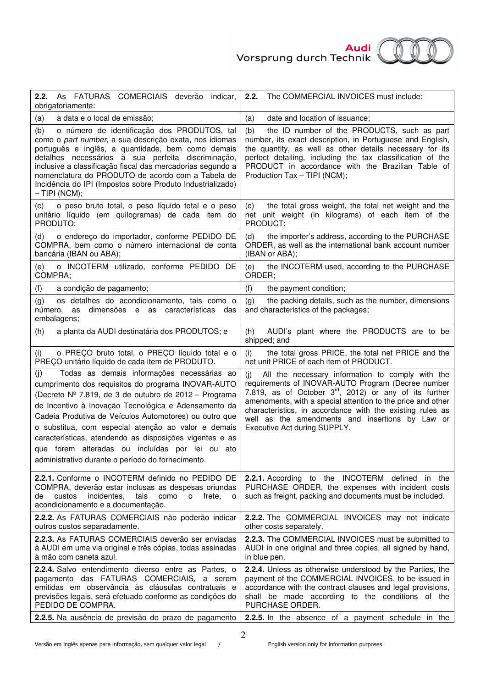

| COMERCIAIS deverão<br>2.2.<br>As FATURAS<br>indicar,<br>obrigatoriamente:                                                                                                                                                                                                                                                                                                                                                                                                                                    | The COMMERCIAL INVOICES must include:<br>2.2.                                                                                                                                                                                                                                                                                                                                                      |
|--------------------------------------------------------------------------------------------------------------------------------------------------------------------------------------------------------------------------------------------------------------------------------------------------------------------------------------------------------------------------------------------------------------------------------------------------------------------------------------------------------------|----------------------------------------------------------------------------------------------------------------------------------------------------------------------------------------------------------------------------------------------------------------------------------------------------------------------------------------------------------------------------------------------------|
| a data e o local de emissão;                                                                                                                                                                                                                                                                                                                                                                                                                                                                                 | (a)                                                                                                                                                                                                                                                                                                                                                                                                |
| (a)                                                                                                                                                                                                                                                                                                                                                                                                                                                                                                          | date and location of issuance;                                                                                                                                                                                                                                                                                                                                                                     |
| o número de identificação dos PRODUTOS, tal<br>(b)<br>como o part number, a sua descrição exata, nos idiomas<br>português e inglês, a quantidade, bem como demais<br>detalhes necessários à sua perfeita discriminação,<br>inclusive a classificação fiscal das mercadorias segundo a<br>nomenclatura do PRODUTO de acordo com a Tabela de<br>Incidência do IPI (Impostos sobre Produto Industrializado)<br>$-$ TIPI (NCM);                                                                                  | the ID number of the PRODUCTS, such as part<br>(b)<br>number, its exact description, in Portuguese and English,<br>the quantity, as well as other details necessary for its<br>perfect detailing, including the tax classification of the<br>PRODUCT in accordance with the Brazilian Table of<br>Production Tax - TIPI (NCM);                                                                     |
| o peso bruto total, o peso líquido total e o peso                                                                                                                                                                                                                                                                                                                                                                                                                                                            | the total gross weight, the total net weight and the                                                                                                                                                                                                                                                                                                                                               |
| (c)                                                                                                                                                                                                                                                                                                                                                                                                                                                                                                          | (c)                                                                                                                                                                                                                                                                                                                                                                                                |
| unitário líquido (em quilogramas) de cada item do                                                                                                                                                                                                                                                                                                                                                                                                                                                            | net unit weight (in kilograms) of each item of the                                                                                                                                                                                                                                                                                                                                                 |
| PRODUTO;                                                                                                                                                                                                                                                                                                                                                                                                                                                                                                     | PRODUCT;                                                                                                                                                                                                                                                                                                                                                                                           |
| o endereço do importador, conforme PEDIDO DE                                                                                                                                                                                                                                                                                                                                                                                                                                                                 | the importer's address, according to the PURCHASE                                                                                                                                                                                                                                                                                                                                                  |
| (d)                                                                                                                                                                                                                                                                                                                                                                                                                                                                                                          | (d)                                                                                                                                                                                                                                                                                                                                                                                                |
| COMPRA, bem como o número internacional de conta                                                                                                                                                                                                                                                                                                                                                                                                                                                             | ORDER, as well as the international bank account number                                                                                                                                                                                                                                                                                                                                            |
| bancária (IBAN ou ABA);                                                                                                                                                                                                                                                                                                                                                                                                                                                                                      | (IBAN or ABA);                                                                                                                                                                                                                                                                                                                                                                                     |
| o INCOTERM utilizado, conforme PEDIDO DE                                                                                                                                                                                                                                                                                                                                                                                                                                                                     | the INCOTERM used, according to the PURCHASE                                                                                                                                                                                                                                                                                                                                                       |
| (e)                                                                                                                                                                                                                                                                                                                                                                                                                                                                                                          | (e)                                                                                                                                                                                                                                                                                                                                                                                                |
| COMPRA;                                                                                                                                                                                                                                                                                                                                                                                                                                                                                                      | ORDER;                                                                                                                                                                                                                                                                                                                                                                                             |
| (f)                                                                                                                                                                                                                                                                                                                                                                                                                                                                                                          | (f)                                                                                                                                                                                                                                                                                                                                                                                                |
| a condição de pagamento;                                                                                                                                                                                                                                                                                                                                                                                                                                                                                     | the payment condition;                                                                                                                                                                                                                                                                                                                                                                             |
| os detalhes do acondicionamento, tais como o<br>(g)<br>dimensões e as características das<br>número, as<br>embalagens;                                                                                                                                                                                                                                                                                                                                                                                       | (g)<br>the packing details, such as the number, dimensions<br>and characteristics of the packages;                                                                                                                                                                                                                                                                                                 |
| a planta da AUDI destinatária dos PRODUTOS; e<br>(h)                                                                                                                                                                                                                                                                                                                                                                                                                                                         | AUDI's plant where the PRODUCTS are to be<br>(h)<br>shipped; and                                                                                                                                                                                                                                                                                                                                   |
| o PREÇO bruto total, o PREÇO líquido total e o                                                                                                                                                                                                                                                                                                                                                                                                                                                               | the total gross PRICE, the total net PRICE and the                                                                                                                                                                                                                                                                                                                                                 |
| (i)                                                                                                                                                                                                                                                                                                                                                                                                                                                                                                          | (i)                                                                                                                                                                                                                                                                                                                                                                                                |
| PREÇO unitário líquido de cada item de PRODUTO.                                                                                                                                                                                                                                                                                                                                                                                                                                                              | net unit PRICE of each item of PRODUCT.                                                                                                                                                                                                                                                                                                                                                            |
| Todas as demais informações necessárias ao<br>(j)<br>cumprimento dos requisitos do programa INOVAR-AUTO<br>(Decreto Nº 7.819, de 3 de outubro de 2012 – Programa<br>de Incentivo à Inovação Tecnológica e Adensamento da<br>Cadeia Produtiva de Veículos Automotores) ou outro que<br>o substitua, com especial atenção ao valor e demais<br>características, atendendo as disposições vigentes e as<br>que forem alteradas ou incluídas por lei ou ato<br>administrativo durante o período do fornecimento. | All the necessary information to comply with the<br>(i)<br>requirements of INOVAR-AUTO Program (Decree number<br>7.819, as of October $3^{\text{rd}}$ , 2012) or any of its further<br>amendments, with a special attention to the price and other<br>characteristics, in accordance with the existing rules as<br>well as the amendments and insertions by Law or<br>Executive Act during SUPPLY. |
| 2.2.1. Conforme o INCOTERM definido no PEDIDO DE<br>COMPRA, deverão estar inclusas as despesas oriundas<br>custos<br>incidentes,<br>tais<br>como<br>$\mathsf{O}$<br>frete,<br>de<br>o<br>acondicionamento e a documentação.                                                                                                                                                                                                                                                                                  | 2.2.1. According to the INCOTERM defined in the<br>PURCHASE ORDER, the expenses with incident costs<br>such as freight, packing and documents must be included.                                                                                                                                                                                                                                    |
| 2.2.2. As FATURAS COMERCIAIS não poderão indicar                                                                                                                                                                                                                                                                                                                                                                                                                                                             | 2.2.2. The COMMERCIAL INVOICES may not indicate                                                                                                                                                                                                                                                                                                                                                    |
| outros custos separadamente.                                                                                                                                                                                                                                                                                                                                                                                                                                                                                 | other costs separately.                                                                                                                                                                                                                                                                                                                                                                            |
| 2.2.3. As FATURAS COMERCIAIS deverão ser enviadas                                                                                                                                                                                                                                                                                                                                                                                                                                                            | 2.2.3. The COMMERCIAL INVOICES must be submitted to                                                                                                                                                                                                                                                                                                                                                |
| à AUDI em uma via original e três cópias, todas assinadas                                                                                                                                                                                                                                                                                                                                                                                                                                                    | AUDI in one original and three copies, all signed by hand,                                                                                                                                                                                                                                                                                                                                         |
| à mão com caneta azul.                                                                                                                                                                                                                                                                                                                                                                                                                                                                                       | in blue pen.                                                                                                                                                                                                                                                                                                                                                                                       |
| <b>2.2.4.</b> Salvo entendimento diverso entre as Partes, o                                                                                                                                                                                                                                                                                                                                                                                                                                                  | 2.2.4. Unless as otherwise understood by the Parties, the                                                                                                                                                                                                                                                                                                                                          |
| pagamento das FATURAS COMERCIAIS, a serem                                                                                                                                                                                                                                                                                                                                                                                                                                                                    | payment of the COMMERCIAL INVOICES, to be issued in                                                                                                                                                                                                                                                                                                                                                |
| emitidas em observância às cláusulas contratuais e                                                                                                                                                                                                                                                                                                                                                                                                                                                           | accordance with the contract clauses and legal provisions,                                                                                                                                                                                                                                                                                                                                         |
| previsões legais, será efetuado conforme as condições do                                                                                                                                                                                                                                                                                                                                                                                                                                                     | shall be made according to the conditions of the                                                                                                                                                                                                                                                                                                                                                   |
| PEDIDO DE COMPRA.                                                                                                                                                                                                                                                                                                                                                                                                                                                                                            | PURCHASE ORDER.                                                                                                                                                                                                                                                                                                                                                                                    |
| 2.2.5. Na ausência de previsão do prazo de pagamento                                                                                                                                                                                                                                                                                                                                                                                                                                                         | 2.2.5. In the absence of a payment schedule in the                                                                                                                                                                                                                                                                                                                                                 |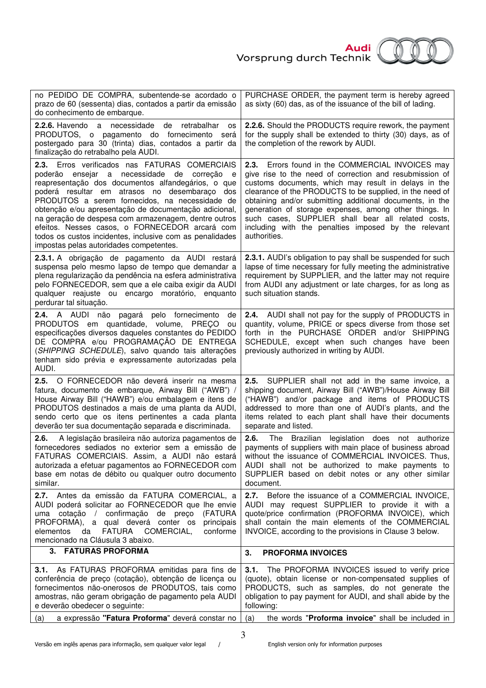

| no PEDIDO DE COMPRA, subentende-se acordado o<br>prazo de 60 (sessenta) dias, contados a partir da emissão<br>do conhecimento de embarque.                                                                                                                                                                                                                                                                                                                                                                                         | PURCHASE ORDER, the payment term is hereby agreed<br>as sixty (60) das, as of the issuance of the bill of lading.                                                                                                                                                                                                                                                                                                                                                                      |
|------------------------------------------------------------------------------------------------------------------------------------------------------------------------------------------------------------------------------------------------------------------------------------------------------------------------------------------------------------------------------------------------------------------------------------------------------------------------------------------------------------------------------------|----------------------------------------------------------------------------------------------------------------------------------------------------------------------------------------------------------------------------------------------------------------------------------------------------------------------------------------------------------------------------------------------------------------------------------------------------------------------------------------|
| 2.2.6. Havendo a necessidade de<br>retrabalhar<br>os<br>PRODUTOS, o pagamento do fornecimento será<br>postergado para 30 (trinta) dias, contados a partir da<br>finalização do retrabalho pela AUDI.                                                                                                                                                                                                                                                                                                                               | 2.2.6. Should the PRODUCTS require rework, the payment<br>for the supply shall be extended to thirty (30) days, as of<br>the completion of the rework by AUDI.                                                                                                                                                                                                                                                                                                                         |
| Erros verificados nas FATURAS COMERCIAIS<br>2.3.<br>poderão ensejar a necessidade de correção e<br>reapresentação dos documentos alfandegários, o que<br>poderá resultar em atrasos no desembaraço dos<br>PRODUTOS a serem fornecidos, na necessidade de<br>obtenção e/ou apresentação de documentação adicional,<br>na geração de despesa com armazenagem, dentre outros<br>efeitos. Nesses casos, o FORNECEDOR arcará com<br>todos os custos incidentes, inclusive com as penalidades<br>impostas pelas autoridades competentes. | Errors found in the COMMERCIAL INVOICES may<br>2.3.<br>give rise to the need of correction and resubmission of<br>customs documents, which may result in delays in the<br>clearance of the PRODUCTS to be supplied, in the need of<br>obtaining and/or submitting additional documents, in the<br>generation of storage expenses, among other things. In<br>such cases, SUPPLIER shall bear all related costs,<br>including with the penalties imposed by the relevant<br>authorities. |
| 2.3.1. A obrigação de pagamento da AUDI restará<br>suspensa pelo mesmo lapso de tempo que demandar a<br>plena regularização da pendência na esfera administrativa<br>pelo FORNECEDOR, sem que a ele caiba exigir da AUDI<br>qualquer reajuste ou encargo moratório, enquanto<br>perdurar tal situação.                                                                                                                                                                                                                             | 2.3.1. AUDI's obligation to pay shall be suspended for such<br>lapse of time necessary for fully meeting the administrative<br>requirement by SUPPLIER, and the latter may not require<br>from AUDI any adjustment or late charges, for as long as<br>such situation stands.                                                                                                                                                                                                           |
| 2.4. A AUDI não pagará pelo fornecimento<br>de<br>PRODUTOS em quantidade, volume, PRECO<br>ou<br>especificações diversos daqueles constantes do PEDIDO<br>DE COMPRA e/ou PROGRAMAÇÃO DE ENTREGA<br>(SHIPPING SCHEDULE), salvo quando tais alterações<br>tenham sido prévia e expressamente autorizadas pela<br>AUDI.                                                                                                                                                                                                               | 2.4. AUDI shall not pay for the supply of PRODUCTS in<br>quantity, volume, PRICE or specs diverse from those set<br>forth in the PURCHASE ORDER and/or SHIPPING<br>SCHEDULE, except when such changes have been<br>previously authorized in writing by AUDI.                                                                                                                                                                                                                           |
| 2.5. O FORNECEDOR não deverá inserir na mesma<br>fatura, documento de embarque, Airway Bill ("AWB") /<br>House Airway Bill ("HAWB") e/ou embalagem e itens de<br>PRODUTOS destinados a mais de uma planta da AUDI,<br>sendo certo que os itens pertinentes a cada planta<br>deverão ter sua documentação separada e discriminada.                                                                                                                                                                                                  | SUPPLIER shall not add in the same invoice, a<br>2.5.<br>shipping document, Airway Bill ("AWB")/House Airway Bill<br>("HAWB") and/or package and items of PRODUCTS<br>addressed to more than one of AUDI's plants, and the<br>items related to each plant shall have their documents<br>separate and listed.                                                                                                                                                                           |
| A legislação brasileira não autoriza pagamentos de<br>2.6.<br>fornecedores sediados no exterior sem a emissão de<br>FATURAS COMERCIAIS. Assim, a AUDI não estará<br>autorizada a efetuar pagamentos ao FORNECEDOR com<br>base em notas de débito ou qualquer outro documento<br>similar.                                                                                                                                                                                                                                           | 2.6.<br>The Brazilian<br>legislation does not authorize<br>payments of suppliers with main place of business abroad<br>without the issuance of COMMERCIAL INVOICES. Thus,<br>AUDI shall not be authorized to make payments to<br>SUPPLIER based on debit notes or any other similar<br>document.                                                                                                                                                                                       |
| 2.7. Antes da emissão da FATURA COMERCIAL, a<br>AUDI poderá solicitar ao FORNECEDOR que lhe envie<br>uma cotação / confirmação de preço<br>(FATURA<br>PROFORMA), a qual deverá conter os<br>principais<br><b>FATURA</b><br>da<br>COMERCIAL,<br>conforme<br>elementos<br>mencionado na Cláusula 3 abaixo.                                                                                                                                                                                                                           | 2.7.<br>Before the issuance of a COMMERCIAL INVOICE,<br>AUDI may request SUPPLIER to provide it with a<br>quote/price confirmation (PROFORMA INVOICE), which<br>shall contain the main elements of the COMMERCIAL<br>INVOICE, according to the provisions in Clause 3 below.                                                                                                                                                                                                           |
| 3. FATURAS PROFORMA                                                                                                                                                                                                                                                                                                                                                                                                                                                                                                                | 3.<br><b>PROFORMA INVOICES</b>                                                                                                                                                                                                                                                                                                                                                                                                                                                         |
| 3.1. As FATURAS PROFORMA emitidas para fins de<br>conferência de preço (cotação), obtenção de licença ou<br>fornecimentos não-onerosos de PRODUTOS, tais como<br>amostras, não geram obrigação de pagamento pela AUDI<br>e deverão obedecer o seguinte:                                                                                                                                                                                                                                                                            | 3.1. The PROFORMA INVOICES issued to verify price<br>(quote), obtain license or non-compensated supplies of<br>PRODUCTS, such as samples, do not generate the<br>obligation to pay payment for AUDI, and shall abide by the<br>following:                                                                                                                                                                                                                                              |
| a expressão "Fatura Proforma" deverá constar no<br>(a)                                                                                                                                                                                                                                                                                                                                                                                                                                                                             | the words "Proforma invoice" shall be included in $ $<br>(a)                                                                                                                                                                                                                                                                                                                                                                                                                           |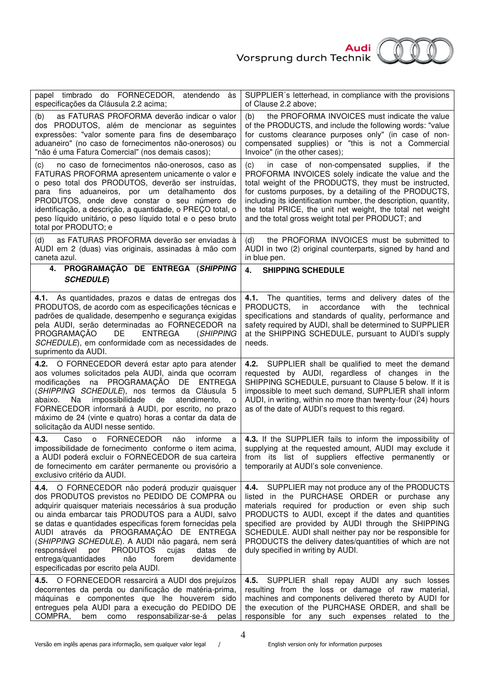

| papel timbrado do FORNECEDOR, atendendo<br>às<br>especificações da Cláusula 2.2 acima;                                                                                                                                                                                                                                                                                                                                                                                                                                                     | SUPPLIER's letterhead, in compliance with the provisions<br>of Clause 2.2 above;                                                                                                                                                                                                                                                                                                                                                       |
|--------------------------------------------------------------------------------------------------------------------------------------------------------------------------------------------------------------------------------------------------------------------------------------------------------------------------------------------------------------------------------------------------------------------------------------------------------------------------------------------------------------------------------------------|----------------------------------------------------------------------------------------------------------------------------------------------------------------------------------------------------------------------------------------------------------------------------------------------------------------------------------------------------------------------------------------------------------------------------------------|
| as FATURAS PROFORMA deverão indicar o valor<br>(b)<br>dos PRODUTOS, além de mencionar as seguintes<br>expressões: "valor somente para fins de desembaraço<br>aduaneiro" (no caso de fornecimentos não-onerosos) ou<br>"não é uma Fatura Comercial" (nos demais casos);                                                                                                                                                                                                                                                                     | (b)<br>the PROFORMA INVOICES must indicate the value<br>of the PRODUCTS, and include the following words: "value<br>for customs clearance purposes only" (in case of non-<br>compensated supplies) or "this is not a Commercial<br>Invoice" (in the other cases);                                                                                                                                                                      |
| no caso de fornecimentos não-onerosos, caso as<br>(C)<br>FATURAS PROFORMA apresentem unicamente o valor e<br>o peso total dos PRODUTOS, deverão ser instruídas,<br>para fins aduaneiros, por um detalhamento<br>dos<br>PRODUTOS, onde deve constar o seu número de<br>identificação, a descrição, a quantidade, o PREÇO total, o<br>peso líquido unitário, o peso líquido total e o peso bruto<br>total por PRODUTO; e                                                                                                                     | in case of non-compensated supplies, if the<br>(c)<br>PROFORMA INVOICES solely indicate the value and the<br>total weight of the PRODUCTS, they must be instructed,<br>for customs purposes, by a detailing of the PRODUCTS,<br>including its identification number, the description, quantity,<br>the total PRICE, the unit net weight, the total net weight<br>and the total gross weight total per PRODUCT; and                     |
| as FATURAS PROFORMA deverão ser enviadas à<br>(d)<br>AUDI em 2 (duas) vias originais, assinadas à mão com<br>caneta azul.                                                                                                                                                                                                                                                                                                                                                                                                                  | the PROFORMA INVOICES must be submitted to<br>(d)<br>AUDI in two (2) original counterparts, signed by hand and<br>in blue pen.                                                                                                                                                                                                                                                                                                         |
| 4. PROGRAMAÇÃO DE ENTREGA (SHIPPING<br><b>SCHEDULE</b> )                                                                                                                                                                                                                                                                                                                                                                                                                                                                                   | 4.<br><b>SHIPPING SCHEDULE</b>                                                                                                                                                                                                                                                                                                                                                                                                         |
| 4.1. As quantidades, prazos e datas de entregas dos<br>PRODUTOS, de acordo com as especificações técnicas e<br>padrões de qualidade, desempenho e segurança exigidas<br>pela AUDI, serão determinadas ao FORNECEDOR na<br>PROGRAMAÇÃO<br><b>ENTREGA</b><br>DE<br>(SHIPPING<br>SCHEDULE), em conformidade com as necessidades de<br>suprimento da AUDI.                                                                                                                                                                                     | 4.1. The quantities, terms and delivery dates of the<br>PRODUCTS,<br>with<br>in<br>accordance<br>the<br>technical<br>specifications and standards of quality, performance and<br>safety required by AUDI, shall be determined to SUPPLIER<br>at the SHIPPING SCHEDULE, pursuant to AUDI's supply<br>needs.                                                                                                                             |
| O FORNECEDOR deverá estar apto para atender<br>4.2.<br>aos volumes solicitados pela AUDI, ainda que ocorram<br>modificações na PROGRAMAÇÃO DE ENTREGA<br>(SHIPPING SCHEDULE), nos termos da Cláusula 5<br>Na<br>impossibilidade<br>de<br>atendimento,<br>abaixo.<br>$\circ$<br>FORNECEDOR informará à AUDI, por escrito, no prazo<br>máximo de 24 (vinte e quatro) horas a contar da data de<br>solicitação da AUDI nesse sentido.                                                                                                         | SUPPLIER shall be qualified to meet the demand<br>4.2.<br>requested by AUDI, regardless of changes in the<br>SHIPPING SCHEDULE, pursuant to Clause 5 below. If it is<br>impossible to meet such demand, SUPPLIER shall inform<br>AUDI, in writing, within no more than twenty-four (24) hours<br>as of the date of AUDI's request to this regard.                                                                                      |
| <b>FORNECEDOR</b><br>4.3.<br>Caso<br>não<br>informe<br>$\Omega$<br>a<br>impossibilidade de fornecimento conforme o item acima,<br>a AUDI poderá excluir o FORNECEDOR de sua carteira<br>de fornecimento em caráter permanente ou provisório a<br>exclusivo critério da AUDI.                                                                                                                                                                                                                                                               | 4.3. If the SUPPLIER fails to inform the impossibility of<br>supplying at the requested amount, AUDI may exclude it<br>from its list of suppliers effective<br>permanently or<br>temporarily at AUDI's sole convenience.                                                                                                                                                                                                               |
| 4.4. O FORNECEDOR não poderá produzir quaisquer<br>dos PRODUTOS previstos no PEDIDO DE COMPRA ou<br>adquirir quaisquer materiais necessários à sua produção<br>ou ainda embarcar tais PRODUTOS para a AUDI, salvo<br>se datas e quantidades especificas forem fornecidas pela<br>AUDI através da PROGRAMAÇÃO DE ENTREGA<br>(SHIPPING SCHEDULE). A AUDI não pagará, nem será<br><b>PRODUTOS</b><br>cujas<br>datas<br>responsável<br>por<br>de<br>entrega/quantidades<br>não<br>devidamente<br>forem<br>especificadas por escrito pela AUDI. | SUPPLIER may not produce any of the PRODUCTS<br>4.4.<br>listed in the PURCHASE ORDER or purchase any<br>materials required for production or even ship such<br>PRODUCTS to AUDI, except if the dates and quantities<br>specified are provided by AUDI through the SHIPPING<br>SCHEDULE. AUDI shall neither pay nor be responsible for<br>PRODUCTS the delivery dates/quantities of which are not<br>duly specified in writing by AUDI. |
| 4.5. O FORNECEDOR ressarcirá a AUDI dos prejuízos<br>decorrentes da perda ou danificação de matéria-prima,<br>máquinas e componentes que lhe houverem sido<br>entregues pela AUDI para a execução do PEDIDO DE<br>COMPRA,<br>responsabilizar-se-á<br>bem<br>como<br>pelas                                                                                                                                                                                                                                                                  | SUPPLIER shall repay AUDI any such losses<br>4.5.<br>resulting from the loss or damage of raw material,<br>machines and components delivered thereto by AUDI for<br>the execution of the PURCHASE ORDER, and shall be<br>responsible for any such expenses related to the                                                                                                                                                              |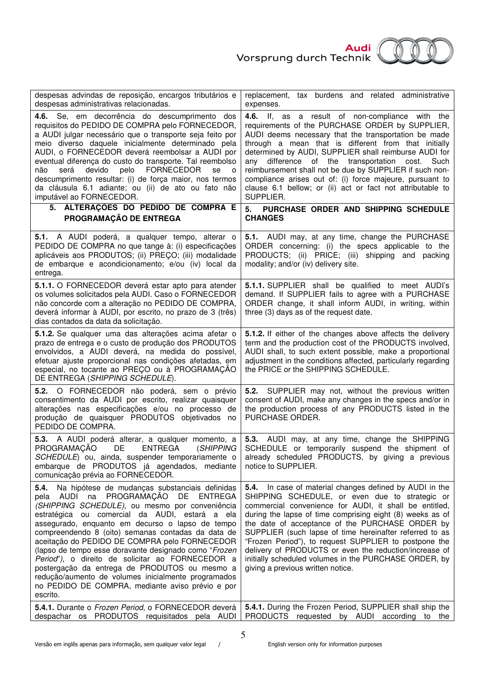

| despesas advindas de reposição, encargos tributários e<br>despesas administrativas relacionadas.                                                                                                                                                                                                                                                                                                                                                                                                                                                                                                                                                                   | replacement, tax burdens and related administrative<br>expenses.                                                                                                                                                                                                                                                                                                                                                                                                                                                                                                                                                               |
|--------------------------------------------------------------------------------------------------------------------------------------------------------------------------------------------------------------------------------------------------------------------------------------------------------------------------------------------------------------------------------------------------------------------------------------------------------------------------------------------------------------------------------------------------------------------------------------------------------------------------------------------------------------------|--------------------------------------------------------------------------------------------------------------------------------------------------------------------------------------------------------------------------------------------------------------------------------------------------------------------------------------------------------------------------------------------------------------------------------------------------------------------------------------------------------------------------------------------------------------------------------------------------------------------------------|
| 4.6. Se, em decorrência do descumprimento dos<br>requisitos do PEDIDO DE COMPRA pelo FORNECEDOR,<br>a AUDI julgar necessário que o transporte seja feito por<br>meio diverso daquele inicialmente determinado pela<br>AUDI, o FORNECEDOR deverá reembolsar a AUDI por<br>eventual diferença do custo do transporte. Tal reembolso<br>devido<br>pelo<br>FORNECEDOR<br>será<br>não<br>se<br>$\circ$<br>descumprimento resultar: (i) de força maior, nos termos<br>da cláusula 6.1 adiante; ou (ii) de ato ou fato não<br>imputável ao FORNECEDOR.                                                                                                                    | 4.6. If, as a result of non-compliance with the<br>requirements of the PURCHASE ORDER by SUPPLIER,<br>AUDI deems necessary that the transportation be made<br>through a mean that is different from that initially<br>determined by AUDI, SUPPLIER shall reimburse AUDI for<br>any difference of the transportation cost. Such<br>reimbursement shall not be due by SUPPLIER if such non-<br>compliance arises out of: (i) force majeure, pursuant to<br>clause 6.1 bellow; or (ii) act or fact not attributable to<br>SUPPLIER.                                                                                               |
| ALTERAÇÕES DO PEDIDO DE COMPRA E<br>5.<br>PROGRAMAÇÃO DE ENTREGA                                                                                                                                                                                                                                                                                                                                                                                                                                                                                                                                                                                                   | PURCHASE ORDER AND SHIPPING SCHEDULE<br>5.<br><b>CHANGES</b>                                                                                                                                                                                                                                                                                                                                                                                                                                                                                                                                                                   |
| 5.1. A AUDI poderá, a qualquer tempo, alterar o<br>PEDIDO DE COMPRA no que tange à: (i) especificações<br>aplicáveis aos PRODUTOS; (ii) PREÇO; (iii) modalidade<br>de embarque e acondicionamento; e/ou (iv) local da<br>entrega.                                                                                                                                                                                                                                                                                                                                                                                                                                  | 5.1. AUDI may, at any time, change the PURCHASE<br>ORDER concerning: (i) the specs applicable to the<br>PRODUCTS; (ii) PRICE; (iii) shipping and packing<br>modality; and/or (iv) delivery site.                                                                                                                                                                                                                                                                                                                                                                                                                               |
| 5.1.1. O FORNECEDOR deverá estar apto para atender<br>os volumes solicitados pela AUDI. Caso o FORNECEDOR<br>não concorde com a alteração no PEDIDO DE COMPRA,<br>deverá informar à AUDI, por escrito, no prazo de 3 (três)<br>dias contados da data da solicitação.                                                                                                                                                                                                                                                                                                                                                                                               | 5.1.1. SUPPLIER shall be qualified to meet AUDI's<br>demand. If SUPPLIER fails to agree with a PURCHASE<br>ORDER change, it shall inform AUDI, in writing, within<br>three (3) days as of the request date.                                                                                                                                                                                                                                                                                                                                                                                                                    |
| 5.1.2. Se qualquer uma das alterações acima afetar o<br>prazo de entrega e o custo de produção dos PRODUTOS<br>envolvidos, a AUDI deverá, na medida do possível,<br>efetuar ajuste proporcional nas condições afetadas, em<br>especial, no tocante ao PREÇO ou à PROGRAMAÇÃO<br>DE ENTREGA (SHIPPING SCHEDULE).                                                                                                                                                                                                                                                                                                                                                    | 5.1.2. If either of the changes above affects the delivery<br>term and the production cost of the PRODUCTS involved,<br>AUDI shall, to such extent possible, make a proportional<br>adjustment in the conditions affected, particularly regarding<br>the PRICE or the SHIPPING SCHEDULE.                                                                                                                                                                                                                                                                                                                                       |
| 5.2. O FORNECEDOR não poderá, sem o prévio<br>consentimento da AUDI por escrito, realizar quaisquer<br>alterações nas especificações e/ou no processo de<br>produção de quaisquer PRODUTOS objetivados no<br>PEDIDO DE COMPRA.                                                                                                                                                                                                                                                                                                                                                                                                                                     | 5.2. SUPPLIER may not, without the previous written<br>consent of AUDI, make any changes in the specs and/or in<br>the production process of any PRODUCTS listed in the<br>PURCHASE ORDER.                                                                                                                                                                                                                                                                                                                                                                                                                                     |
| 5.3. A AUDI poderá alterar, a qualquer momento, a<br>PROGRAMAÇÃO<br>DE <b>DE</b><br><b>ENTREGA</b><br>(SHIPPING<br>SCHEDULE) ou, ainda, suspender temporariamente o<br>embarque de PRODUTOS já agendados, mediante<br>comunicação prévia ao FORNECEDOR.                                                                                                                                                                                                                                                                                                                                                                                                            | 5.3. AUDI may, at any time, change the SHIPPING<br>SCHEDULE or temporarily suspend the shipment of<br>already scheduled PRODUCTS, by giving a previous<br>notice to SUPPLIER.                                                                                                                                                                                                                                                                                                                                                                                                                                                  |
| 5.4.<br>Na hipótese de mudanças substanciais definidas<br>AUDI na PROGRAMAÇÃO<br>DE.<br><b>ENTREGA</b><br>pela<br>(SHIPPING SCHEDULE), ou mesmo por conveniência<br>estratégica ou comercial da AUDI, estará a ela<br>assegurado, enquanto em decurso o lapso de tempo<br>compreendendo 8 (oito) semanas contadas da data de<br>aceitação do PEDIDO DE COMPRA pelo FORNECEDOR<br>(lapso de tempo esse doravante designado como "Frozen<br>Period"), o direito de solicitar ao FORNECEDOR a<br>postergação da entrega de PRODUTOS ou mesmo a<br>redução/aumento de volumes inicialmente programados<br>no PEDIDO DE COMPRA, mediante aviso prévio e por<br>escrito. | In case of material changes defined by AUDI in the<br>5.4.<br>SHIPPING SCHEDULE, or even due to strategic or<br>commercial convenience for AUDI, it shall be entitled,<br>during the lapse of time comprising eight (8) weeks as of<br>the date of acceptance of the PURCHASE ORDER by<br>SUPPLIER (such lapse of time hereinafter referred to as<br>"Frozen Period"), to request SUPPLIER to postpone the<br>delivery of PRODUCTS or even the reduction/increase of<br>initially scheduled volumes in the PURCHASE ORDER, by<br>giving a previous written notice.<br>5.4.1. During the Frozen Period, SUPPLIER shall ship the |
| 5.4.1. Durante o Frozen Period, o FORNECEDOR deverá<br>despachar os PRODUTOS requisitados pela AUDI                                                                                                                                                                                                                                                                                                                                                                                                                                                                                                                                                                | PRODUCTS requested by AUDI according to the                                                                                                                                                                                                                                                                                                                                                                                                                                                                                                                                                                                    |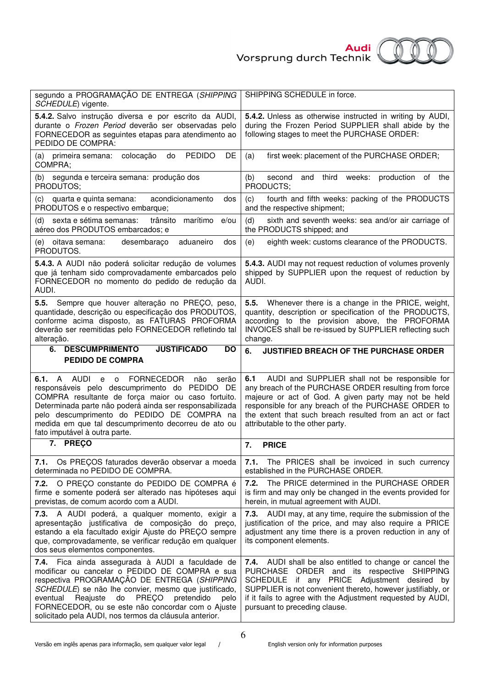

| segundo a PROGRAMAÇÃO DE ENTREGA (SHIPPING<br>SCHEDULE) vigente.                                                                                                                                                                                                                                                                                                                       | SHIPPING SCHEDULE in force.                                                                                                                                                                                                                                                                                                   |
|----------------------------------------------------------------------------------------------------------------------------------------------------------------------------------------------------------------------------------------------------------------------------------------------------------------------------------------------------------------------------------------|-------------------------------------------------------------------------------------------------------------------------------------------------------------------------------------------------------------------------------------------------------------------------------------------------------------------------------|
| 5.4.2. Salvo instrução diversa e por escrito da AUDI,<br>durante o Frozen Period deverão ser observadas pelo<br>FORNECEDOR as seguintes etapas para atendimento ao<br>PEDIDO DE COMPRA:                                                                                                                                                                                                | 5.4.2. Unless as otherwise instructed in writing by AUDI,<br>during the Frozen Period SUPPLIER shall abide by the<br>following stages to meet the PURCHASE ORDER:                                                                                                                                                             |
| <b>PEDIDO</b><br>colocação<br>DE<br>(a) primeira semana:<br>do<br>COMPRA;                                                                                                                                                                                                                                                                                                              | (a)<br>first week: placement of the PURCHASE ORDER;                                                                                                                                                                                                                                                                           |
| segunda e terceira semana: produção dos<br>(b)<br>PRODUTOS;                                                                                                                                                                                                                                                                                                                            | weeks:<br>production<br>(b)<br>second<br>and<br>third<br>of the<br>PRODUCTS;                                                                                                                                                                                                                                                  |
| acondicionamento<br>quarta e quinta semana:<br>dos<br>(C)<br>PRODUTOS e o respectivo embarque;                                                                                                                                                                                                                                                                                         | fourth and fifth weeks: packing of the PRODUCTS<br>(c)<br>and the respective shipment;                                                                                                                                                                                                                                        |
| marítimo e/ou<br>sexta e sétima semanas:<br>trânsito<br>(d)<br>aéreo dos PRODUTOS embarcados; e                                                                                                                                                                                                                                                                                        | (d)<br>sixth and seventh weeks: sea and/or air carriage of<br>the PRODUCTS shipped; and                                                                                                                                                                                                                                       |
| aduaneiro<br>dos<br>desembaraço<br>oitava semana:<br>(e)<br>PRODUTOS.                                                                                                                                                                                                                                                                                                                  | eighth week: customs clearance of the PRODUCTS.<br>(e)                                                                                                                                                                                                                                                                        |
| 5.4.3. A AUDI não poderá solicitar redução de volumes<br>que já tenham sido comprovadamente embarcados pelo<br>FORNECEDOR no momento do pedido de redução da<br>AUDI.                                                                                                                                                                                                                  | 5.4.3. AUDI may not request reduction of volumes provenly<br>shipped by SUPPLIER upon the request of reduction by<br>AUDI.                                                                                                                                                                                                    |
| Sempre que houver alteração no PREÇO, peso,<br>5.5.<br>quantidade, descrição ou especificação dos PRODUTOS,<br>conforme acima disposto, as FATURAS PROFORMA<br>deverão ser reemitidas pelo FORNECEDOR refletindo tal<br>alteração.                                                                                                                                                     | Whenever there is a change in the PRICE, weight,<br>5.5.<br>quantity, description or specification of the PRODUCTS,<br>according to the provision above, the PROFORMA<br>INVOICES shall be re-issued by SUPPLIER reflecting such<br>change.                                                                                   |
| <b>JUSTIFICADO</b><br><b>DESCUMPRIMENTO</b><br>6.<br><b>DO</b>                                                                                                                                                                                                                                                                                                                         | 6.<br><b>JUSTIFIED BREACH OF THE PURCHASE ORDER</b>                                                                                                                                                                                                                                                                           |
| <b>PEDIDO DE COMPRA</b>                                                                                                                                                                                                                                                                                                                                                                |                                                                                                                                                                                                                                                                                                                               |
| <b>FORNECEDOR</b><br>A<br><b>AUDI</b><br>6.1.<br>e<br>$\Omega$<br>não<br>serão<br>responsáveis pelo descumprimento do PEDIDO DE<br>COMPRA resultante de força maior ou caso fortuito.<br>Determinada parte não poderá ainda ser responsabilizada<br>pelo descumprimento do PEDIDO DE COMPRA na<br>medida em que tal descumprimento decorreu de ato ou<br>fato imputável à outra parte. | 6.1<br>AUDI and SUPPLIER shall not be responsible for<br>any breach of the PURCHASE ORDER resulting from force<br>majeure or act of God. A given party may not be held<br>responsible for any breach of the PURCHASE ORDER to<br>the extent that such breach resulted from an act or fact<br>attributable to the other party. |
| 7. PREÇO                                                                                                                                                                                                                                                                                                                                                                               | <b>PRICE</b><br>7.                                                                                                                                                                                                                                                                                                            |
| 7.1.<br>Os PREÇOS faturados deverão observar a moeda<br>determinada no PEDIDO DE COMPRA.                                                                                                                                                                                                                                                                                               | 7.1. The PRICES shall be invoiced in such currency<br>established in the PURCHASE ORDER.                                                                                                                                                                                                                                      |
| 7.2. O PREÇO constante do PEDIDO DE COMPRA é<br>firme e somente poderá ser alterado nas hipóteses aqui<br>previstas, de comum acordo com a AUDI.                                                                                                                                                                                                                                       | 7.2. The PRICE determined in the PURCHASE ORDER<br>is firm and may only be changed in the events provided for<br>herein, in mutual agreement with AUDI.                                                                                                                                                                       |
| 7.3. A AUDI poderá, a qualquer momento, exigir a<br>apresentação justificativa de composição do preço,<br>estando a ela facultado exigir Ajuste do PREÇO sempre<br>que, comprovadamente, se verificar redução em qualquer<br>dos seus elementos componentes.                                                                                                                           | 7.3. AUDI may, at any time, require the submission of the<br>justification of the price, and may also require a PRICE<br>adjustment any time there is a proven reduction in any of<br>its component elements.                                                                                                                 |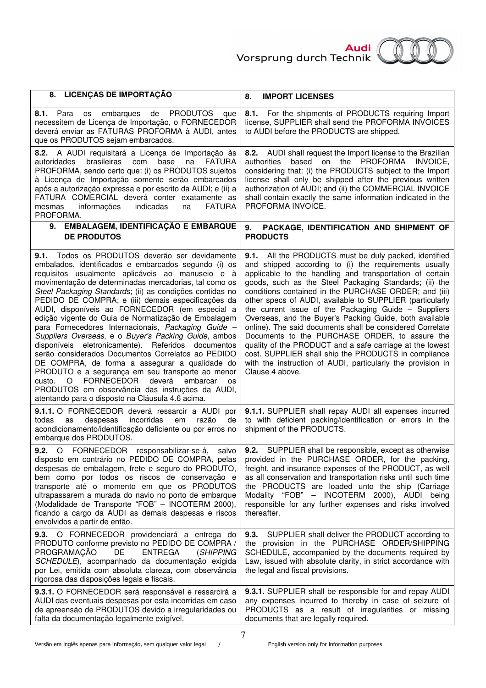



| 8. LICENÇAS DE IMPORTAÇÃO                                                                                                                                                                                                                                                                                                                                                                                                                                                                                                                                                                                                                                                                                                                                                                                                                                                                                                                                              | <b>IMPORT LICENSES</b><br>8.                                                                                                                                                                                                                                                                                                                                                                                                                                                                                                                                                                                                                                                                                                                                                                      |
|------------------------------------------------------------------------------------------------------------------------------------------------------------------------------------------------------------------------------------------------------------------------------------------------------------------------------------------------------------------------------------------------------------------------------------------------------------------------------------------------------------------------------------------------------------------------------------------------------------------------------------------------------------------------------------------------------------------------------------------------------------------------------------------------------------------------------------------------------------------------------------------------------------------------------------------------------------------------|---------------------------------------------------------------------------------------------------------------------------------------------------------------------------------------------------------------------------------------------------------------------------------------------------------------------------------------------------------------------------------------------------------------------------------------------------------------------------------------------------------------------------------------------------------------------------------------------------------------------------------------------------------------------------------------------------------------------------------------------------------------------------------------------------|
| embarques de<br><b>PRODUTOS</b><br>8.1. Para os<br>que<br>necessitem de Licença de Importação, o FORNECEDOR<br>deverá enviar as FATURAS PROFORMA à AUDI, antes<br>que os PRODUTOS sejam embarcados.                                                                                                                                                                                                                                                                                                                                                                                                                                                                                                                                                                                                                                                                                                                                                                    | 8.1. For the shipments of PRODUCTS requiring Import<br>license, SUPPLIER shall send the PROFORMA INVOICES<br>to AUDI before the PRODUCTS are shipped.                                                                                                                                                                                                                                                                                                                                                                                                                                                                                                                                                                                                                                             |
| A AUDI requisitará a Licença de Importação às<br>8.2.<br>brasileiras<br>base<br><b>FATURA</b><br>autoridades<br>com<br>na<br>PROFORMA, sendo certo que: (i) os PRODUTOS sujeitos<br>à Licença de Importação somente serão embarcados<br>após a autorização expressa e por escrito da AUDI; e (ii) a<br>FATURA COMERCIAL deverá conter exatamente as<br><b>FATURA</b><br>informações<br>indicadas<br>mesmas<br>na<br>PROFORMA.                                                                                                                                                                                                                                                                                                                                                                                                                                                                                                                                          | 8.2. AUDI shall request the Import license to the Brazilian<br>based on the PROFORMA INVOICE,<br>authorities<br>considering that: (i) the PRODUCTS subject to the Import<br>license shall only be shipped after the previous written<br>authorization of AUDI; and (ii) the COMMERCIAL INVOICE<br>shall contain exactly the same information indicated in the<br>PROFORMA INVOICE.                                                                                                                                                                                                                                                                                                                                                                                                                |
| <b>EMBALAGEM, IDENTIFICAÇÃO E EMBARQUE</b><br>9.<br><b>DE PRODUTOS</b>                                                                                                                                                                                                                                                                                                                                                                                                                                                                                                                                                                                                                                                                                                                                                                                                                                                                                                 | 9.<br>PACKAGE, IDENTIFICATION AND SHIPMENT OF<br><b>PRODUCTS</b>                                                                                                                                                                                                                                                                                                                                                                                                                                                                                                                                                                                                                                                                                                                                  |
| Todos os PRODUTOS deverão ser devidamente<br>9.1.<br>embalados, identificados e embarcados segundo (i) os<br>requisitos usualmente aplicáveis ao manuseio e à<br>movimentação de determinadas mercadorias, tal como os<br>Steel Packaging Standards; (ii) as condições contidas no<br>PEDIDO DE COMPRA; e (iii) demais especificações da<br>AUDI, disponíveis ao FORNECEDOR (em especial a<br>edição vigente do Guia de Normatização de Embalagem<br>para Fornecedores Internacionais, Packaging Guide -<br>Suppliers Overseas, e o Buyer's Packing Guide, ambos<br>disponíveis eletronicamente). Referidos documentos<br>serão considerados Documentos Correlatos ao PEDIDO<br>DE COMPRA, de forma a assegurar a qualidade do<br>PRODUTO e a segurança em seu transporte ao menor<br><b>FORNECEDOR</b><br>$\circ$<br>deverá<br>embarcar<br>custo.<br><b>OS</b><br>PRODUTOS em observância das instruções da AUDI,<br>atentando para o disposto na Cláusula 4.6 acima. | 9.1. All the PRODUCTS must be duly packed, identified<br>and shipped according to (i) the requirements usually<br>applicable to the handling and transportation of certain<br>goods, such as the Steel Packaging Standards; (ii) the<br>conditions contained in the PURCHASE ORDER; and (iii)<br>other specs of AUDI, available to SUPPLIER (particularly<br>the current issue of the Packaging Guide - Suppliers<br>Overseas, and the Buyer's Packing Guide, both available<br>online). The said documents shall be considered Correlate<br>Documents to the PURCHASE ORDER, to assure the<br>quality of the PRODUCT and a safe carriage at the lowest<br>cost. SUPPLIER shall ship the PRODUCTS in compliance<br>with the instruction of AUDI, particularly the provision in<br>Clause 4 above. |
| 9.1.1. O FORNECEDOR deverá ressarcir a AUDI por<br>incorridas<br>todas<br>despesas<br>em<br>razão<br>as<br>de<br>acondicionamento/identificação deficiente ou por erros no<br>embarque dos PRODUTOS.                                                                                                                                                                                                                                                                                                                                                                                                                                                                                                                                                                                                                                                                                                                                                                   | 9.1.1. SUPPLIER shall repay AUDI all expenses incurred<br>to with deficient packing/identification or errors in the<br>shipment of the PRODUCTS.                                                                                                                                                                                                                                                                                                                                                                                                                                                                                                                                                                                                                                                  |
| $\circ$<br>9.2.<br><b>FORNECEDOR</b><br>responsabilizar-se-á,<br>salvo<br>disposto em contrário no PEDIDO DE COMPRA, pelas<br>despesas de embalagem, frete e seguro do PRODUTO,<br>bem como por todos os riscos de conservação e<br>transporte até o momento em que os PRODUTOS<br>ultrapassarem a murada do navio no porto de embarque<br>(Modalidade de Transporte "FOB" - INCOTERM 2000),<br>ficando a cargo da AUDI as demais despesas e riscos<br>envolvidos a partir de então.                                                                                                                                                                                                                                                                                                                                                                                                                                                                                   | 9.2.<br>SUPPLIER shall be responsible, except as otherwise<br>provided in the PURCHASE ORDER, for the packing,<br>freight, and insurance expenses of the PRODUCT, as well<br>as all conservation and transportation risks until such time<br>the PRODUCTS are loaded unto the ship (Carriage<br>Modality "FOB" - INCOTERM 2000), AUDI being<br>responsible for any further expenses and risks involved<br>thereafter.                                                                                                                                                                                                                                                                                                                                                                             |
| 9.3. O FORNECEDOR providenciará a entrega do<br>PRODUTO conforme previsto no PEDIDO DE COMPRA /<br>PROGRAMAÇÃO<br>DE<br><b>ENTREGA</b><br>(SHIPPING<br>SCHEDULE), acompanhado da documentação exigida<br>por Lei, emitida com absoluta clareza, com observância<br>rigorosa das disposições legais e fiscais.                                                                                                                                                                                                                                                                                                                                                                                                                                                                                                                                                                                                                                                          | SUPPLIER shall deliver the PRODUCT according to<br>9.3.<br>the provision in the PURCHASE ORDER/SHIPPING<br>SCHEDULE, accompanied by the documents required by<br>Law, issued with absolute clarity, in strict accordance with<br>the legal and fiscal provisions.                                                                                                                                                                                                                                                                                                                                                                                                                                                                                                                                 |
| 9.3.1. O FORNECEDOR será responsável e ressarcirá a<br>AUDI das eventuais despesas por esta incorridas em caso<br>de apreensão de PRODUTOS devido a irregularidades ou<br>falta da documentação legalmente exigível.                                                                                                                                                                                                                                                                                                                                                                                                                                                                                                                                                                                                                                                                                                                                                   | 9.3.1. SUPPLIER shall be responsible for and repay AUDI<br>any expenses incurred to thereby in case of seizure of<br>PRODUCTS as a result of irregularities or missing<br>documents that are legally required.                                                                                                                                                                                                                                                                                                                                                                                                                                                                                                                                                                                    |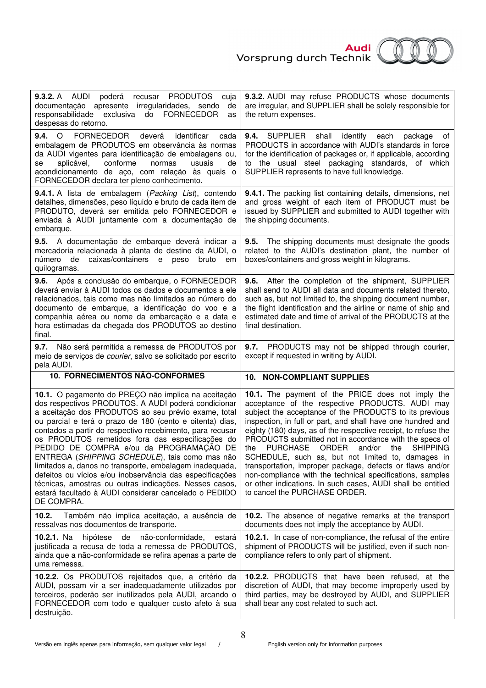

| <b>9.3.2.</b> A AUDI<br>poderá recusar PRODUTOS<br>cuja<br>documentação apresente irregularidades, sendo<br>de<br>exclusiva do<br>FORNECEDOR<br>responsabilidade<br>as<br>despesas do retorno.                                                                                                                                                                                                                                                                                                                                                                                                                                                                                                      | 9.3.2. AUDI may refuse PRODUCTS whose documents<br>are irregular, and SUPPLIER shall be solely responsible for<br>the return expenses.                                                                                                                                                                                                                                                                                                                                                                                                                                                                                                                                                             |
|-----------------------------------------------------------------------------------------------------------------------------------------------------------------------------------------------------------------------------------------------------------------------------------------------------------------------------------------------------------------------------------------------------------------------------------------------------------------------------------------------------------------------------------------------------------------------------------------------------------------------------------------------------------------------------------------------------|----------------------------------------------------------------------------------------------------------------------------------------------------------------------------------------------------------------------------------------------------------------------------------------------------------------------------------------------------------------------------------------------------------------------------------------------------------------------------------------------------------------------------------------------------------------------------------------------------------------------------------------------------------------------------------------------------|
| $9.4.$ O<br>FORNECEDOR<br>deverá<br>identificar<br>cada<br>embalagem de PRODUTOS em observância às normas<br>da AUDI vigentes para identificação de embalagens ou,<br>conforme<br>aplicável,<br>normas<br>usuais<br>se<br>de<br>acondicionamento de aço, com relação às quais o<br>FORNECEDOR declara ter pleno conhecimento.                                                                                                                                                                                                                                                                                                                                                                       | 9.4. SUPPLIER<br>shall<br>identify each<br>package<br>οf<br>PRODUCTS in accordance with AUDI's standards in force<br>for the identification of packages or, if applicable, according<br>to the usual steel packaging standards, of which<br>SUPPLIER represents to have full knowledge.                                                                                                                                                                                                                                                                                                                                                                                                            |
| 9.4.1. A lista de embalagem (Packing List), contendo<br>detalhes, dimensões, peso líquido e bruto de cada item de<br>PRODUTO, deverá ser emitida pelo FORNECEDOR e<br>enviada à AUDI juntamente com a documentação de<br>embarque.                                                                                                                                                                                                                                                                                                                                                                                                                                                                  | 9.4.1. The packing list containing details, dimensions, net<br>and gross weight of each item of PRODUCT must be<br>issued by SUPPLIER and submitted to AUDI together with<br>the shipping documents.                                                                                                                                                                                                                                                                                                                                                                                                                                                                                               |
| 9.5. A documentação de embarque deverá indicar a<br>mercadoria relacionada à planta de destino da AUDI, o<br>caixas/containers<br>número<br>de<br>bruto<br>e<br>peso<br>em<br>quilogramas.                                                                                                                                                                                                                                                                                                                                                                                                                                                                                                          | 9.5. The shipping documents must designate the goods<br>related to the AUDI's destination plant, the number of<br>boxes/containers and gross weight in kilograms.                                                                                                                                                                                                                                                                                                                                                                                                                                                                                                                                  |
| 9.6. Após a conclusão do embarque, o FORNECEDOR<br>deverá enviar à AUDI todos os dados e documentos a ele<br>relacionados, tais como mas não limitados ao número do<br>documento de embarque, a identificação do voo e a<br>companhia aérea ou nome da embarcação e a data e<br>hora estimadas da chegada dos PRODUTOS ao destino<br>final.                                                                                                                                                                                                                                                                                                                                                         | <b>9.6.</b> After the completion of the shipment, SUPPLIER<br>shall send to AUDI all data and documents related thereto,<br>such as, but not limited to, the shipping document number,<br>the flight identification and the airline or name of ship and<br>estimated date and time of arrival of the PRODUCTS at the<br>final destination.                                                                                                                                                                                                                                                                                                                                                         |
| Não será permitida a remessa de PRODUTOS por<br>9.7.<br>meio de serviços de courier, salvo se solicitado por escrito<br>pela AUDI.                                                                                                                                                                                                                                                                                                                                                                                                                                                                                                                                                                  | PRODUCTS may not be shipped through courier,<br>9.7.<br>except if requested in writing by AUDI.                                                                                                                                                                                                                                                                                                                                                                                                                                                                                                                                                                                                    |
| 10. FORNECIMENTOS NÃO-CONFORMES                                                                                                                                                                                                                                                                                                                                                                                                                                                                                                                                                                                                                                                                     | 10. NON-COMPLIANT SUPPLIES                                                                                                                                                                                                                                                                                                                                                                                                                                                                                                                                                                                                                                                                         |
| 10.1. O pagamento do PREÇO não implica na aceitação<br>dos respectivos PRODUTOS. A AUDI poderá condicionar<br>a aceitação dos PRODUTOS ao seu prévio exame, total<br>ou parcial e terá o prazo de 180 (cento e oitenta) dias,<br>contados a partir do respectivo recebimento, para recusar<br>os PRODUTOS remetidos fora das especificações do<br>PEDIDO DE COMPRA e/ou da PROGRAMAÇÃO DE<br>ENTREGA (SHIPPING SCHEDULE), tais como mas não<br>limitados a, danos no transporte, embalagem inadequada,<br>defeitos ou vícios e/ou inobservância das especificações<br>técnicas, amostras ou outras indicações. Nesses casos,<br>estará facultado à AUDI considerar cancelado o PEDIDO<br>DE COMPRA. | 10.1. The payment of the PRICE does not imply the<br>acceptance of the respective PRODUCTS. AUDI may<br>subject the acceptance of the PRODUCTS to its previous<br>inspection, in full or part, and shall have one hundred and<br>eighty (180) days, as of the respective receipt, to refuse the<br>PRODUCTS submitted not in accordance with the specs of<br>PURCHASE ORDER<br>and/or the<br><b>SHIPPING</b><br>the<br>SCHEDULE, such as, but not limited to, damages in<br>transportation, improper package, defects or flaws and/or<br>non-compliance with the technical specifications, samples<br>or other indications. In such cases, AUDI shall be entitled<br>to cancel the PURCHASE ORDER. |
| 10.2.<br>Também não implica aceitação, a ausência de<br>ressalvas nos documentos de transporte.                                                                                                                                                                                                                                                                                                                                                                                                                                                                                                                                                                                                     | 10.2. The absence of negative remarks at the transport<br>documents does not imply the acceptance by AUDI.                                                                                                                                                                                                                                                                                                                                                                                                                                                                                                                                                                                         |
| 10.2.1. Na<br>hipótese<br>não-conformidade,<br>de<br>estará<br>justificada a recusa de toda a remessa de PRODUTOS,<br>ainda que a não-conformidade se refira apenas a parte de<br>uma remessa.                                                                                                                                                                                                                                                                                                                                                                                                                                                                                                      | 10.2.1. In case of non-compliance, the refusal of the entire<br>shipment of PRODUCTS will be justified, even if such non-<br>compliance refers to only part of shipment.                                                                                                                                                                                                                                                                                                                                                                                                                                                                                                                           |
| 10.2.2. Os PRODUTOS rejeitados que, a critério da<br>AUDI, possam vir a ser inadequadamente utilizados por<br>terceiros, poderão ser inutilizados pela AUDI, arcando o<br>FORNECEDOR com todo e qualquer custo afeto à sua<br>destruição.                                                                                                                                                                                                                                                                                                                                                                                                                                                           | <b>10.2.2.</b> PRODUCTS that have been refused, at the<br>discretion of AUDI, that may become improperly used by<br>third parties, may be destroyed by AUDI, and SUPPLIER<br>shall bear any cost related to such act.                                                                                                                                                                                                                                                                                                                                                                                                                                                                              |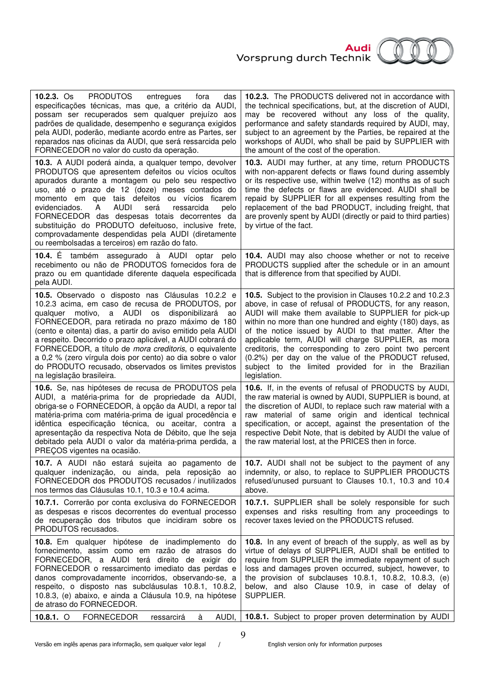

| 10.2.3. $Os$<br>PRODUTOS<br>entregues<br>fora<br>das<br>especificações técnicas, mas que, a critério da AUDI,<br>possam ser recuperados sem qualquer prejuízo aos<br>padrões de qualidade, desempenho e segurança exigidos<br>pela AUDI, poderão, mediante acordo entre as Partes, ser<br>reparados nas oficinas da AUDI, que será ressarcida pelo<br>FORNECEDOR no valor do custo da operação.                                                                                                                                                                 | 10.2.3. The PRODUCTS delivered not in accordance with<br>the technical specifications, but, at the discretion of AUDI,<br>may be recovered without any loss of the quality,<br>performance and safety standards required by AUDI, may,<br>subject to an agreement by the Parties, be repaired at the<br>workshops of AUDI, who shall be paid by SUPPLIER with<br>the amount of the cost of the operation.                                                                                                                                              |
|-----------------------------------------------------------------------------------------------------------------------------------------------------------------------------------------------------------------------------------------------------------------------------------------------------------------------------------------------------------------------------------------------------------------------------------------------------------------------------------------------------------------------------------------------------------------|--------------------------------------------------------------------------------------------------------------------------------------------------------------------------------------------------------------------------------------------------------------------------------------------------------------------------------------------------------------------------------------------------------------------------------------------------------------------------------------------------------------------------------------------------------|
| 10.3. A AUDI poderá ainda, a qualquer tempo, devolver<br>PRODUTOS que apresentem defeitos ou vícios ocultos<br>apurados durante a montagem ou pelo seu respectivo<br>uso, até o prazo de 12 (doze) meses contados do<br>momento em que tais defeitos ou vícios ficarem<br>AUDI<br>ressarcida<br>evidenciados.<br>A<br>será<br>pelo<br>FORNECEDOR das despesas totais decorrentes da<br>substituição do PRODUTO defeituoso, inclusive frete,<br>comprovadamente despendidas pela AUDI (diretamente<br>ou reembolsadas a terceiros) em razão do fato.             | 10.3. AUDI may further, at any time, return PRODUCTS<br>with non-apparent defects or flaws found during assembly<br>or its respective use, within twelve (12) months as of such<br>time the defects or flaws are evidenced. AUDI shall be<br>repaid by SUPPLIER for all expenses resulting from the<br>replacement of the bad PRODUCT, including freight, that<br>are provenly spent by AUDI (directly or paid to third parties)<br>by virtue of the fact.                                                                                             |
| 10.4. $E$<br>também assegurado à AUDI optar pelo<br>recebimento ou não de PRODUTOS fornecidos fora de<br>prazo ou em quantidade diferente daquela especificada<br>pela AUDI.                                                                                                                                                                                                                                                                                                                                                                                    | 10.4. AUDI may also choose whether or not to receive<br>PRODUCTS supplied after the schedule or in an amount<br>that is difference from that specified by AUDI.                                                                                                                                                                                                                                                                                                                                                                                        |
| 10.5. Observado o disposto nas Cláusulas 10.2.2 e<br>10.2.3 acima, em caso de recusa de PRODUTOS, por<br>qualquer motivo, a AUDI os disponibilizará<br>ao<br>FORNECEDOR, para retirada no prazo máximo de 180<br>(cento e oitenta) dias, a partir do aviso emitido pela AUDI<br>a respeito. Decorrido o prazo aplicável, a AUDI cobrará do<br>FORNECEDOR, a título de <i>mora creditoris</i> , o equivalente<br>a 0,2 % (zero vírgula dois por cento) ao dia sobre o valor<br>do PRODUTO recusado, observados os limites previstos<br>na legislação brasileira. | 10.5. Subject to the provision in Clauses 10.2.2 and 10.2.3<br>above, in case of refusal of PRODUCTS, for any reason,<br>AUDI will make them available to SUPPLIER for pick-up<br>within no more than one hundred and eighty (180) days, as<br>of the notice issued by AUDI to that matter. After the<br>applicable term, AUDI will charge SUPPLIER, as mora<br>creditoris, the corresponding to zero point two percent<br>(0.2%) per day on the value of the PRODUCT refused,<br>subject to the limited provided for in the Brazilian<br>legislation. |
| 10.6. Se, nas hipóteses de recusa de PRODUTOS pela<br>AUDI, a matéria-prima for de propriedade da AUDI,<br>obriga-se o FORNECEDOR, à opção da AUDI, a repor tal<br>matéria-prima com matéria-prima de igual procedência e<br>idêntica especificação técnica, ou aceitar, contra a<br>apresentação da respectiva Nota de Débito, que lhe seja<br>debitado pela AUDI o valor da matéria-prima perdida, a<br>PREÇOS vigentes na ocasião.                                                                                                                           | 10.6. If, in the events of refusal of PRODUCTS by AUDI,<br>the raw material is owned by AUDI, SUPPLIER is bound, at<br>the discretion of AUDI, to replace such raw material with a<br>raw material of same origin and identical technical<br>specification, or accept, against the presentation of the<br>respective Debit Note, that is debited by AUDI the value of<br>the raw material lost, at the PRICES then in force.                                                                                                                           |
| 10.7. A AUDI não estará sujeita ao pagamento de<br>qualquer indenização, ou ainda, pela reposição ao<br>FORNECEDOR dos PRODUTOS recusados / inutilizados<br>nos termos das Cláusulas 10.1, 10.3 e 10.4 acima.                                                                                                                                                                                                                                                                                                                                                   | 10.7. AUDI shall not be subject to the payment of any<br>indemnity, or also, to replace to SUPPLIER PRODUCTS<br>refused/unused pursuant to Clauses 10.1, 10.3 and 10.4<br>above.                                                                                                                                                                                                                                                                                                                                                                       |
| 10.7.1. Correrão por conta exclusiva do FORNECEDOR<br>as despesas e riscos decorrentes do eventual processo<br>de recuperação dos tributos que incidiram sobre os<br>PRODUTOS recusados.                                                                                                                                                                                                                                                                                                                                                                        | 10.7.1. SUPPLIER shall be solely responsible for such<br>expenses and risks resulting from any proceedings to<br>recover taxes levied on the PRODUCTS refused.                                                                                                                                                                                                                                                                                                                                                                                         |
| 10.8. Em qualquer hipótese de inadimplemento<br>do<br>fornecimento, assim como em razão de atrasos do<br>FORNECEDOR, a AUDI terá direito de exigir do<br>FORNECEDOR o ressarcimento imediato das perdas e<br>danos comprovadamente incorridos, observando-se, a<br>respeito, o disposto nas subcláusulas 10.8.1, 10.8.2,<br>10.8.3, (e) abaixo, e ainda a Cláusula 10.9, na hipótese<br>de atraso do FORNECEDOR.                                                                                                                                                | 10.8. In any event of breach of the supply, as well as by<br>virtue of delays of SUPPLIER, AUDI shall be entitled to<br>require from SUPPLIER the immediate repayment of such<br>loss and damages proven occurred, subject, however, to<br>the provision of subclauses $10.8.1$ , $10.8.2$ , $10.8.3$ , $(e)$<br>below, and also Clause 10.9, in case of delay of<br>SUPPLIER.                                                                                                                                                                         |
| 10.8.1. $\circ$<br><b>FORNECEDOR</b><br>à<br>AUDI,<br>ressarcirá                                                                                                                                                                                                                                                                                                                                                                                                                                                                                                | 10.8.1. Subject to proper proven determination by AUDI                                                                                                                                                                                                                                                                                                                                                                                                                                                                                                 |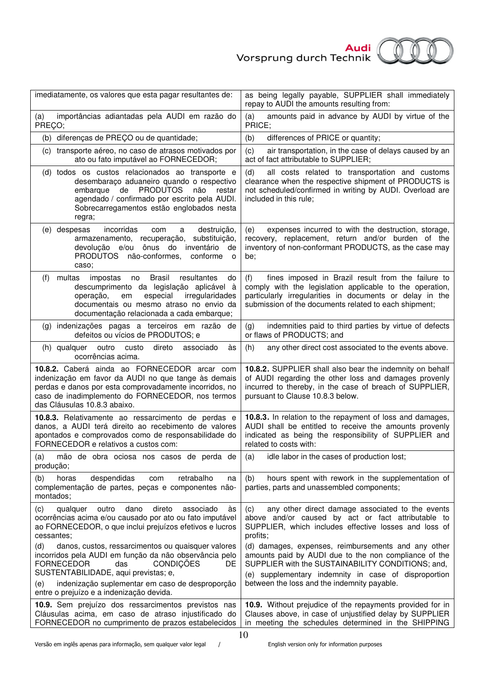

| imediatamente, os valores que esta pagar resultantes de:                                                                                                                                                                                                   | as being legally payable, SUPPLIER shall immediately<br>repay to AUDI the amounts resulting from:                                                                                                                                          |
|------------------------------------------------------------------------------------------------------------------------------------------------------------------------------------------------------------------------------------------------------------|--------------------------------------------------------------------------------------------------------------------------------------------------------------------------------------------------------------------------------------------|
| importâncias adiantadas pela AUDI em razão do<br>(a)<br>PREÇO;                                                                                                                                                                                             | amounts paid in advance by AUDI by virtue of the<br>(a)<br>PRICE;                                                                                                                                                                          |
| (b) diferenças de PREÇO ou de quantidade;                                                                                                                                                                                                                  | (b)<br>differences of PRICE or quantity;                                                                                                                                                                                                   |
| (c) transporte aéreo, no caso de atrasos motivados por<br>ato ou fato imputável ao FORNECEDOR;                                                                                                                                                             | air transportation, in the case of delays caused by an<br>(c)<br>act of fact attributable to SUPPLIER;                                                                                                                                     |
| (d) todos os custos relacionados ao transporte e<br>desembaraço aduaneiro quando o respectivo<br><b>PRODUTOS</b><br>embarque<br>de<br>não<br>restar<br>agendado / confirmado por escrito pela AUDI.<br>Sobrecarregamentos estão englobados nesta<br>regra; | all costs related to transportation and customs<br>(d)<br>clearance when the respective shipment of PRODUCTS is<br>not scheduled/confirmed in writing by AUDI. Overload are<br>included in this rule;                                      |
| incorridas<br>(e) despesas<br>com<br>a<br>destruição,<br>substituição,<br>armazenamento, recuperação,<br>devolução e/ou ônus do<br>inventário<br>de<br>PRODUTOS não-conformes,<br>conforme<br>$\circ$<br>caso;                                             | expenses incurred to with the destruction, storage,<br>(e)<br>recovery, replacement, return and/or burden of the<br>inventory of non-conformant PRODUCTS, as the case may<br>be;                                                           |
| multas<br>Brasil<br>resultantes<br>impostas<br>do<br>(f)<br>no<br>descumprimento da legislação aplicável à<br>especial<br>irregularidades<br>operação,<br>em<br>documentais ou mesmo atraso no envio da<br>documentação relacionada a cada embarque;       | fines imposed in Brazil result from the failure to<br>(f)<br>comply with the legislation applicable to the operation,<br>particularly irregularities in documents or delay in the<br>submission of the documents related to each shipment; |
| (g) indenizações pagas a terceiros em razão<br>de<br>defeitos ou vícios de PRODUTOS; e                                                                                                                                                                     | indemnities paid to third parties by virtue of defects<br>(g)<br>or flaws of PRODUCTS; and                                                                                                                                                 |
| direto<br>associado<br>(h) qualquer<br>outro custo<br>às<br>ocorrências acima.                                                                                                                                                                             | (h)<br>any other direct cost associated to the events above.                                                                                                                                                                               |
| 10.8.2. Caberá ainda ao FORNECEDOR arcar com<br>indenização em favor da AUDI no que tange às demais<br>perdas e danos por esta comprovadamente incorridos, no<br>caso de inadimplemento do FORNECEDOR, nos termos<br>das Cláusulas 10.8.3 abaixo.          | 10.8.2. SUPPLIER shall also bear the indemnity on behalf<br>of AUDI regarding the other loss and damages provenly<br>incurred to thereby, in the case of breach of SUPPLIER,<br>pursuant to Clause 10.8.3 below.                           |
| 10.8.3. Relativamente ao ressarcimento de perdas e<br>danos, a AUDI terá direito ao recebimento de valores<br>apontados e comprovados como de responsabilidade do<br>FORNECEDOR e relativos a custos com:                                                  | 10.8.3. In relation to the repayment of loss and damages,<br>AUDI shall be entitled to receive the amounts provenly<br>indicated as being the responsibility of SUPPLIER and<br>related to costs with:                                     |
| (a)<br>mão de obra ociosa nos casos de perda de<br>produção;                                                                                                                                                                                               | (a)<br>idle labor in the cases of production lost;                                                                                                                                                                                         |
| despendidas<br>retrabalho<br>(b)<br>horas<br>com<br>na<br>complementação de partes, peças e componentes não-<br>montados;                                                                                                                                  | hours spent with rework in the supplementation of<br>(b)<br>parties, parts and unassembled components;                                                                                                                                     |
| dano<br>direto<br>associado<br>(c)<br>qualquer<br>outro<br>às<br>ocorrências acima e/ou causado por ato ou fato imputável<br>ao FORNECEDOR, o que inclui prejuízos efetivos e lucros<br>cessantes;                                                         | any other direct damage associated to the events<br>(c)<br>above and/or caused by act or fact attributable to<br>SUPPLIER, which includes effective losses and loss of<br>profits;                                                         |
| (d)<br>danos, custos, ressarcimentos ou quaisquer valores<br>incorridos pela AUDI em função da não observância pelo<br><b>FORNECEDOR</b><br>das<br>CONDIÇÕES<br>DE<br>SUSTENTABILIDADE, aqui previstas; e,                                                 | (d) damages, expenses, reimbursements and any other<br>amounts paid by AUDI due to the non compliance of the<br>SUPPLIER with the SUSTAINABILITY CONDITIONS; and,<br>(e) supplementary indemnity in case of disproportion                  |
| indenização suplementar em caso de desproporção<br>(e)<br>entre o prejuízo e a indenização devida.                                                                                                                                                         | between the loss and the indemnity payable.                                                                                                                                                                                                |
| 10.9. Sem prejuízo dos ressarcimentos previstos nas<br>Cláusulas acima, em caso de atraso injustificado do<br>FORNECEDOR no cumprimento de prazos estabelecidos                                                                                            | 10.9. Without prejudice of the repayments provided for in<br>Clauses above, in case of unjustified delay by SUPPLIER<br>in meeting the schedules determined in the SHIPPING                                                                |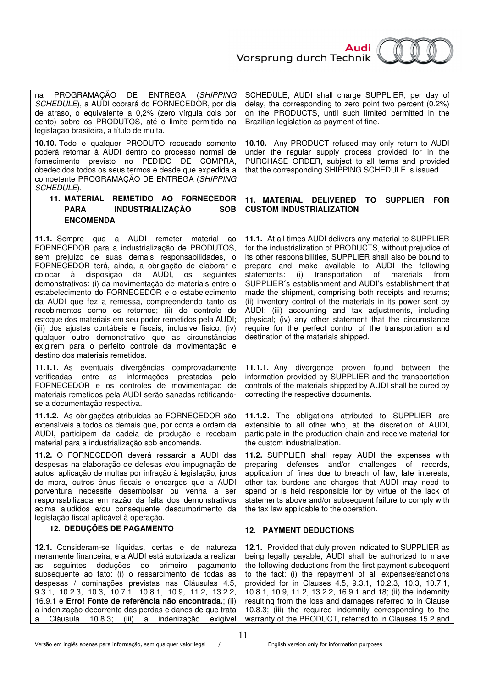

| PROGRAMAÇÃO<br>DE ENTREGA (SHIPPING<br>na<br>SCHEDULE), a AUDI cobrará do FORNECEDOR, por dia<br>de atraso, o equivalente a 0,2% (zero vírgula dois por<br>cento) sobre os PRODUTOS, até o limite permitido na<br>legislação brasileira, a título de multa.                                                                                                                                                                                                                                                                                                                                                                                                                                                                                                                             | SCHEDULE, AUDI shall charge SUPPLIER, per day of<br>delay, the corresponding to zero point two percent (0.2%)<br>on the PRODUCTS, until such limited permitted in the<br>Brazilian legislation as payment of fine.                                                                                                                                                                                                                                                                                                                                                                                                                                                                                                              |
|-----------------------------------------------------------------------------------------------------------------------------------------------------------------------------------------------------------------------------------------------------------------------------------------------------------------------------------------------------------------------------------------------------------------------------------------------------------------------------------------------------------------------------------------------------------------------------------------------------------------------------------------------------------------------------------------------------------------------------------------------------------------------------------------|---------------------------------------------------------------------------------------------------------------------------------------------------------------------------------------------------------------------------------------------------------------------------------------------------------------------------------------------------------------------------------------------------------------------------------------------------------------------------------------------------------------------------------------------------------------------------------------------------------------------------------------------------------------------------------------------------------------------------------|
| 10.10. Todo e qualquer PRODUTO recusado somente<br>poderá retornar à AUDI dentro do processo normal de<br>fornecimento previsto no PEDIDO DE COMPRA,<br>obedecidos todos os seus termos e desde que expedida a<br>competente PROGRAMAÇÃO DE ENTREGA (SHIPPING<br>SCHEDULE).                                                                                                                                                                                                                                                                                                                                                                                                                                                                                                             | 10.10. Any PRODUCT refused may only return to AUDI<br>under the regular supply process provided for in the<br>PURCHASE ORDER, subject to all terms and provided<br>that the corresponding SHIPPING SCHEDULE is issued.                                                                                                                                                                                                                                                                                                                                                                                                                                                                                                          |
| 11. MATERIAL REMETIDO AO FORNECEDOR                                                                                                                                                                                                                                                                                                                                                                                                                                                                                                                                                                                                                                                                                                                                                     | 11. MATERIAL DELIVERED<br><b>SUPPLIER</b><br>TO<br><b>FOR</b><br><b>CUSTOM INDUSTRIALIZATION</b>                                                                                                                                                                                                                                                                                                                                                                                                                                                                                                                                                                                                                                |
| <b>INDUSTRIALIZAÇÃO</b><br><b>PARA</b><br><b>SOB</b><br><b>ENCOMENDA</b>                                                                                                                                                                                                                                                                                                                                                                                                                                                                                                                                                                                                                                                                                                                |                                                                                                                                                                                                                                                                                                                                                                                                                                                                                                                                                                                                                                                                                                                                 |
|                                                                                                                                                                                                                                                                                                                                                                                                                                                                                                                                                                                                                                                                                                                                                                                         |                                                                                                                                                                                                                                                                                                                                                                                                                                                                                                                                                                                                                                                                                                                                 |
| 11.1. Sempre que a AUDI remeter material<br>ao<br>FORNECEDOR para a industrialização de PRODUTOS,<br>sem prejuízo de suas demais responsabilidades, o<br>FORNECEDOR terá, ainda, a obrigação de elaborar e<br>disposição<br>da AUDI,<br>colocar<br>à<br>sequintes<br><b>OS</b><br>demonstrativos: (i) da movimentação de materiais entre o<br>estabelecimento do FORNECEDOR e o estabelecimento<br>da AUDI que fez a remessa, compreendendo tanto os<br>recebimentos como os retornos; (ii) do controle de<br>estoque dos materiais em seu poder remetidos pela AUDI;<br>(iii) dos ajustes contábeis e fiscais, inclusive físico; (iv)<br>qualquer outro demonstrativo que as circunstâncias<br>exigirem para o perfeito controle da movimentação e<br>destino dos materiais remetidos. | 11.1. At all times AUDI delivers any material to SUPPLIER<br>for the industrialization of PRODUCTS, without prejudice of<br>its other responsibilities, SUPPLIER shall also be bound to<br>prepare and make available to AUDI the following<br>transportation<br>materials<br>statements:<br>of<br>from<br>(i)<br>SUPPLIER's establishment and AUDI's establishment that<br>made the shipment, comprising both receipts and returns;<br>(ii) inventory control of the materials in its power sent by<br>AUDI; (iii) accounting and tax adjustments, including<br>physical; (iv) any other statement that the circumstance<br>require for the perfect control of the transportation and<br>destination of the materials shipped. |
| 11.1.1. As eventuais divergências comprovadamente<br>verificadas entre as informações prestadas pelo<br>FORNECEDOR e os controles de movimentação de<br>materiais remetidos pela AUDI serão sanadas retificando-<br>se a documentação respectiva.                                                                                                                                                                                                                                                                                                                                                                                                                                                                                                                                       | 11.1.1. Any divergence proven found between the<br>information provided by SUPPLIER and the transportation<br>controls of the materials shipped by AUDI shall be cured by<br>correcting the respective documents.                                                                                                                                                                                                                                                                                                                                                                                                                                                                                                               |
| 11.1.2. As obrigações atribuídas ao FORNECEDOR são<br>extensíveis a todos os demais que, por conta e ordem da<br>AUDI, participem da cadeia de produção e recebam<br>material para a industrialização sob encomenda.                                                                                                                                                                                                                                                                                                                                                                                                                                                                                                                                                                    | 11.1.2. The obligations attributed to SUPPLIER are<br>extensible to all other who, at the discretion of AUDI,<br>participate in the production chain and receive material for<br>the custom industrialization.                                                                                                                                                                                                                                                                                                                                                                                                                                                                                                                  |
| 11.2. O FORNECEDOR deverá ressarcir a AUDI das<br>despesas na elaboração de defesas e/ou impugnação de<br>autos, aplicação de multas por infração à legislação, juros<br>de mora, outros ônus fiscais e encargos que a AUDI<br>porventura necessite desembolsar ou venha a ser<br>responsabilizada em razão da falta dos demonstrativos<br>acima aludidos e/ou consequente descumprimento da<br>legislação fiscal aplicável à operação.                                                                                                                                                                                                                                                                                                                                                 | 11.2. SUPPLIER shall repay AUDI the expenses with<br>defenses and/or challenges<br>of records,<br>preparing<br>application of fines due to breach of law, late interests,<br>other tax burdens and charges that AUDI may need to<br>spend or is held responsible for by virtue of the lack of<br>statements above and/or subsequent failure to comply with<br>the tax law applicable to the operation.                                                                                                                                                                                                                                                                                                                          |
| <b>12. DEDUÇÕES DE PAGAMENTO</b>                                                                                                                                                                                                                                                                                                                                                                                                                                                                                                                                                                                                                                                                                                                                                        | <b>12. PAYMENT DEDUCTIONS</b>                                                                                                                                                                                                                                                                                                                                                                                                                                                                                                                                                                                                                                                                                                   |
| 12.1. Consideram-se líquidas, certas e de natureza<br>meramente financeira, e a AUDI está autorizada a realizar<br>seguintes deduções do<br>primeiro pagamento<br>as<br>subsequente ao fato: (i) o ressarcimento de todas as<br>despesas / cominações previstas nas Cláusulas 4.5,<br>9.3.1, 10.2.3, 10.3, 10.7.1, 10.8.1, 10.9, 11.2, 13.2.2,<br>16.9.1 e Erro! Fonte de referência não encontrada.; (ii)<br>a indenização decorrente das perdas e danos de que trata<br>Cláusula<br>10.8.3; (iii) a<br>indenização<br>exigível<br>a                                                                                                                                                                                                                                                   | 12.1. Provided that duly proven indicated to SUPPLIER as<br>being legally payable, AUDI shall be authorized to make<br>the following deductions from the first payment subsequent<br>to the fact: (i) the repayment of all expenses/sanctions<br>provided for in Clauses 4.5, 9.3.1, 10.2.3, 10.3, 10.7.1,<br>10.8.1, 10.9, 11.2, 13.2.2, 16.9.1 and 18; (ii) the indemnity<br>resulting from the loss and damages referred to in Clause<br>10.8.3; (iii) the required indemnity corresponding to the<br>warranty of the PRODUCT, referred to in Clauses 15.2 and                                                                                                                                                               |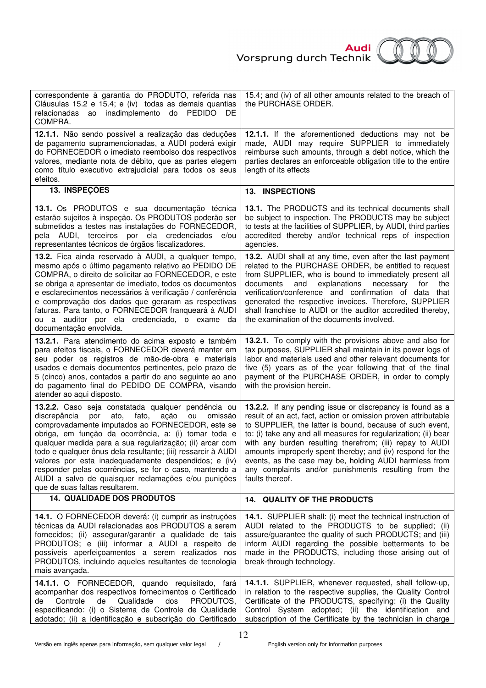



| correspondente à garantia do PRODUTO, referida nas<br>Cláusulas 15.2 e 15.4; e (iv) todas as demais quantias<br>inadimplemento do PEDIDO<br>relacionadas<br>DE<br>ao<br>COMPRA.                                                                                                                                                                                                                                                                                                                                                                                     | 15.4; and (iv) of all other amounts related to the breach of<br>the PURCHASE ORDER.                                                                                                                                                                                                                                                                                                                                                                                                                                       |
|---------------------------------------------------------------------------------------------------------------------------------------------------------------------------------------------------------------------------------------------------------------------------------------------------------------------------------------------------------------------------------------------------------------------------------------------------------------------------------------------------------------------------------------------------------------------|---------------------------------------------------------------------------------------------------------------------------------------------------------------------------------------------------------------------------------------------------------------------------------------------------------------------------------------------------------------------------------------------------------------------------------------------------------------------------------------------------------------------------|
| 12.1.1. Não sendo possível a realização das deduções<br>de pagamento supramencionadas, a AUDI poderá exigir<br>do FORNECEDOR o imediato reembolso dos respectivos<br>valores, mediante nota de débito, que as partes elegem<br>como título executivo extrajudicial para todos os seus<br>efeitos.                                                                                                                                                                                                                                                                   | 12.1.1. If the aforementioned deductions may not be<br>made, AUDI may require SUPPLIER to immediately<br>reimburse such amounts, through a debt notice, which the<br>parties declares an enforceable obligation title to the entire<br>length of its effects                                                                                                                                                                                                                                                              |
| 13. INSPEÇÕES                                                                                                                                                                                                                                                                                                                                                                                                                                                                                                                                                       | <b>13. INSPECTIONS</b>                                                                                                                                                                                                                                                                                                                                                                                                                                                                                                    |
| 13.1. Os PRODUTOS e sua documentação técnica<br>estarão sujeitos à inspeção. Os PRODUTOS poderão ser<br>submetidos a testes nas instalações do FORNECEDOR,<br>pela AUDI, terceiros por ela credenciados<br>e/ou<br>representantes técnicos de órgãos fiscalizadores.                                                                                                                                                                                                                                                                                                | 13.1. The PRODUCTS and its technical documents shall<br>be subject to inspection. The PRODUCTS may be subject<br>to tests at the facilities of SUPPLIER, by AUDI, third parties<br>accredited thereby and/or technical reps of inspection<br>agencies.                                                                                                                                                                                                                                                                    |
| 13.2. Fica ainda reservado à AUDI, a qualquer tempo,<br>mesmo após o último pagamento relativo ao PEDIDO DE<br>COMPRA, o direito de solicitar ao FORNECEDOR, e este<br>se obriga a apresentar de imediato, todos os documentos<br>e esclarecimentos necessários à verificação / conferência<br>e comprovação dos dados que geraram as respectivas<br>faturas. Para tanto, o FORNECEDOR franqueará à AUDI<br>ou a auditor por ela credenciado, o exame da<br>documentação envolvida.                                                                                 | 13.2. AUDI shall at any time, even after the last payment<br>related to the PURCHASE ORDER, be entitled to request<br>from SUPPLIER, who is bound to immediately present all<br>explanations<br>for<br>documents<br>and<br>necessary<br>the<br>verification/conference and confirmation of data<br>that<br>generated the respective invoices. Therefore, SUPPLIER<br>shall franchise to AUDI or the auditor accredited thereby,<br>the examination of the documents involved.                                             |
| 13.2.1. Para atendimento do acima exposto e também<br>para efeitos fiscais, o FORNECEDOR deverá manter em<br>seu poder os registros de mão-de-obra e materiais<br>usados e demais documentos pertinentes, pelo prazo de<br>5 (cinco) anos, contados a partir do ano seguinte ao ano<br>do pagamento final do PEDIDO DE COMPRA, visando<br>atender ao aqui disposto.                                                                                                                                                                                                 | 13.2.1. To comply with the provisions above and also for<br>tax purposes, SUPPLIER shall maintain in its power logs of<br>labor and materials used and other relevant documents for<br>five (5) years as of the year following that of the final<br>payment of the PURCHASE ORDER, in order to comply<br>with the provision herein.                                                                                                                                                                                       |
| 13.2.2. Caso seja constatada qualquer pendência ou<br>discrepância<br>por<br>ato, fato,<br>ação<br>ou<br>omissão<br>comprovadamente imputados ao FORNECEDOR, este se<br>obriga, em função da ocorrência, a: (i) tomar toda e<br>qualquer medida para a sua regularização; (ii) arcar com<br>todo e qualquer ônus dela resultante; (iii) ressarcir à AUDI<br>valores por esta inadequadamente despendidos; e (iv)<br>responder pelas ocorrências, se for o caso, mantendo a<br>AUDI a salvo de quaisquer reclamações e/ou punições<br>que de suas faltas resultarem. | 13.2.2. If any pending issue or discrepancy is found as a<br>result of an act, fact, action or omission proven attributable<br>to SUPPLIER, the latter is bound, because of such event,<br>to: (i) take any and all measures for regularization; (ii) bear<br>with any burden resulting therefrom; (iii) repay to AUDI<br>amounts improperly spent thereby; and (iv) respond for the<br>events, as the case may be, holding AUDI harmless from<br>any complaints and/or punishments resulting from the<br>faults thereof. |
| <b>14. QUALIDADE DOS PRODUTOS</b>                                                                                                                                                                                                                                                                                                                                                                                                                                                                                                                                   | 14. QUALITY OF THE PRODUCTS                                                                                                                                                                                                                                                                                                                                                                                                                                                                                               |
| 14.1. O FORNECEDOR deverá: (i) cumprir as instruções<br>técnicas da AUDI relacionadas aos PRODUTOS a serem<br>fornecidos; (ii) assegurar/garantir a qualidade de tais<br>PRODUTOS; e (iii) informar a AUDI a respeito de<br>possíveis aperfeiçoamentos a serem realizados nos<br>PRODUTOS, incluindo aqueles resultantes de tecnologia<br>mais avançada.                                                                                                                                                                                                            | 14.1. SUPPLIER shall: (i) meet the technical instruction of<br>AUDI related to the PRODUCTS to be supplied; (ii)<br>assure/guarantee the quality of such PRODUCTS; and (iii)<br>inform AUDI regarding the possible betterments to be<br>made in the PRODUCTS, including those arising out of<br>break-through technology.                                                                                                                                                                                                 |
| 14.1.1. O FORNECEDOR, quando requisitado, fará<br>acompanhar dos respectivos fornecimentos o Certificado<br>Controle<br>de<br>Qualidade<br>dos<br>PRODUTOS,<br>de<br>especificando: (i) o Sistema de Controle de Qualidade<br>adotado; (ii) a identificação e subscrição do Certificado                                                                                                                                                                                                                                                                             | 14.1.1. SUPPLIER, whenever requested, shall follow-up,<br>in relation to the respective supplies, the Quality Control<br>Certificate of the PRODUCTS, specifying: (i) the Quality<br>Control System adopted; (ii) the identification and<br>subscription of the Certificate by the technician in charge                                                                                                                                                                                                                   |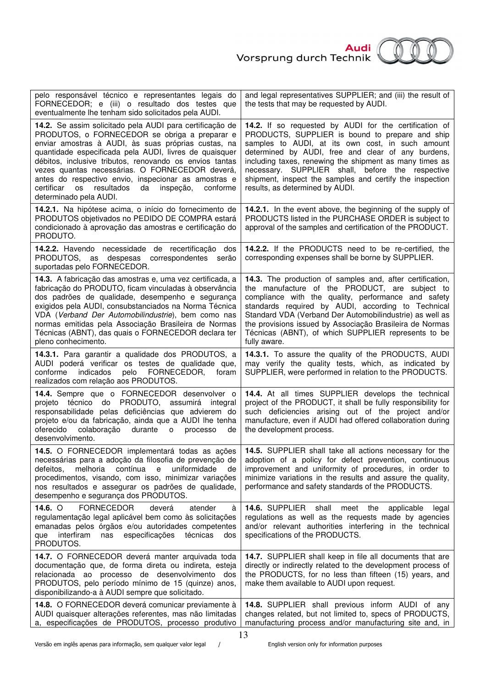

| pelo responsável técnico e representantes legais do<br>FORNECEDOR; e (iii) o resultado dos testes que<br>eventualmente lhe tenham sido solicitados pela AUDI.                                                                                                                                                                                                                                                                                                                                      | and legal representatives SUPPLIER; and (iii) the result of<br>the tests that may be requested by AUDI.                                                                                                                                                                                                                                                                                                                           |
|----------------------------------------------------------------------------------------------------------------------------------------------------------------------------------------------------------------------------------------------------------------------------------------------------------------------------------------------------------------------------------------------------------------------------------------------------------------------------------------------------|-----------------------------------------------------------------------------------------------------------------------------------------------------------------------------------------------------------------------------------------------------------------------------------------------------------------------------------------------------------------------------------------------------------------------------------|
| 14.2. Se assim solicitado pela AUDI para certificação de<br>PRODUTOS, o FORNECEDOR se obriga a preparar e<br>enviar amostras à AUDI, às suas próprias custas, na<br>quantidade especificada pela AUDI, livres de quaisquer<br>débitos, inclusive tributos, renovando os envios tantas<br>vezes quantas necessárias. O FORNECEDOR deverá,<br>antes do respectivo envio, inspecionar as amostras e<br>resultados<br>da<br>certificar<br><b>OS</b><br>inspeção,<br>conforme<br>determinado pela AUDI. | 14.2. If so requested by AUDI for the certification of<br>PRODUCTS, SUPPLIER is bound to prepare and ship<br>samples to AUDI, at its own cost, in such amount<br>determined by AUDI, free and clear of any burdens,<br>including taxes, renewing the shipment as many times as<br>necessary. SUPPLIER shall, before the respective<br>shipment, inspect the samples and certify the inspection<br>results, as determined by AUDI. |
| 14.2.1. Na hipótese acima, o início do fornecimento de<br>PRODUTOS objetivados no PEDIDO DE COMPRA estará<br>condicionado à aprovação das amostras e certificação do<br>PRODUTO.                                                                                                                                                                                                                                                                                                                   | 14.2.1. In the event above, the beginning of the supply of<br>PRODUCTS listed in the PURCHASE ORDER is subject to<br>approval of the samples and certification of the PRODUCT.                                                                                                                                                                                                                                                    |
| 14.2.2. Havendo necessidade de recertificação dos<br>PRODUTOS, as despesas correspondentes<br>serão<br>suportadas pelo FORNECEDOR.                                                                                                                                                                                                                                                                                                                                                                 | 14.2.2. If the PRODUCTS need to be re-certified, the<br>corresponding expenses shall be borne by SUPPLIER.                                                                                                                                                                                                                                                                                                                        |
| 14.3. A fabricação das amostras e, uma vez certificada, a<br>fabricação do PRODUTO, ficam vinculadas à observância<br>dos padrões de qualidade, desempenho e segurança<br>exigidos pela AUDI, consubstanciados na Norma Técnica<br>VDA (Verband Der Automobilindustrie), bem como nas<br>normas emitidas pela Associação Brasileira de Normas<br>Técnicas (ABNT), das quais o FORNECEDOR declara ter<br>pleno conhecimento.                                                                        | 14.3. The production of samples and, after certification,<br>the manufacture of the PRODUCT, are subject to<br>compliance with the quality, performance and safety<br>standards required by AUDI, according to Technical<br>Standard VDA (Verband Der Automobilindustrie) as well as<br>the provisions issued by Associação Brasileira de Normas<br>Técnicas (ABNT), of which SUPPLIER represents to be<br>fully aware.           |
| 14.3.1. Para garantir a qualidade dos PRODUTOS, a<br>AUDI poderá verificar os testes de qualidade que,<br>indicados<br>pelo<br>FORNECEDOR,<br>conforme<br>foram<br>realizados com relação aos PRODUTOS.                                                                                                                                                                                                                                                                                            | 14.3.1. To assure the quality of the PRODUCTS, AUDI<br>may verify the quality tests, which, as indicated by<br>SUPPLIER, were performed in relation to the PRODUCTS.                                                                                                                                                                                                                                                              |
| 14.4. Sempre que o FORNECEDOR desenvolver o<br>PRODUTO,<br>projeto técnico<br>do<br>assumirá integral<br>responsabilidade pelas deficiências que advierem do<br>projeto e/ou da fabricação, ainda que a AUDI lhe tenha<br>oferecido colaboração durante o<br>processo<br>de<br>desenvolvimento.                                                                                                                                                                                                    | 14.4. At all times SUPPLIER develops the technical<br>project of the PRODUCT, it shall be fully responsibility for<br>such deficiencies arising out of the project and/or<br>manufacture, even if AUDI had offered collaboration during<br>the development process.                                                                                                                                                               |
| 14.5. O FORNECEDOR implementará todas as ações<br>necessárias para a adoção da filosofia de prevenção de<br>melhoria<br>contínua<br>uniformidade<br>defeitos.<br>$\mathbf e$<br>de<br>procedimentos, visando, com isso, minimizar variações<br>nos resultados e assegurar os padrões de qualidade,<br>desempenho e segurança dos PRODUTOS.                                                                                                                                                         | 14.5. SUPPLIER shall take all actions necessary for the<br>adoption of a policy for defect prevention, continuous<br>improvement and uniformity of procedures, in order to<br>minimize variations in the results and assure the quality,<br>performance and safety standards of the PRODUCTS.                                                                                                                                     |
| 14.6. $\circ$<br><b>FORNECEDOR</b><br>deverá<br>atender<br>à<br>regulamentação legal aplicável bem como às solicitações<br>emanadas pelos órgãos e/ou autoridades competentes<br>especificações<br>interfiram<br>técnicas<br>que<br>nas<br>dos<br>PRODUTOS.                                                                                                                                                                                                                                        | 14.6. SUPPLIER shall<br>meet the<br>applicable<br>legal<br>regulations as well as the requests made by agencies<br>and/or relevant authorities interfering in the technical<br>specifications of the PRODUCTS.                                                                                                                                                                                                                    |
| 14.7. O FORNECEDOR deverá manter arquivada toda<br>documentação que, de forma direta ou indireta, esteja<br>relacionada ao processo de desenvolvimento dos<br>PRODUTOS, pelo período mínimo de 15 (quinze) anos,<br>disponibilizando-a à AUDI sempre que solicitado.                                                                                                                                                                                                                               | 14.7. SUPPLIER shall keep in file all documents that are<br>directly or indirectly related to the development process of<br>the PRODUCTS, for no less than fifteen (15) years, and<br>make them available to AUDI upon request.                                                                                                                                                                                                   |
| 14.8. O FORNECEDOR deverá comunicar previamente à<br>AUDI quaisquer alterações referentes, mas não limitadas<br>a, especificações de PRODUTOS, processo produtivo                                                                                                                                                                                                                                                                                                                                  | 14.8. SUPPLIER shall previous inform AUDI of any<br>changes related, but not limited to, specs of PRODUCTS,<br>manufacturing process and/or manufacturing site and, in                                                                                                                                                                                                                                                            |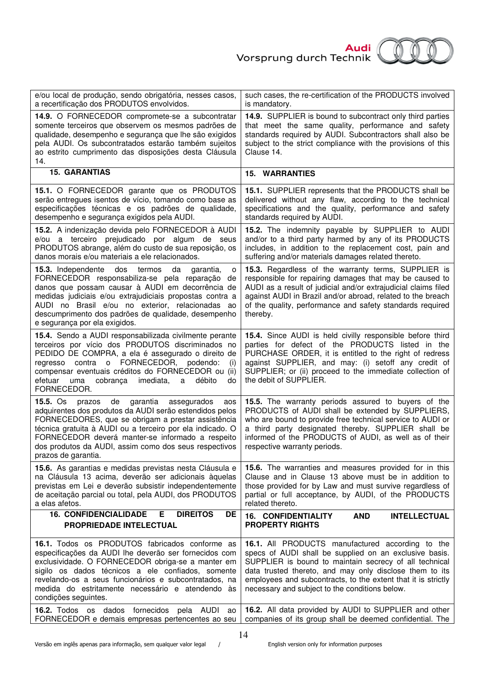

| e/ou local de produção, sendo obrigatória, nesses casos,<br>a recertificação dos PRODUTOS envolvidos.                                                                                                                                                                                                                                                                  | such cases, the re-certification of the PRODUCTS involved<br>is mandatory.                                                                                                                                                                                                                                                                         |
|------------------------------------------------------------------------------------------------------------------------------------------------------------------------------------------------------------------------------------------------------------------------------------------------------------------------------------------------------------------------|----------------------------------------------------------------------------------------------------------------------------------------------------------------------------------------------------------------------------------------------------------------------------------------------------------------------------------------------------|
| 14.9. O FORNECEDOR compromete-se a subcontratar<br>somente terceiros que observem os mesmos padrões de<br>qualidade, desempenho e segurança que lhe são exigidos<br>pela AUDI. Os subcontratados estarão também sujeitos<br>ao estrito cumprimento das disposições desta Cláusula<br>14.                                                                               | 14.9. SUPPLIER is bound to subcontract only third parties<br>that meet the same quality, performance and safety<br>standards required by AUDI. Subcontractors shall also be<br>subject to the strict compliance with the provisions of this<br>Clause 14.                                                                                          |
| <b>15. GARANTIAS</b>                                                                                                                                                                                                                                                                                                                                                   | <b>15. WARRANTIES</b>                                                                                                                                                                                                                                                                                                                              |
| 15.1. O FORNECEDOR garante que os PRODUTOS<br>serão entregues isentos de vício, tomando como base as<br>especificações técnicas e os padrões de qualidade,<br>desempenho e segurança exigidos pela AUDI.                                                                                                                                                               | 15.1. SUPPLIER represents that the PRODUCTS shall be<br>delivered without any flaw, according to the technical<br>specifications and the quality, performance and safety<br>standards required by AUDI.                                                                                                                                            |
| 15.2. A indenização devida pelo FORNECEDOR à AUDI<br>e/ou a terceiro prejudicado por algum de seus<br>PRODUTOS abrange, além do custo de sua reposição, os<br>danos morais e/ou materiais a ele relacionados.                                                                                                                                                          | 15.2. The indemnity payable by SUPPLIER to AUDI<br>and/or to a third party harmed by any of its PRODUCTS<br>includes, in addition to the replacement cost, pain and<br>suffering and/or materials damages related thereto.                                                                                                                         |
| 15.3. Independente<br>da<br>dos termos<br>garantia,<br>o<br>FORNECEDOR responsabiliza-se pela reparação de<br>danos que possam causar à AUDI em decorrência de<br>medidas judiciais e/ou extrajudiciais propostas contra a<br>AUDI no Brasil e/ou no exterior, relacionadas ao<br>descumprimento dos padrões de qualidade, desempenho<br>e segurança por ela exigidos. | 15.3. Regardless of the warranty terms, SUPPLIER is<br>responsible for repairing damages that may be caused to<br>AUDI as a result of judicial and/or extrajudicial claims filed<br>against AUDI in Brazil and/or abroad, related to the breach<br>of the quality, performance and safety standards required<br>thereby.                           |
| 15.4. Sendo a AUDI responsabilizada civilmente perante<br>terceiros por vício dos PRODUTOS discriminados no<br>PEDIDO DE COMPRA, a ela é assegurado o direito de<br>regresso contra o FORNECEDOR, podendo:<br>(i)<br>compensar eventuais créditos do FORNECEDOR ou (ii)<br>imediata,<br>débito<br>efetuar<br>cobrança<br>a<br>uma<br>do<br>FORNECEDOR.                 | 15.4. Since AUDI is held civilly responsible before third<br>parties for defect of the PRODUCTS listed in the<br>PURCHASE ORDER, it is entitled to the right of redress<br>against SUPPLIER, and may: (i) setoff any credit of<br>SUPPLIER; or (ii) proceed to the immediate collection of<br>the debit of SUPPLIER.                               |
| $15.5.$ Os<br>prazos de garantia assegurados<br>aos<br>adquirentes dos produtos da AUDI serão estendidos pelos<br>FORNECEDORES, que se obrigam a prestar assistência<br>técnica gratuita à AUDI ou a terceiro por ela indicado. O<br>FORNECEDOR deverá manter-se informado a respeito<br>dos produtos da AUDI, assim como dos seus respectivos<br>prazos de garantia.  | 15.5. The warranty periods assured to buyers of the<br>PRODUCTS of AUDI shall be extended by SUPPLIERS,<br>who are bound to provide free technical service to AUDI or<br>a third party designated thereby. SUPPLIER shall be<br>informed of the PRODUCTS of AUDI, as well as of their<br>respective warranty periods.                              |
| 15.6. As garantias e medidas previstas nesta Cláusula e<br>na Cláusula 13 acima, deverão ser adicionais àquelas<br>previstas em Lei e deverão subsistir independentemente<br>de aceitação parcial ou total, pela AUDI, dos PRODUTOS<br>a elas afetos.                                                                                                                  | 15.6. The warranties and measures provided for in this<br>Clause and in Clause 13 above must be in addition to<br>those provided for by Law and must survive regardless of<br>partial or full acceptance, by AUDI, of the PRODUCTS<br>related thereto.                                                                                             |
| <b>16. CONFIDENCIALIDADE</b><br>Е<br><b>DIREITOS</b><br><b>DE</b><br><b>PROPRIEDADE INTELECTUAL</b>                                                                                                                                                                                                                                                                    | <b>16. CONFIDENTIALITY</b><br><b>AND</b><br><b>INTELLECTUAL</b><br><b>PROPERTY RIGHTS</b>                                                                                                                                                                                                                                                          |
| 16.1. Todos os PRODUTOS fabricados conforme as<br>especificações da AUDI lhe deverão ser fornecidos com<br>exclusividade. O FORNECEDOR obriga-se a manter em<br>sigilo os dados técnicos a ele confiados, somente<br>revelando-os a seus funcionários e subcontratados, na<br>medida do estritamente necessário e atendendo às<br>condições seguintes.                 | 16.1. All PRODUCTS manufactured according to the<br>specs of AUDI shall be supplied on an exclusive basis.<br>SUPPLIER is bound to maintain secrecy of all technical<br>data trusted thereto, and may only disclose them to its<br>employees and subcontracts, to the extent that it is strictly<br>necessary and subject to the conditions below. |
| 16.2. Todos os dados fornecidos pela AUDI<br>ao<br>FORNECEDOR e demais empresas pertencentes ao seu                                                                                                                                                                                                                                                                    | 16.2. All data provided by AUDI to SUPPLIER and other<br>companies of its group shall be deemed confidential. The                                                                                                                                                                                                                                  |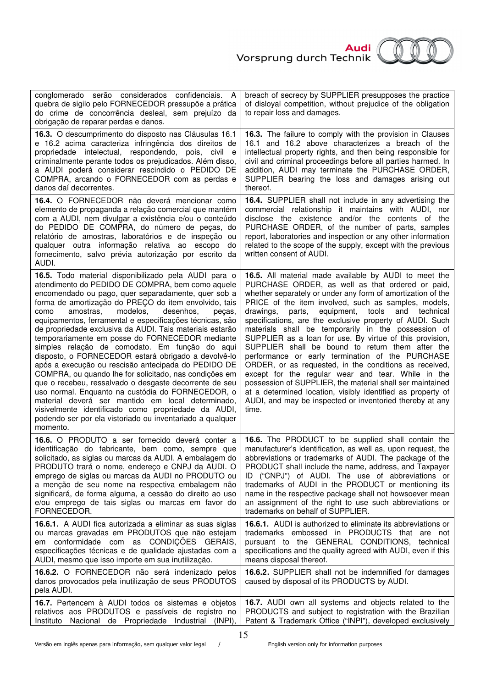

| conglomerado serão considerados confidenciais. A<br>quebra de sigilo pelo FORNECEDOR pressupõe a prática<br>do crime de concorrência desleal, sem prejuízo da<br>obrigação de reparar perdas e danos.                                                                                                                                                                                                                                                                                                                                                                                                                                                                                                                                                                                                                                                                                                                                                                                     | breach of secrecy by SUPPLIER presupposes the practice<br>of disloyal competition, without prejudice of the obligation<br>to repair loss and damages.                                                                                                                                                                                                                                                                                                                                                                                                                                                                                                                                                                                                                                                                                                                                                      |
|-------------------------------------------------------------------------------------------------------------------------------------------------------------------------------------------------------------------------------------------------------------------------------------------------------------------------------------------------------------------------------------------------------------------------------------------------------------------------------------------------------------------------------------------------------------------------------------------------------------------------------------------------------------------------------------------------------------------------------------------------------------------------------------------------------------------------------------------------------------------------------------------------------------------------------------------------------------------------------------------|------------------------------------------------------------------------------------------------------------------------------------------------------------------------------------------------------------------------------------------------------------------------------------------------------------------------------------------------------------------------------------------------------------------------------------------------------------------------------------------------------------------------------------------------------------------------------------------------------------------------------------------------------------------------------------------------------------------------------------------------------------------------------------------------------------------------------------------------------------------------------------------------------------|
| 16.3. O descumprimento do disposto nas Cláusulas 16.1                                                                                                                                                                                                                                                                                                                                                                                                                                                                                                                                                                                                                                                                                                                                                                                                                                                                                                                                     | 16.3. The failure to comply with the provision in Clauses                                                                                                                                                                                                                                                                                                                                                                                                                                                                                                                                                                                                                                                                                                                                                                                                                                                  |
| e 16.2 acima caracteriza infringência dos direitos de                                                                                                                                                                                                                                                                                                                                                                                                                                                                                                                                                                                                                                                                                                                                                                                                                                                                                                                                     | 16.1 and 16.2 above characterizes a breach of the                                                                                                                                                                                                                                                                                                                                                                                                                                                                                                                                                                                                                                                                                                                                                                                                                                                          |
| propriedade intelectual, respondendo, pois, civil e                                                                                                                                                                                                                                                                                                                                                                                                                                                                                                                                                                                                                                                                                                                                                                                                                                                                                                                                       | intellectual property rights, and then being responsible for                                                                                                                                                                                                                                                                                                                                                                                                                                                                                                                                                                                                                                                                                                                                                                                                                                               |
| criminalmente perante todos os prejudicados. Além disso,                                                                                                                                                                                                                                                                                                                                                                                                                                                                                                                                                                                                                                                                                                                                                                                                                                                                                                                                  | civil and criminal proceedings before all parties harmed. In                                                                                                                                                                                                                                                                                                                                                                                                                                                                                                                                                                                                                                                                                                                                                                                                                                               |
| a AUDI poderá considerar rescindido o PEDIDO DE                                                                                                                                                                                                                                                                                                                                                                                                                                                                                                                                                                                                                                                                                                                                                                                                                                                                                                                                           | addition, AUDI may terminate the PURCHASE ORDER,                                                                                                                                                                                                                                                                                                                                                                                                                                                                                                                                                                                                                                                                                                                                                                                                                                                           |
| COMPRA, arcando o FORNECEDOR com as perdas e                                                                                                                                                                                                                                                                                                                                                                                                                                                                                                                                                                                                                                                                                                                                                                                                                                                                                                                                              | SUPPLIER bearing the loss and damages arising out                                                                                                                                                                                                                                                                                                                                                                                                                                                                                                                                                                                                                                                                                                                                                                                                                                                          |
| danos daí decorrentes.                                                                                                                                                                                                                                                                                                                                                                                                                                                                                                                                                                                                                                                                                                                                                                                                                                                                                                                                                                    | thereof.                                                                                                                                                                                                                                                                                                                                                                                                                                                                                                                                                                                                                                                                                                                                                                                                                                                                                                   |
| 16.4. O FORNECEDOR não deverá mencionar como<br>elemento de propaganda a relação comercial que mantém<br>com a AUDI, nem divulgar a existência e/ou o conteúdo<br>do PEDIDO DE COMPRA, do número de peças, do<br>relatório de amostras, laboratórios e de inspeção ou<br>qualquer outra informação relativa ao escopo<br>do<br>fornecimento, salvo prévia autorização por escrito da<br>AUDI.                                                                                                                                                                                                                                                                                                                                                                                                                                                                                                                                                                                             | 16.4. SUPPLIER shall not include in any advertising the<br>commercial relationship it maintains with AUDI, nor<br>disclose the existence and/or the contents of the<br>PURCHASE ORDER, of the number of parts, samples<br>report, laboratories and inspection or any other information<br>related to the scope of the supply, except with the previous<br>written consent of AUDI.                                                                                                                                                                                                                                                                                                                                                                                                                                                                                                                         |
| 16.5. Todo material disponibilizado pela AUDI para o<br>atendimento do PEDIDO DE COMPRA, bem como aquele<br>encomendado ou pago, quer separadamente, quer sob a<br>forma de amortização do PREÇO do item envolvido, tais<br>modelos,<br>desenhos,<br>amostras.<br>como<br>pecas,<br>equipamentos, ferramental e especificações técnicas, são<br>de propriedade exclusiva da AUDI. Tais materiais estarão<br>temporariamente em posse do FORNECEDOR mediante<br>simples relação de comodato. Em função do aqui<br>disposto, o FORNECEDOR estará obrigado a devolvê-lo<br>após a execução ou rescisão antecipada do PEDIDO DE<br>COMPRA, ou quando lhe for solicitado, nas condições em<br>que o recebeu, ressalvado o desgaste decorrente de seu<br>uso normal. Enquanto na custódia do FORNECEDOR, o<br>material deverá ser mantido em local determinado,<br>visivelmente identificado como propriedade da AUDI,<br>podendo ser por ela vistoriado ou inventariado a qualquer<br>momento. | 16.5. All material made available by AUDI to meet the<br>PURCHASE ORDER, as well as that ordered or paid,<br>whether separately or under any form of amortization of the<br>PRICE of the item involved, such as samples, models,<br>equipment,<br>tools<br>technical<br>drawings,<br>parts,<br>and<br>specifications, are the exclusive property of AUDI. Such<br>materials shall be temporarily in the possession of<br>SUPPLIER as a loan for use. By virtue of this provision,<br>SUPPLIER shall be bound to return them after the<br>performance or early termination of the PURCHASE<br>ORDER, or as requested, in the conditions as received,<br>except for the regular wear and tear. While in the<br>possession of SUPPLIER, the material shall ser maintained<br>at a determined location, visibly identified as property of<br>AUDI, and may be inspected or inventoried thereby at any<br>time. |
| 16.6. O PRODUTO a ser fornecido deverá conter a                                                                                                                                                                                                                                                                                                                                                                                                                                                                                                                                                                                                                                                                                                                                                                                                                                                                                                                                           | 16.6. The PRODUCT to be supplied shall contain the                                                                                                                                                                                                                                                                                                                                                                                                                                                                                                                                                                                                                                                                                                                                                                                                                                                         |
| identificação do fabricante, bem como, sempre que                                                                                                                                                                                                                                                                                                                                                                                                                                                                                                                                                                                                                                                                                                                                                                                                                                                                                                                                         | manufacturer's identification, as well as, upon request, the                                                                                                                                                                                                                                                                                                                                                                                                                                                                                                                                                                                                                                                                                                                                                                                                                                               |
| solicitado, as siglas ou marcas da AUDI. A embalagem do                                                                                                                                                                                                                                                                                                                                                                                                                                                                                                                                                                                                                                                                                                                                                                                                                                                                                                                                   | abbreviations or trademarks of AUDI. The package of the                                                                                                                                                                                                                                                                                                                                                                                                                                                                                                                                                                                                                                                                                                                                                                                                                                                    |
| PRODUTO trará o nome, endereço e CNPJ da AUDI. O                                                                                                                                                                                                                                                                                                                                                                                                                                                                                                                                                                                                                                                                                                                                                                                                                                                                                                                                          | PRODUCT shall include the name, address, and Taxpayer                                                                                                                                                                                                                                                                                                                                                                                                                                                                                                                                                                                                                                                                                                                                                                                                                                                      |
| emprego de siglas ou marcas da AUDI no PRODUTO ou                                                                                                                                                                                                                                                                                                                                                                                                                                                                                                                                                                                                                                                                                                                                                                                                                                                                                                                                         | ID ("CNPJ") of AUDI. The use of abbreviations or                                                                                                                                                                                                                                                                                                                                                                                                                                                                                                                                                                                                                                                                                                                                                                                                                                                           |
| a menção de seu nome na respectiva embalagem não                                                                                                                                                                                                                                                                                                                                                                                                                                                                                                                                                                                                                                                                                                                                                                                                                                                                                                                                          | trademarks of AUDI in the PRODUCT or mentioning its                                                                                                                                                                                                                                                                                                                                                                                                                                                                                                                                                                                                                                                                                                                                                                                                                                                        |
| significará, de forma alguma, a cessão do direito ao uso                                                                                                                                                                                                                                                                                                                                                                                                                                                                                                                                                                                                                                                                                                                                                                                                                                                                                                                                  | name in the respective package shall not howsoever mean                                                                                                                                                                                                                                                                                                                                                                                                                                                                                                                                                                                                                                                                                                                                                                                                                                                    |
| e/ou emprego de tais siglas ou marcas em favor do                                                                                                                                                                                                                                                                                                                                                                                                                                                                                                                                                                                                                                                                                                                                                                                                                                                                                                                                         | an assignment of the right to use such abbreviations or                                                                                                                                                                                                                                                                                                                                                                                                                                                                                                                                                                                                                                                                                                                                                                                                                                                    |
| FORNECEDOR.                                                                                                                                                                                                                                                                                                                                                                                                                                                                                                                                                                                                                                                                                                                                                                                                                                                                                                                                                                               | trademarks on behalf of SUPPLIER.                                                                                                                                                                                                                                                                                                                                                                                                                                                                                                                                                                                                                                                                                                                                                                                                                                                                          |
| 16.6.1. A AUDI fica autorizada a eliminar as suas siglas                                                                                                                                                                                                                                                                                                                                                                                                                                                                                                                                                                                                                                                                                                                                                                                                                                                                                                                                  | <b>16.6.1.</b> AUDI is authorized to eliminate its abbreviations or                                                                                                                                                                                                                                                                                                                                                                                                                                                                                                                                                                                                                                                                                                                                                                                                                                        |
| ou marcas gravadas em PRODUTOS que não estejam                                                                                                                                                                                                                                                                                                                                                                                                                                                                                                                                                                                                                                                                                                                                                                                                                                                                                                                                            | trademarks embossed in PRODUCTS that are not                                                                                                                                                                                                                                                                                                                                                                                                                                                                                                                                                                                                                                                                                                                                                                                                                                                               |
| em conformidade com as CONDIÇÕES GERAIS,                                                                                                                                                                                                                                                                                                                                                                                                                                                                                                                                                                                                                                                                                                                                                                                                                                                                                                                                                  | pursuant to the GENERAL CONDITIONS, technical                                                                                                                                                                                                                                                                                                                                                                                                                                                                                                                                                                                                                                                                                                                                                                                                                                                              |
| especificações técnicas e de qualidade ajustadas com a                                                                                                                                                                                                                                                                                                                                                                                                                                                                                                                                                                                                                                                                                                                                                                                                                                                                                                                                    | specifications and the quality agreed with AUDI, even if this                                                                                                                                                                                                                                                                                                                                                                                                                                                                                                                                                                                                                                                                                                                                                                                                                                              |
| AUDI, mesmo que isso importe em sua inutilização.                                                                                                                                                                                                                                                                                                                                                                                                                                                                                                                                                                                                                                                                                                                                                                                                                                                                                                                                         | means disposal thereof.                                                                                                                                                                                                                                                                                                                                                                                                                                                                                                                                                                                                                                                                                                                                                                                                                                                                                    |
| 16.6.2. O FORNECEDOR não será indenizado pelos<br>danos provocados pela inutilização de seus PRODUTOS<br>pela AUDI.                                                                                                                                                                                                                                                                                                                                                                                                                                                                                                                                                                                                                                                                                                                                                                                                                                                                       | 16.6.2. SUPPLIER shall not be indemnified for damages<br>caused by disposal of its PRODUCTS by AUDI.                                                                                                                                                                                                                                                                                                                                                                                                                                                                                                                                                                                                                                                                                                                                                                                                       |
| 16.7. Pertencem à AUDI todos os sistemas e objetos                                                                                                                                                                                                                                                                                                                                                                                                                                                                                                                                                                                                                                                                                                                                                                                                                                                                                                                                        | 16.7. AUDI own all systems and objects related to the                                                                                                                                                                                                                                                                                                                                                                                                                                                                                                                                                                                                                                                                                                                                                                                                                                                      |
| relativos aos PRODUTOS e passíveis de registro no                                                                                                                                                                                                                                                                                                                                                                                                                                                                                                                                                                                                                                                                                                                                                                                                                                                                                                                                         | PRODUCTS and subject to registration with the Brazilian                                                                                                                                                                                                                                                                                                                                                                                                                                                                                                                                                                                                                                                                                                                                                                                                                                                    |
| Instituto Nacional de Propriedade Industrial (INPI),                                                                                                                                                                                                                                                                                                                                                                                                                                                                                                                                                                                                                                                                                                                                                                                                                                                                                                                                      | Patent & Trademark Office ("INPI"), developed exclusively                                                                                                                                                                                                                                                                                                                                                                                                                                                                                                                                                                                                                                                                                                                                                                                                                                                  |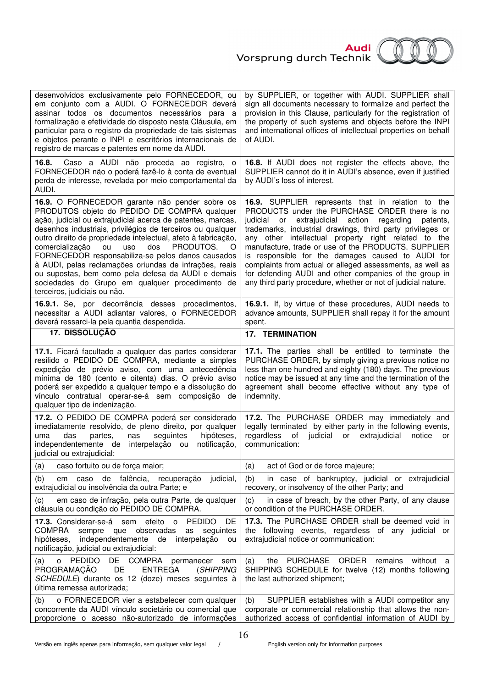



| desenvolvidos exclusivamente pelo FORNECEDOR, ou<br>em conjunto com a AUDI. O FORNECEDOR deverá<br>assinar todos os documentos necessários para a<br>formalização e efetividade do disposto nesta Cláusula, em<br>particular para o registro da propriedade de tais sistemas<br>e objetos perante o INPI e escritórios internacionais de<br>registro de marcas e patentes em nome da AUDI.                                                                                                                                                                                                                    | by SUPPLIER, or together with AUDI. SUPPLIER shall<br>sign all documents necessary to formalize and perfect the<br>provision in this Clause, particularly for the registration of<br>the property of such systems and objects before the INPI<br>and international offices of intellectual properties on behalf<br>of AUDI.                                                                                                                                                                                                                                                                         |
|---------------------------------------------------------------------------------------------------------------------------------------------------------------------------------------------------------------------------------------------------------------------------------------------------------------------------------------------------------------------------------------------------------------------------------------------------------------------------------------------------------------------------------------------------------------------------------------------------------------|-----------------------------------------------------------------------------------------------------------------------------------------------------------------------------------------------------------------------------------------------------------------------------------------------------------------------------------------------------------------------------------------------------------------------------------------------------------------------------------------------------------------------------------------------------------------------------------------------------|
| 16.8.<br>Caso a AUDI não proceda ao registro, o<br>FORNECEDOR não o poderá fazê-lo à conta de eventual<br>perda de interesse, revelada por meio comportamental da<br>AUDI.                                                                                                                                                                                                                                                                                                                                                                                                                                    | 16.8. If AUDI does not register the effects above, the<br>SUPPLIER cannot do it in AUDI's absence, even if justified<br>by AUDI's loss of interest.                                                                                                                                                                                                                                                                                                                                                                                                                                                 |
| 16.9. O FORNECEDOR garante não pender sobre os<br>PRODUTOS objeto do PEDIDO DE COMPRA qualquer<br>ação, judicial ou extrajudicial acerca de patentes, marcas,<br>desenhos industriais, privilégios de terceiros ou qualquer<br>outro direito de propriedade intelectual, afeto à fabricação,<br>comercialização<br>dos<br>PRODUTOS.<br>ou<br>uso<br>Ő<br>FORNECEDOR responsabiliza-se pelos danos causados<br>à AUDI, pelas reclamações oriundas de infrações, reais<br>ou supostas, bem como pela defesa da AUDI e demais<br>sociedades do Grupo em qualquer procedimento de<br>terceiros, judiciais ou não. | <b>16.9.</b> SUPPLIER represents that in relation to the<br>PRODUCTS under the PURCHASE ORDER there is no<br>extrajudicial action<br>judicial or<br>regarding<br>patents,<br>trademarks, industrial drawings, third party privileges or<br>any other intellectual property right related to the<br>manufacture, trade or use of the PRODUCTS. SUPPLIER<br>is responsible for the damages caused to AUDI for<br>complaints from actual or alleged assessments, as well as<br>for defending AUDI and other companies of the group in<br>any third party procedure, whether or not of judicial nature. |
| 16.9.1. Se, por decorrência desses procedimentos,<br>necessitar a AUDI adiantar valores, o FORNECEDOR<br>deverá ressarci-la pela quantia despendida.                                                                                                                                                                                                                                                                                                                                                                                                                                                          | 16.9.1. If, by virtue of these procedures, AUDI needs to<br>advance amounts, SUPPLIER shall repay it for the amount<br>spent.                                                                                                                                                                                                                                                                                                                                                                                                                                                                       |
| 17. DISSOLUÇÃO                                                                                                                                                                                                                                                                                                                                                                                                                                                                                                                                                                                                | <b>17. TERMINATION</b>                                                                                                                                                                                                                                                                                                                                                                                                                                                                                                                                                                              |
| 17.1. Ficará facultado a qualquer das partes considerar<br>resilido o PEDIDO DE COMPRA, mediante a simples<br>expedição de prévio aviso, com uma antecedência<br>mínima de 180 (cento e oitenta) dias. O prévio aviso<br>poderá ser expedido a qualquer tempo e a dissolução do<br>vínculo contratual operar-se-á sem composição de<br>qualquer tipo de indenização.                                                                                                                                                                                                                                          | 17.1. The parties shall be entitled to terminate the<br>PURCHASE ORDER, by simply giving a previous notice no<br>less than one hundred and eighty (180) days. The previous<br>notice may be issued at any time and the termination of the<br>agreement shall become effective without any type of<br>indemnity.                                                                                                                                                                                                                                                                                     |
| 17.2. O PEDIDO DE COMPRA poderá ser considerado<br>imediatamente resolvido, de pleno direito, por qualquer<br>das<br>hipóteses,<br>uma<br>partes,<br>seguintes<br>nas<br>independentemente de<br>interpelação ou<br>notificação,<br>judicial ou extrajudicial:                                                                                                                                                                                                                                                                                                                                                | 17.2. The PURCHASE ORDER may immediately and<br>legally terminated by either party in the following events,<br>regardless<br>of<br>judicial<br>or extrajudicial<br>notice<br>or<br>communication:                                                                                                                                                                                                                                                                                                                                                                                                   |
| caso fortuito ou de força maior;<br>(a)                                                                                                                                                                                                                                                                                                                                                                                                                                                                                                                                                                       | (a)<br>act of God or de force majeure;                                                                                                                                                                                                                                                                                                                                                                                                                                                                                                                                                              |
| de<br>falência, recuperação<br>judicial,<br>(b)<br>caso<br>em<br>extrajudicial ou insolvência da outra Parte; e                                                                                                                                                                                                                                                                                                                                                                                                                                                                                               | (b)<br>in case of bankruptcy, judicial or extrajudicial<br>recovery, or insolvency of the other Party; and                                                                                                                                                                                                                                                                                                                                                                                                                                                                                          |
| em caso de infração, pela outra Parte, de qualquer<br>(c)<br>cláusula ou condição do PEDIDO DE COMPRA.                                                                                                                                                                                                                                                                                                                                                                                                                                                                                                        | in case of breach, by the other Party, of any clause<br>(c)<br>or condition of the PURCHASE ORDER.                                                                                                                                                                                                                                                                                                                                                                                                                                                                                                  |
| efeito<br><b>PEDIDO</b><br><b>17.3.</b> Considerar-se-á sem<br>DE<br>$\overline{\mathbf{0}}$<br><b>COMPRA</b><br>observadas<br>seguintes<br>sempre que<br>as<br>hipóteses,<br>independentemente de interpelação<br>ou<br>notificação, judicial ou extrajudicial:                                                                                                                                                                                                                                                                                                                                              | 17.3. The PURCHASE ORDER shall be deemed void in<br>the following events, regardless of any judicial or<br>extrajudicial notice or communication:                                                                                                                                                                                                                                                                                                                                                                                                                                                   |
| <b>PEDIDO</b><br>DE COMPRA<br>permanecer sem<br>(a)<br>o<br>PROGRAMAÇÃO<br>DE<br><b>ENTREGA</b><br>(SHIPPING<br>SCHEDULE) durante os 12 (doze) meses seguintes à<br>última remessa autorizada;                                                                                                                                                                                                                                                                                                                                                                                                                | PURCHASE ORDER<br>without a<br>remains<br>(a)<br>the<br>SHIPPING SCHEDULE for twelve (12) months following<br>the last authorized shipment;                                                                                                                                                                                                                                                                                                                                                                                                                                                         |
| o FORNECEDOR vier a estabelecer com qualquer<br>(b)<br>concorrente da AUDI vínculo societário ou comercial que<br>proporcione o acesso não-autorizado de informações                                                                                                                                                                                                                                                                                                                                                                                                                                          | (b)<br>SUPPLIER establishes with a AUDI competitor any<br>corporate or commercial relationship that allows the non-<br>authorized access of confidential information of AUDI by                                                                                                                                                                                                                                                                                                                                                                                                                     |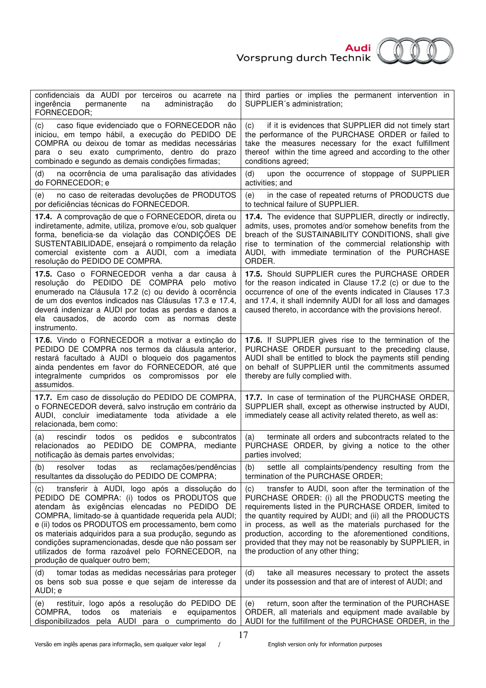

| confidenciais da AUDI por terceiros ou acarrete<br>na<br>ingerência<br>permanente<br>administração<br>na<br>do<br>FORNECEDOR;                                                                                                                                                                                                                                                                                                                                                | third parties or implies the permanent intervention in<br>SUPPLIER's administration;                                                                                                                                                                                                                                                                                                                                                                       |
|------------------------------------------------------------------------------------------------------------------------------------------------------------------------------------------------------------------------------------------------------------------------------------------------------------------------------------------------------------------------------------------------------------------------------------------------------------------------------|------------------------------------------------------------------------------------------------------------------------------------------------------------------------------------------------------------------------------------------------------------------------------------------------------------------------------------------------------------------------------------------------------------------------------------------------------------|
| caso fique evidenciado que o FORNECEDOR não<br>(c)<br>iniciou, em tempo hábil, a execução do PEDIDO DE<br>COMPRA ou deixou de tomar as medidas necessárias<br>para o seu exato cumprimento, dentro do prazo<br>combinado e segundo as demais condições firmadas;                                                                                                                                                                                                             | if it is evidences that SUPPLIER did not timely start<br>(c)<br>the performance of the PURCHASE ORDER or failed to<br>take the measures necessary for the exact fulfillment<br>thereof within the time agreed and according to the other<br>conditions agreed;                                                                                                                                                                                             |
| na ocorrência de uma paralisação das atividades<br>(d)<br>do FORNECEDOR; e                                                                                                                                                                                                                                                                                                                                                                                                   | upon the occurrence of stoppage of SUPPLIER<br>(d)<br>activities; and                                                                                                                                                                                                                                                                                                                                                                                      |
| no caso de reiteradas devoluções de PRODUTOS<br>(e)<br>por deficiências técnicas do FORNECEDOR.                                                                                                                                                                                                                                                                                                                                                                              | in the case of repeated returns of PRODUCTS due<br>(e)<br>to technical failure of SUPPLIER.                                                                                                                                                                                                                                                                                                                                                                |
| 17.4. A comprovação de que o FORNECEDOR, direta ou<br>indiretamente, admite, utiliza, promove e/ou, sob qualquer<br>forma, beneficia-se da violação das CONDIÇÕES DE<br>SUSTENTABILIDADE, ensejará o rompimento da relação<br>comercial existente com a AUDI, com a imediata<br>resolução do PEDIDO DE COMPRA.                                                                                                                                                               | 17.4. The evidence that SUPPLIER, directly or indirectly,<br>admits, uses, promotes and/or somehow benefits from the<br>breach of the SUSTAINABILITY CONDITIONS, shall give<br>rise to termination of the commercial relationship with<br>AUDI, with immediate termination of the PURCHASE<br>ORDER.                                                                                                                                                       |
| 17.5. Caso o FORNECEDOR venha a dar causa à<br>resolução do PEDIDO DE COMPRA pelo motivo<br>enumerado na Cláusula 17.2 (c) ou devido à ocorrência<br>de um dos eventos indicados nas Cláusulas 17.3 e 17.4,<br>deverá indenizar a AUDI por todas as perdas e danos a<br>ela causados, de acordo com as normas deste<br>instrumento.                                                                                                                                          | 17.5. Should SUPPLIER cures the PURCHASE ORDER<br>for the reason indicated in Clause 17.2 (c) or due to the<br>occurrence of one of the events indicated in Clauses 17.3<br>and 17.4, it shall indemnify AUDI for all loss and damages<br>caused thereto, in accordance with the provisions hereof.                                                                                                                                                        |
| 17.6. Vindo o FORNECEDOR a motivar a extinção do<br>PEDIDO DE COMPRA nos termos da cláusula anterior,<br>restará facultado à AUDI o bloqueio dos pagamentos<br>ainda pendentes em favor do FORNECEDOR, até que<br>integralmente cumpridos os compromissos por ele<br>assumidos.                                                                                                                                                                                              | 17.6. If SUPPLIER gives rise to the termination of the<br>PURCHASE ORDER pursuant to the preceding clause,<br>AUDI shall be entitled to block the payments still pending<br>on behalf of SUPPLIER until the commitments assumed<br>thereby are fully complied with.                                                                                                                                                                                        |
| 17.7. Em caso de dissolução do PEDIDO DE COMPRA,<br>o FORNECEDOR deverá, salvo instrução em contrário da<br>AUDI, concluir imediatamente toda atividade a ele<br>relacionada, bem como:                                                                                                                                                                                                                                                                                      | 17.7. In case of termination of the PURCHASE ORDER,<br>SUPPLIER shall, except as otherwise instructed by AUDI,<br>immediately cease all activity related thereto, as well as:                                                                                                                                                                                                                                                                              |
| rescindir<br>todos<br>pedidos e<br>subcontratos<br>(a)<br>os<br>relacionados ao PEDIDO DE COMPRA,<br>mediante<br>notificação às demais partes envolvidas;                                                                                                                                                                                                                                                                                                                    | terminate all orders and subcontracts related to the<br>(a)<br>PURCHASE ORDER, by giving a notice to the other<br>parties involved;                                                                                                                                                                                                                                                                                                                        |
| todas<br>resolver<br>reclamações/pendências<br>(b)<br>as<br>resultantes da dissolução do PEDIDO DE COMPRA;                                                                                                                                                                                                                                                                                                                                                                   | settle all complaints/pendency resulting from the<br>(b)<br>termination of the PURCHASE ORDER;                                                                                                                                                                                                                                                                                                                                                             |
| transferir à AUDI, logo após a dissolução do<br>(C)<br>PEDIDO DE COMPRA: (i) todos os PRODUTOS que<br>atendam às exigências elencadas no PEDIDO DE<br>COMPRA, limitado-se à quantidade requerida pela AUDI;<br>e (ii) todos os PRODUTOS em processamento, bem como<br>os materiais adquiridos para a sua produção, segundo as<br>condições supramencionadas, desde que não possam ser<br>utilizados de forma razoável pelo FORNECEDOR, na<br>produção de qualquer outro bem; | transfer to AUDI, soon after the termination of the<br>(c)<br>PURCHASE ORDER: (i) all the PRODUCTS meeting the<br>requirements listed in the PURCHASE ORDER, limited to<br>the quantity required by AUDI; and (ii) all the PRODUCTS<br>in process, as well as the materials purchased for the<br>production, according to the aforementioned conditions,<br>provided that they may not be reasonably by SUPPLIER, in<br>the production of any other thing; |
| tomar todas as medidas necessárias para proteger<br>(d)<br>os bens sob sua posse e que sejam de interesse da<br>AUDI; e                                                                                                                                                                                                                                                                                                                                                      | take all measures necessary to protect the assets<br>(d)<br>under its possession and that are of interest of AUDI; and                                                                                                                                                                                                                                                                                                                                     |
| restituir, logo após a resolução do PEDIDO DE<br>(e)<br>todos<br><b>OS</b><br>materiais e equipamentos<br>COMPRA,<br>disponibilizados pela AUDI para o cumprimento do                                                                                                                                                                                                                                                                                                        | return, soon after the termination of the PURCHASE<br>(e)<br>ORDER, all materials and equipment made available by<br>AUDI for the fulfillment of the PURCHASE ORDER, in the                                                                                                                                                                                                                                                                                |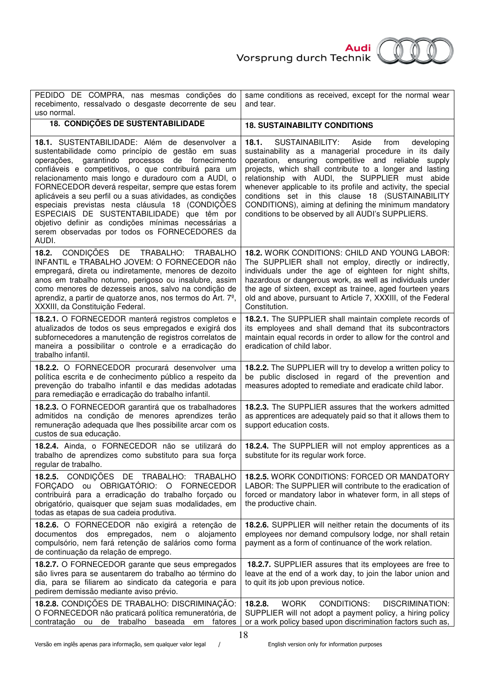<mark>Audi</mark><br>Vorsprung durch Technik



| PEDIDO DE COMPRA, nas mesmas condições do<br>recebimento, ressalvado o desgaste decorrente de seu<br>uso normal.                                                                                                                                                                                                                                                                                                                                                                                                                                                                                                | same conditions as received, except for the normal wear<br>and tear.                                                                                                                                                                                                                                                                                                                                                                                                                                                      |
|-----------------------------------------------------------------------------------------------------------------------------------------------------------------------------------------------------------------------------------------------------------------------------------------------------------------------------------------------------------------------------------------------------------------------------------------------------------------------------------------------------------------------------------------------------------------------------------------------------------------|---------------------------------------------------------------------------------------------------------------------------------------------------------------------------------------------------------------------------------------------------------------------------------------------------------------------------------------------------------------------------------------------------------------------------------------------------------------------------------------------------------------------------|
| <b>18. CONDIÇÕES DE SUSTENTABILIDADE</b>                                                                                                                                                                                                                                                                                                                                                                                                                                                                                                                                                                        | <b>18. SUSTAINABILITY CONDITIONS</b>                                                                                                                                                                                                                                                                                                                                                                                                                                                                                      |
| 18.1. SUSTENTABILIDADE: Além de desenvolver a<br>sustentabilidade como princípio de gestão em suas<br>garantindo processos de fornecimento<br>operações,<br>confiáveis e competitivos, o que contribuirá para um<br>relacionamento mais longo e duradouro com a AUDI, o<br>FORNECEDOR deverá respeitar, sempre que estas forem<br>aplicáveis a seu perfil ou a suas atividades, as condições<br>especiais previstas nesta cláusula 18 (CONDIÇÕES<br>ESPECIAIS DE SUSTENTABILIDADE) que têm por<br>objetivo definir as condições mínimas necessárias a<br>serem observadas por todos os FORNECEDORES da<br>AUDI. | SUSTAINABILITY:<br>18.1.<br>Aside<br>from<br>developing<br>sustainability as a managerial procedure in its daily<br>operation, ensuring competitive and reliable supply<br>projects, which shall contribute to a longer and lasting<br>relationship with AUDI, the SUPPLIER must abide<br>whenever applicable to its profile and activity, the special<br>conditions set in this clause 18 (SUSTAINABILITY<br>CONDITIONS), aiming at defining the minimum mandatory<br>conditions to be observed by all AUDI's SUPPLIERS. |
| CONDIÇÕES DE TRABALHO: TRABALHO<br>18.2.<br>INFANTIL e TRABALHO JOVEM: O FORNECEDOR não<br>empregará, direta ou indiretamente, menores de dezoito<br>anos em trabalho noturno, perigoso ou insalubre, assim<br>como menores de dezesseis anos, salvo na condição de<br>aprendiz, a partir de quatorze anos, nos termos do Art. 7 <sup>o</sup> ,<br>XXXIII, da Constituição Federal.                                                                                                                                                                                                                             | 18.2. WORK CONDITIONS: CHILD AND YOUNG LABOR:<br>The SUPPLIER shall not employ, directly or indirectly,<br>individuals under the age of eighteen for night shifts,<br>hazardous or dangerous work, as well as individuals under<br>the age of sixteen, except as trainee, aged fourteen years<br>old and above, pursuant to Article 7, XXXIII, of the Federal<br>Constitution.                                                                                                                                            |
| 18.2.1. O FORNECEDOR manterá registros completos e<br>atualizados de todos os seus empregados e exigirá dos<br>subfornecedores a manutenção de registros correlatos de<br>maneira a possibilitar o controle e a erradicação do<br>trabalho infantil.                                                                                                                                                                                                                                                                                                                                                            | 18.2.1. The SUPPLIER shall maintain complete records of<br>its employees and shall demand that its subcontractors<br>maintain equal records in order to allow for the control and<br>eradication of child labor.                                                                                                                                                                                                                                                                                                          |
| 18.2.2. O FORNECEDOR procurará desenvolver uma<br>política escrita e de conhecimento público a respeito da<br>prevenção do trabalho infantil e das medidas adotadas<br>para remediação e erradicação do trabalho infantil.                                                                                                                                                                                                                                                                                                                                                                                      | 18.2.2. The SUPPLIER will try to develop a written policy to<br>be public disclosed in regard of the prevention and<br>measures adopted to remediate and eradicate child labor.                                                                                                                                                                                                                                                                                                                                           |
| 18.2.3. O FORNECEDOR garantirá que os trabalhadores<br>admitidos na condição de menores aprendizes terão<br>remuneração adequada que lhes possibilite arcar com os<br>custos de sua educação.                                                                                                                                                                                                                                                                                                                                                                                                                   | 18.2.3. The SUPPLIER assures that the workers admitted<br>as apprentices are adequately paid so that it allows them to<br>support education costs.                                                                                                                                                                                                                                                                                                                                                                        |
| 18.2.4. Ainda, o FORNECEDOR não se utilizará do<br>trabalho de aprendizes como substituto para sua força<br>regular de trabalho.                                                                                                                                                                                                                                                                                                                                                                                                                                                                                | 18.2.4. The SUPPLIER will not employ apprentices as a<br>substitute for its regular work force.                                                                                                                                                                                                                                                                                                                                                                                                                           |
| 18.2.5. CONDIÇÕES DE TRABALHO: TRABALHO<br>FORÇADO ou OBRIGATÓRIO: O FORNECEDOR<br>contribuirá para a erradicação do trabalho forçado ou<br>obrigatório, quaisquer que sejam suas modalidades, em<br>todas as etapas de sua cadeia produtiva.                                                                                                                                                                                                                                                                                                                                                                   | 18.2.5. WORK CONDITIONS: FORCED OR MANDATORY<br>LABOR: The SUPPLIER will contribute to the eradication of<br>forced or mandatory labor in whatever form, in all steps of<br>the productive chain.                                                                                                                                                                                                                                                                                                                         |
| 18.2.6. O FORNECEDOR não exigirá a retenção de<br>documentos dos empregados, nem o alojamento<br>compulsório, nem fará retenção de salários como forma<br>de continuação da relação de emprego.                                                                                                                                                                                                                                                                                                                                                                                                                 | 18.2.6. SUPPLIER will neither retain the documents of its<br>employees nor demand compulsory lodge, nor shall retain<br>payment as a form of continuance of the work relation.                                                                                                                                                                                                                                                                                                                                            |
| 18.2.7. O FORNECEDOR garante que seus empregados<br>são livres para se ausentarem do trabalho ao término do<br>dia, para se filiarem ao sindicato da categoria e para<br>pedirem demissão mediante aviso prévio.                                                                                                                                                                                                                                                                                                                                                                                                | 18.2.7. SUPPLIER assures that its employees are free to<br>leave at the end of a work day, to join the labor union and<br>to quit its job upon previous notice.                                                                                                                                                                                                                                                                                                                                                           |
| 18.2.8. CONDIÇÕES DE TRABALHO: DISCRIMINAÇÃO:<br>O FORNECEDOR não praticará política remuneratória, de<br>contratação ou de trabalho baseada em<br>fatores                                                                                                                                                                                                                                                                                                                                                                                                                                                      | <b>CONDITIONS:</b><br><b>WORK</b><br><b>DISCRIMINATION:</b><br>18.2.8.<br>SUPPLIER will not adopt a payment policy, a hiring policy<br>or a work policy based upon discrimination factors such as,                                                                                                                                                                                                                                                                                                                        |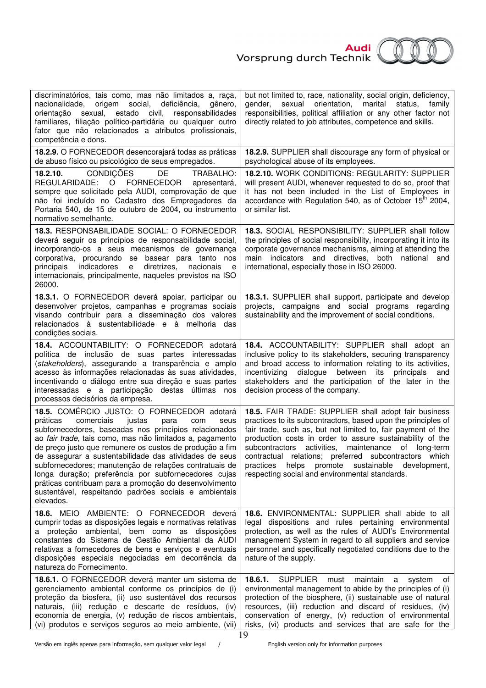

| discriminatórios, tais como, mas não limitados a, raça,<br>origem social,<br>gênero,<br>nacionalidade,<br>deficiência,<br>orientação<br>sexual,<br>estado civil,<br>responsabilidades<br>familiares, filiação político-partidária ou qualquer outro<br>fator que não relacionados a atributos profissionais,<br>competência e dons.                                                                                                                                                                                                                                                               | but not limited to, race, nationality, social origin, deficiency,<br>sexual<br>orientation, marital<br>gender,<br>status,<br>family<br>responsibilities, political affiliation or any other factor not<br>directly related to job attributes, competence and skills.                                                                                                                                                                                                           |
|---------------------------------------------------------------------------------------------------------------------------------------------------------------------------------------------------------------------------------------------------------------------------------------------------------------------------------------------------------------------------------------------------------------------------------------------------------------------------------------------------------------------------------------------------------------------------------------------------|--------------------------------------------------------------------------------------------------------------------------------------------------------------------------------------------------------------------------------------------------------------------------------------------------------------------------------------------------------------------------------------------------------------------------------------------------------------------------------|
| 18.2.9. O FORNECEDOR desencorajará todas as práticas<br>de abuso físico ou psicológico de seus empregados.                                                                                                                                                                                                                                                                                                                                                                                                                                                                                        | 18.2.9. SUPPLIER shall discourage any form of physical or<br>psychological abuse of its employees.                                                                                                                                                                                                                                                                                                                                                                             |
| <b>CONDIÇÕES</b><br>DE<br>18.2.10.<br>TRABALHO:<br>REGULARIDADE: O FORNECEDOR<br>apresentará,<br>sempre que solicitado pela AUDI, comprovação de que<br>não foi incluído no Cadastro dos Empregadores da<br>Portaria 540, de 15 de outubro de 2004, ou instrumento<br>normativo semelhante.                                                                                                                                                                                                                                                                                                       | 18.2.10. WORK CONDITIONS: REGULARITY: SUPPLIER<br>will present AUDI, whenever requested to do so, proof that<br>it has not been included in the List of Employees in<br>accordance with Regulation 540, as of October 15 <sup>th</sup> 2004,<br>or similar list.                                                                                                                                                                                                               |
| 18.3. RESPONSABILIDADE SOCIAL: O FORNECEDOR<br>deverá seguir os princípios de responsabilidade social,<br>incorporando-os a seus mecanismos de governança<br>corporativa, procurando se basear para tanto nos<br>indicadores<br>diretrizes,<br>principais<br>e<br>nacionais<br>e<br>internacionais, principalmente, naqueles previstos na ISO<br>26000.                                                                                                                                                                                                                                           | 18.3. SOCIAL RESPONSIBILITY: SUPPLIER shall follow<br>the principles of social responsibility, incorporating it into its<br>corporate governance mechanisms, aiming at attending the<br>main indicators and directives, both national and<br>international, especially those in ISO 26000.                                                                                                                                                                                     |
| 18.3.1. O FORNECEDOR deverá apoiar, participar ou<br>desenvolver projetos, campanhas e programas sociais<br>visando contribuir para a disseminação dos valores<br>relacionados à sustentabilidade e à melhoria das<br>condições sociais.                                                                                                                                                                                                                                                                                                                                                          | 18.3.1. SUPPLIER shall support, participate and develop<br>projects, campaigns and social programs regarding<br>sustainability and the improvement of social conditions.                                                                                                                                                                                                                                                                                                       |
| 18.4. ACCOUNTABILITY: O FORNECEDOR adotará<br>política de inclusão de suas partes interessadas<br>(stakeholders), assegurando a transparência e amplo<br>acesso às informações relacionadas às suas atividades,<br>incentivando o diálogo entre sua direção e suas partes<br>interessadas e a participação destas últimas nos<br>processos decisórios da empresa.                                                                                                                                                                                                                                 | 18.4. ACCOUNTABILITY: SUPPLIER shall adopt an<br>inclusive policy to its stakeholders, securing transparency<br>and broad access to information relating to its activities,<br>incentivizing<br>dialogue<br>between<br>its<br>principals<br>and<br>stakeholders and the participation of the later in the<br>decision process of the company.                                                                                                                                  |
| 18.5. COMÉRCIO JUSTO: O FORNECEDOR adotará<br>práticas<br>comerciais<br>justas<br>para<br>com<br>seus<br>subfornecedores, baseadas nos princípios relacionados<br>ao fair trade, tais como, mas não limitados a, pagamento<br>de preço justo que remunere os custos de produção a fim<br>de assegurar a sustentabilidade das atividades de seus<br>subfornecedores; manutenção de relações contratuais de<br>longa duração; preferência por subfornecedores cujas<br>práticas contribuam para a promoção do desenvolvimento<br>sustentável, respeitando padrões sociais e ambientais<br>elevados. | 18.5. FAIR TRADE: SUPPLIER shall adopt fair business<br>practices to its subcontractors, based upon the principles of<br>fair trade, such as, but not limited to, fair payment of the<br>production costs in order to assure sustainability of the<br>subcontractors activities, maintenance of long-term<br>contractual relations; preferred subcontractors which<br>practices helps promote<br>sustainable<br>development,<br>respecting social and environmental standards. |
| 18.6. MEIO AMBIENTE: O FORNECEDOR deverá<br>cumprir todas as disposições legais e normativas relativas<br>a proteção ambiental, bem como as disposições<br>constantes do Sistema de Gestão Ambiental da AUDI<br>relativas a fornecedores de bens e serviços e eventuais<br>disposições especiais negociadas em decorrência da<br>natureza do Fornecimento.                                                                                                                                                                                                                                        | 18.6. ENVIRONMENTAL: SUPPLIER shall abide to all<br>legal dispositions and rules pertaining environmental<br>protection, as well as the rules of AUDI's Environmental<br>management System in regard to all suppliers and service<br>personnel and specifically negotiated conditions due to the<br>nature of the supply.                                                                                                                                                      |
| 18.6.1. O FORNECEDOR deverá manter um sistema de<br>gerenciamento ambiental conforme os princípios de (i)<br>proteção da biosfera, (ii) uso sustentável dos recursos<br>naturais, (iii) redução e descarte de resíduos, (iv)<br>economia de energia, (v) redução de riscos ambientais,<br>(vi) produtos e serviços seguros ao meio ambiente, (vii)                                                                                                                                                                                                                                                | 18.6.1.<br><b>SUPPLIER</b><br>maintain<br>must<br>system<br>a<br>0t<br>environmental management to abide by the principles of (i)<br>protection of the biosphere, (ii) sustainable use of natural<br>resources, (iii) reduction and discard of residues, (iv)<br>conservation of energy, (v) reduction of environmental<br>risks, (vi) products and services that are safe for the<br>1 <sub>0</sub>                                                                           |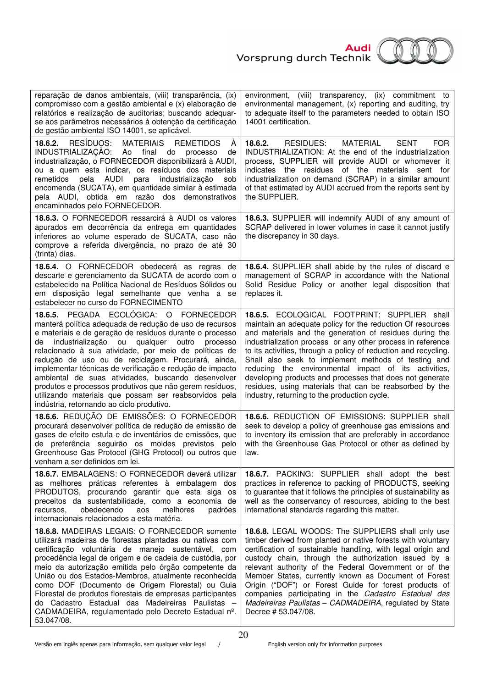

| reparação de danos ambientais, (viii) transparência, (ix)<br>compromisso com a gestão ambiental e (x) elaboração de<br>relatórios e realização de auditorias; buscando adequar-<br>se aos parâmetros necessários à obtenção da certificação<br>de gestão ambiental ISO 14001, se aplicável.                                                                                                                                                                                                                                                                                                                         | (viii) transparency, (ix) commitment to<br>environment,<br>environmental management, (x) reporting and auditing, try<br>to adequate itself to the parameters needed to obtain ISO<br>14001 certification.                                                                                                                                                                                                                                                                                                                                                                                     |
|---------------------------------------------------------------------------------------------------------------------------------------------------------------------------------------------------------------------------------------------------------------------------------------------------------------------------------------------------------------------------------------------------------------------------------------------------------------------------------------------------------------------------------------------------------------------------------------------------------------------|-----------------------------------------------------------------------------------------------------------------------------------------------------------------------------------------------------------------------------------------------------------------------------------------------------------------------------------------------------------------------------------------------------------------------------------------------------------------------------------------------------------------------------------------------------------------------------------------------|
| 18.6.2. RESÍDUOS:<br><b>MATERIAIS</b><br><b>REMETIDOS</b><br>A<br>INDUSTRIALIZAÇÃO: Ao final<br>do<br>processo<br>de<br>industrialização, o FORNECEDOR disponibilizará à AUDI,<br>ou a quem esta indicar, os resíduos dos materiais<br>pela<br>AUDI<br>industrialização<br>remetidos<br>para<br>sob<br>encomenda (SUCATA), em quantidade similar à estimada<br>pela AUDI, obtida em razão dos demonstrativos<br>encaminhados pelo FORNECEDOR.                                                                                                                                                                       | 18.6.2.<br>RESIDUES:<br>MATERIAL<br><b>SENT</b><br><b>FOR</b><br>INDUSTRIALIZATION: At the end of the industrialization<br>process, SUPPLIER will provide AUDI or whomever it<br>indicates the residues of the materials sent for<br>industrialization on demand (SCRAP) in a similar amount<br>of that estimated by AUDI accrued from the reports sent by<br>the SUPPLIER.                                                                                                                                                                                                                   |
| 18.6.3. O FORNECEDOR ressarcirá à AUDI os valores<br>apurados em decorrência da entrega em quantidades<br>inferiores ao volume esperado de SUCATA, caso não<br>comprove a referida divergência, no prazo de até 30<br>(trinta) dias.                                                                                                                                                                                                                                                                                                                                                                                | 18.6.3. SUPPLIER will indemnify AUDI of any amount of<br>SCRAP delivered in lower volumes in case it cannot justify<br>the discrepancy in 30 days.                                                                                                                                                                                                                                                                                                                                                                                                                                            |
| 18.6.4. O FORNECEDOR obedecerá as regras de<br>descarte e gerenciamento da SUCATA de acordo com o<br>estabelecido na Política Nacional de Resíduos Sólidos ou<br>em disposição legal semelhante que venha a se<br>estabelecer no curso do FORNECIMENTO                                                                                                                                                                                                                                                                                                                                                              | 18.6.4. SUPPLIER shall abide by the rules of discard e<br>management of SCRAP in accordance with the National<br>Solid Residue Policy or another legal disposition that<br>replaces it.                                                                                                                                                                                                                                                                                                                                                                                                       |
| 18.6.5. PEGADA ECOLÓGICA: O FORNECEDOR<br>manterá política adequada de redução de uso de recursos<br>e materiais e de geração de resíduos durante o processo<br>industrialização ou qualquer outro processo<br>de<br>relacionado à sua atividade, por meio de políticas de<br>redução de uso ou de reciclagem. Procurará, ainda,<br>implementar técnicas de verificação e redução de impacto<br>ambiental de suas atividades, buscando desenvolver<br>produtos e processos produtivos que não gerem resíduos,<br>utilizando materiais que possam ser reabsorvidos pela<br>indústria, retornando ao ciclo produtivo. | 18.6.5. ECOLOGICAL FOOTPRINT: SUPPLIER shall<br>maintain an adequate policy for the reduction Of resources<br>and materials and the generation of residues during the<br>industrialization process or any other process in reference<br>to its activities, through a policy of reduction and recycling.<br>Shall also seek to implement methods of testing and<br>reducing the environmental impact of its activities,<br>developing products and processes that does not generate<br>residues, using materials that can be reabsorbed by the<br>industry, returning to the production cycle. |
| 18.6.6. REDUÇÃO DE EMISSÕES: O FORNECEDOR<br>procurará desenvolver política de redução de emissão de<br>gases de efeito estufa e de inventários de emissões, que<br>de preferência seguirão os moldes previstos pelo<br>Greenhouse Gas Protocol (GHG Protocol) ou outros que<br>venham a ser definidos em lei.                                                                                                                                                                                                                                                                                                      | 18.6.6. REDUCTION OF EMISSIONS: SUPPLIER shall<br>seek to develop a policy of greenhouse gas emissions and<br>to inventory its emission that are preferably in accordance<br>with the Greenhouse Gas Protocol or other as defined by<br>law.                                                                                                                                                                                                                                                                                                                                                  |
| 18.6.7. EMBALAGENS: O FORNECEDOR deverá utilizar<br>as melhores práticas referentes à embalagem dos<br>PRODUTOS, procurando garantir que esta siga os<br>preceitos da sustentabilidade, como a economia de<br>obedecendo<br>melhores<br>recursos.<br>aos<br>padrões<br>internacionais relacionados a esta matéria.                                                                                                                                                                                                                                                                                                  | <b>18.6.7.</b> PACKING: SUPPLIER shall adopt the best<br>practices in reference to packing of PRODUCTS, seeking<br>to guarantee that it follows the principles of sustainability as<br>well as the conservancy of resources, abiding to the best<br>international standards regarding this matter.                                                                                                                                                                                                                                                                                            |
| 18.6.8. MADEIRAS LEGAIS: O FORNECEDOR somente<br>utilizará madeiras de florestas plantadas ou nativas com<br>certificação voluntária de manejo sustentável, com<br>procedência legal de origem e de cadeia de custódia, por<br>meio da autorização emitida pelo órgão competente da<br>União ou dos Estados-Membros, atualmente reconhecida<br>como DOF (Documento de Origem Florestal) ou Guia<br>Florestal de produtos florestais de empresas participantes<br>do Cadastro Estadual das Madeireiras Paulistas -<br>CADMADEIRA, regulamentado pelo Decreto Estadual nº.<br>53.047/08.                              | 18.6.8. LEGAL WOODS: The SUPPLIERS shall only use<br>timber derived from planted or native forests with voluntary<br>certification of sustainable handling, with legal origin and<br>custody chain, through the authorization issued by a<br>relevant authority of the Federal Government or of the<br>Member States, currently known as Document of Forest<br>Origin ("DOF") or Forest Guide for forest products of<br>companies participating in the Cadastro Estadual das<br>Madeireiras Paulistas - CADMADEIRA, regulated by State<br>Decree # 53.047/08.                                 |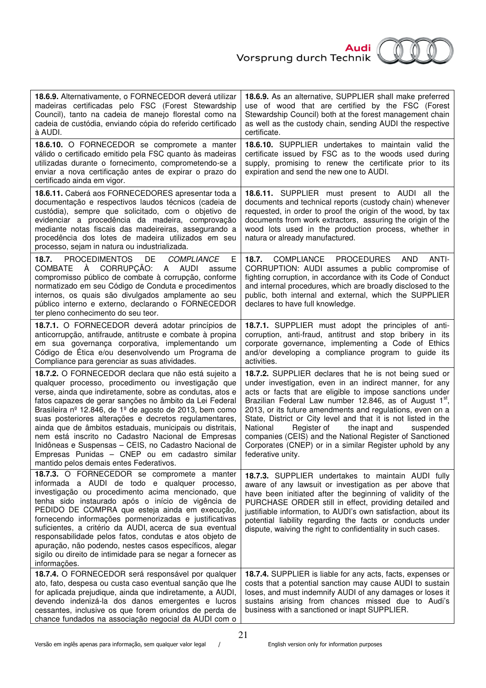

| 18.6.9. Alternativamente, o FORNECEDOR deverá utilizar<br>madeiras certificadas pelo FSC (Forest Stewardship<br>Council), tanto na cadeia de manejo florestal como na<br>cadeia de custódia, enviando cópia do referido certificado<br>à AUDI.                                                                                                                                                                                                                                                                                                                                                                                   | 18.6.9. As an alternative, SUPPLIER shall make preferred<br>use of wood that are certified by the FSC (Forest<br>Stewardship Council) both at the forest management chain<br>as well as the custody chain, sending AUDI the respective<br>certificate.                                                                                                                                                                                                                                                                                                                                      |
|----------------------------------------------------------------------------------------------------------------------------------------------------------------------------------------------------------------------------------------------------------------------------------------------------------------------------------------------------------------------------------------------------------------------------------------------------------------------------------------------------------------------------------------------------------------------------------------------------------------------------------|---------------------------------------------------------------------------------------------------------------------------------------------------------------------------------------------------------------------------------------------------------------------------------------------------------------------------------------------------------------------------------------------------------------------------------------------------------------------------------------------------------------------------------------------------------------------------------------------|
| 18.6.10. O FORNECEDOR se compromete a manter<br>válido o certificado emitido pela FSC quanto às madeiras<br>utilizadas durante o fornecimento, comprometendo-se a<br>enviar a nova certificação antes de expirar o prazo do<br>certificado ainda em vigor.                                                                                                                                                                                                                                                                                                                                                                       | <b>18.6.10.</b> SUPPLIER undertakes to maintain valid the<br>certificate issued by FSC as to the woods used during<br>supply, promising to renew the certificate prior to its<br>expiration and send the new one to AUDI.                                                                                                                                                                                                                                                                                                                                                                   |
| 18.6.11. Caberá aos FORNECEDORES apresentar toda a<br>documentação e respectivos laudos técnicos (cadeia de<br>custódia), sempre que solicitado, com o objetivo de<br>evidenciar a procedência da madeira, comprovação<br>mediante notas fiscais das madeireiras, assegurando a<br>procedência dos lotes de madeira utilizados em seu<br>processo, sejam in natura ou industrializada.                                                                                                                                                                                                                                           | <b>18.6.11.</b> SUPPLIER must present to AUDI all the<br>documents and technical reports (custody chain) whenever<br>requested, in order to proof the origin of the wood, by tax<br>documents from work extractors, assuring the origin of the<br>wood lots used in the production process, whether in<br>natura or already manufactured.                                                                                                                                                                                                                                                   |
| <b>PROCEDIMENTOS</b><br>DE<br>COMPLIANCE<br>18.7.<br>Ε<br>COMBATE<br>À CORRUPÇÃO:<br>A AUDI<br>assume<br>compromisso público de combate à corrupção, conforme<br>normatizado em seu Código de Conduta e procedimentos<br>internos, os quais são divulgados amplamente ao seu<br>público interno e externo, declarando o FORNECEDOR<br>ter pleno conhecimento do seu teor.                                                                                                                                                                                                                                                        | COMPLIANCE PROCEDURES<br><b>AND</b><br>ANTI-<br>18.7.<br>CORRUPTION: AUDI assumes a public compromise of<br>fighting corruption, in accordance with its Code of Conduct<br>and internal procedures, which are broadly disclosed to the<br>public, both internal and external, which the SUPPLIER<br>declares to have full knowledge.                                                                                                                                                                                                                                                        |
| 18.7.1. O FORNECEDOR deverá adotar princípios de<br>anticorrupção, antifraude, antitruste e combate à propina<br>em sua governança corporativa, implementando um<br>Código de Ética e/ou desenvolvendo um Programa de<br>Compliance para gerenciar as suas atividades.                                                                                                                                                                                                                                                                                                                                                           | 18.7.1. SUPPLIER must adopt the principles of anti-<br>corruption, anti-fraud, antitrust and stop bribery in its<br>corporate governance, implementing a Code of Ethics<br>and/or developing a compliance program to guide its<br>activities.                                                                                                                                                                                                                                                                                                                                               |
| 18.7.2. O FORNECEDOR declara que não está sujeito a<br>qualquer processo, procedimento ou investigação que<br>verse, ainda que indiretamente, sobre as condutas, atos e<br>fatos capazes de gerar sanções no âmbito da Lei Federal<br>Brasileira nº 12.846, de 1º de agosto de 2013, bem como<br>suas posteriores alterações e decretos regulamentares,<br>ainda que de âmbitos estaduais, municipais ou distritais,<br>nem está inscrito no Cadastro Nacional de Empresas<br>Inidôneas e Suspensas - CEIS, no Cadastro Nacional de<br>Empresas Punidas - CNEP ou em cadastro similar<br>mantido pelos demais entes Federativos. | 18.7.2. SUPPLIER declares that he is not being sued or<br>under investigation, even in an indirect manner, for any<br>acts or facts that are eligible to impose sanctions under<br>Brazilian Federal Law number 12.846, as of August 1 <sup>st</sup> ,<br>2013, or its future amendments and regulations, even on a<br>State, District or City level and that it is not listed in the<br>National<br>Register of<br>the inapt and<br>suspended<br>companies (CEIS) and the National Register of Sanctioned<br>Corporates (CNEP) or in a similar Register uphold by any<br>federative unity. |
| 18.7.3. O FORNECEDOR se compromete a manter<br>informada a AUDI de todo e qualquer processo,<br>investigação ou procedimento acima mencionado, que<br>tenha sido instaurado após o início de vigência de<br>PEDIDO DE COMPRA que esteja ainda em execução,<br>fornecendo informações pormenorizadas e justificativas<br>suficientes, a critério da AUDI, acerca de sua eventual<br>responsabilidade pelos fatos, condutas e atos objeto de<br>apuração, não podendo, nestes casos específicos, alegar<br>sigilo ou direito de intimidade para se negar a fornecer as<br>informações.                                             | 18.7.3. SUPPLIER undertakes to maintain AUDI fully<br>aware of any lawsuit or investigation as per above that<br>have been initiated after the beginning of validity of the<br>PURCHASE ORDER still in effect, providing detailed and<br>justifiable information, to AUDI's own satisfaction, about its<br>potential liability regarding the facts or conducts under<br>dispute, waiving the right to confidentiality in such cases.                                                                                                                                                        |
| 18.7.4. O FORNECEDOR será responsável por qualquer<br>ato, fato, despesa ou custa caso eventual sanção que lhe<br>for aplicada prejudique, ainda que indiretamente, a AUDI,<br>devendo indenizá-la dos danos emergentes e lucros<br>cessantes, inclusive os que forem oriundos de perda de<br>chance fundados na associação negocial da AUDI com o                                                                                                                                                                                                                                                                               | 18.7.4. SUPPLIER is liable for any acts, facts, expenses or<br>costs that a potential sanction may cause AUDI to sustain<br>loses, and must indemnify AUDI of any damages or loses it<br>sustains arising from chances missed due to Audi's<br>business with a sanctioned or inapt SUPPLIER.                                                                                                                                                                                                                                                                                                |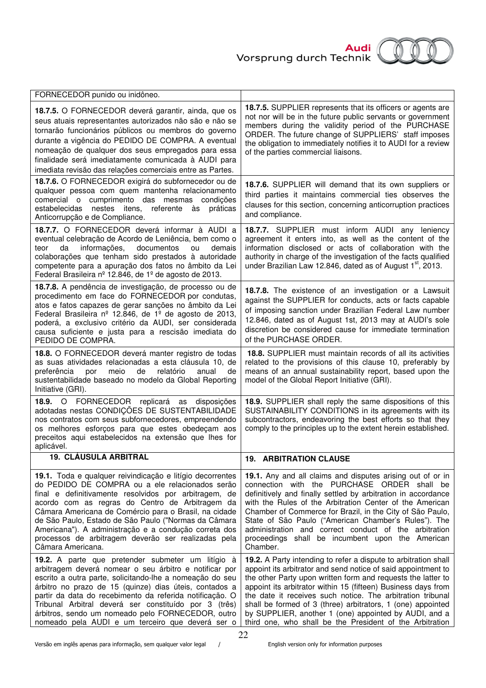

| FORNECEDOR punido ou inidôneo.                                                                                                                                                                                                                                                                                                                                                                                                                                                 |                                                                                                                                                                                                                                                                                                                                                                                                                                                                                                                     |
|--------------------------------------------------------------------------------------------------------------------------------------------------------------------------------------------------------------------------------------------------------------------------------------------------------------------------------------------------------------------------------------------------------------------------------------------------------------------------------|---------------------------------------------------------------------------------------------------------------------------------------------------------------------------------------------------------------------------------------------------------------------------------------------------------------------------------------------------------------------------------------------------------------------------------------------------------------------------------------------------------------------|
| 18.7.5. O FORNECEDOR deverá garantir, ainda, que os<br>seus atuais representantes autorizados não são e não se<br>tornarão funcionários públicos ou membros do governo<br>durante a vigência do PEDIDO DE COMPRA. A eventual<br>nomeação de qualquer dos seus empregados para essa<br>finalidade será imediatamente comunicada à AUDI para<br>imediata revisão das relações comerciais entre as Partes.                                                                        | 18.7.5. SUPPLIER represents that its officers or agents are<br>not nor will be in the future public servants or government<br>members during the validity period of the PURCHASE<br>ORDER. The future change of SUPPLIERS' staff imposes<br>the obligation to immediately notifies it to AUDI for a review<br>of the parties commercial liaisons.                                                                                                                                                                   |
| 18.7.6. O FORNECEDOR exigirá do subfornecedor ou de<br>qualquer pessoa com quem mantenha relacionamento<br>comercial o cumprimento das mesmas<br>condicões<br>estabelecidas<br>nestes itens, referente às práticas<br>Anticorrupção e de Compliance.                                                                                                                                                                                                                           | 18.7.6. SUPPLIER will demand that its own suppliers or<br>third parties it maintains commercial ties observes the<br>clauses for this section, concerning anticorruption practices<br>and compliance.                                                                                                                                                                                                                                                                                                               |
| 18.7.7. O FORNECEDOR deverá informar à AUDI a<br>eventual celebração de Acordo de Leniência, bem como o<br>informações,<br>documentos<br>da<br>ou<br>demais<br>teor<br>colaborações que tenham sido prestados à autoridade<br>competente para a apuração dos fatos no âmbito da Lei<br>Federal Brasileira nº 12.846, de 1º de agosto de 2013.                                                                                                                                  | 18.7.7. SUPPLIER must inform AUDI any leniency<br>agreement it enters into, as well as the content of the<br>information disclosed or acts of collaboration with the<br>authority in charge of the investigation of the facts qualified<br>under Brazilian Law 12.846, dated as of August 1 <sup>st</sup> , 2013.                                                                                                                                                                                                   |
| 18.7.8. A pendência de investigação, de processo ou de<br>procedimento em face do FORNECEDOR por condutas,<br>atos e fatos capazes de gerar sanções no âmbito da Lei<br>Federal Brasileira nº 12.846, de 1º de agosto de 2013,<br>poderá, a exclusivo critério da AUDI, ser considerada<br>causa suficiente e justa para a rescisão imediata do<br>PEDIDO DE COMPRA.                                                                                                           | 18.7.8. The existence of an investigation or a Lawsuit<br>against the SUPPLIER for conducts, acts or facts capable<br>of imposing sanction under Brazilian Federal Law number<br>12.846, dated as of August 1st, 2013 may at AUDI's sole<br>discretion be considered cause for immediate termination<br>of the PURCHASE ORDER.                                                                                                                                                                                      |
| 18.8. O FORNECEDOR deverá manter registro de todas<br>as suas atividades relacionadas a esta cláusula 10, de<br>preferência<br>meio<br>de<br>relatório<br>por<br>anual<br>de<br>sustentabilidade baseado no modelo da Global Reporting<br>Initiative (GRI).                                                                                                                                                                                                                    | <b>18.8.</b> SUPPLIER must maintain records of all its activities<br>related to the provisions of this clause 10, preferably by<br>means of an annual sustainability report, based upon the<br>model of the Global Report Initiative (GRI).                                                                                                                                                                                                                                                                         |
| 18.9. O FORNECEDOR replicará as disposições<br>adotadas nestas CONDIÇÕES DE SUSTENTABILIDADE<br>nos contratos com seus subfornecedores, empreendendo<br>os melhores esforços para que estes obedeçam aos<br>preceitos aqui estabelecidos na extensão que lhes for<br>aplicável.                                                                                                                                                                                                | 18.9. SUPPLIER shall reply the same dispositions of this<br>SUSTAINABILITY CONDITIONS in its agreements with its<br>subcontractors, endeavoring the best efforts so that they<br>comply to the principles up to the extent herein established.                                                                                                                                                                                                                                                                      |
| <b>19. CLÁUSULA ARBITRAL</b>                                                                                                                                                                                                                                                                                                                                                                                                                                                   | <b>19. ARBITRATION CLAUSE</b>                                                                                                                                                                                                                                                                                                                                                                                                                                                                                       |
| 19.1. Toda e qualquer reivindicação e litígio decorrentes<br>do PEDIDO DE COMPRA ou a ele relacionados serão<br>final e definitivamente resolvidos por arbitragem, de<br>acordo com as regras do Centro de Arbitragem da<br>Câmara Americana de Comércio para o Brasil, na cidade<br>de São Paulo, Estado de São Paulo ("Normas da Câmara<br>Americana"). A administração e a condução correta dos<br>processos de arbitragem deverão ser realizadas pela<br>Câmara Americana. | 19.1. Any and all claims and disputes arising out of or in<br>connection with the PURCHASE ORDER shall be<br>definitively and finally settled by arbitration in accordance<br>with the Rules of the Arbitration Center of the American<br>Chamber of Commerce for Brazil, in the City of São Paulo,<br>State of São Paulo ("American Chamber's Rules"). The<br>administration and correct conduct of the arbitration<br>proceedings shall be incumbent upon the American<br>Chamber.                                |
| 19.2. A parte que pretender submeter um litígio à<br>arbitragem deverá nomear o seu árbitro e notificar por<br>escrito a outra parte, solicitando-lhe a nomeação do seu<br>árbitro no prazo de 15 (quinze) dias úteis, contados a<br>partir da data do recebimento da referida notificação. O<br>Tribunal Arbitral deverá ser constituído por 3 (três)<br>árbitros, sendo um nomeado pelo FORNECEDOR, outro<br>nomeado pela AUDI e um terceiro que deverá ser o                | 19.2. A Party intending to refer a dispute to arbitration shall<br>appoint its arbitrator and send notice of said appointment to<br>the other Party upon written form and requests the latter to<br>appoint its arbitrator within 15 (fifteen) Business days from<br>the date it receives such notice. The arbitration tribunal<br>shall be formed of 3 (three) arbitrators, 1 (one) appointed<br>by SUPPLIER, another 1 (one) appointed by AUDI, and a<br>third one, who shall be the President of the Arbitration |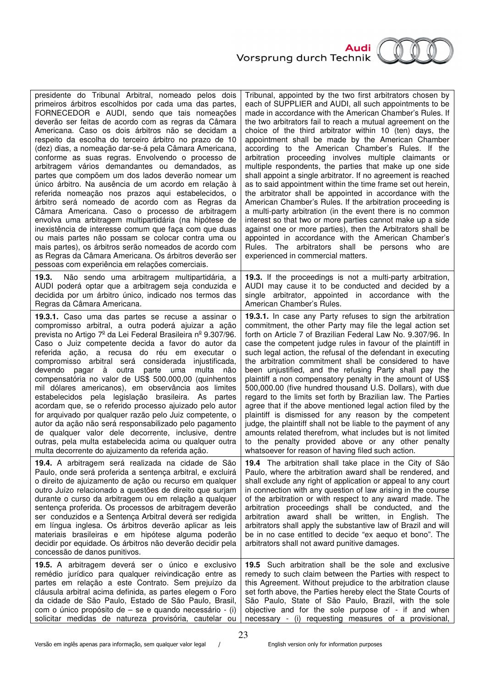

| presidente do Tribunal Arbitral, nomeado pelos dois                                                                                                                                                                                                                                                                                                                                                                                                                                                                                                                                                                                    | Tribunal, appointed by the two first arbitrators chosen by                                                                                                                                                                                                                                                                                                                                                                                                                                                                                                                                                       |
|----------------------------------------------------------------------------------------------------------------------------------------------------------------------------------------------------------------------------------------------------------------------------------------------------------------------------------------------------------------------------------------------------------------------------------------------------------------------------------------------------------------------------------------------------------------------------------------------------------------------------------------|------------------------------------------------------------------------------------------------------------------------------------------------------------------------------------------------------------------------------------------------------------------------------------------------------------------------------------------------------------------------------------------------------------------------------------------------------------------------------------------------------------------------------------------------------------------------------------------------------------------|
| primeiros árbitros escolhidos por cada uma das partes,                                                                                                                                                                                                                                                                                                                                                                                                                                                                                                                                                                                 | each of SUPPLIER and AUDI, all such appointments to be                                                                                                                                                                                                                                                                                                                                                                                                                                                                                                                                                           |
| FORNECEDOR e AUDI, sendo que tais nomeações                                                                                                                                                                                                                                                                                                                                                                                                                                                                                                                                                                                            | made in accordance with the American Chamber's Rules. If                                                                                                                                                                                                                                                                                                                                                                                                                                                                                                                                                         |
| deverão ser feitas de acordo com as regras da Câmara                                                                                                                                                                                                                                                                                                                                                                                                                                                                                                                                                                                   | the two arbitrators fail to reach a mutual agreement on the                                                                                                                                                                                                                                                                                                                                                                                                                                                                                                                                                      |
| Americana. Caso os dois árbitros não se decidam a                                                                                                                                                                                                                                                                                                                                                                                                                                                                                                                                                                                      | choice of the third arbitrator within 10 (ten) days, the                                                                                                                                                                                                                                                                                                                                                                                                                                                                                                                                                         |
| respeito da escolha do terceiro árbitro no prazo de 10                                                                                                                                                                                                                                                                                                                                                                                                                                                                                                                                                                                 | appointment shall be made by the American Chamber                                                                                                                                                                                                                                                                                                                                                                                                                                                                                                                                                                |
| (dez) dias, a nomeação dar-se-á pela Câmara Americana,                                                                                                                                                                                                                                                                                                                                                                                                                                                                                                                                                                                 | according to the American Chamber's Rules. If the                                                                                                                                                                                                                                                                                                                                                                                                                                                                                                                                                                |
| conforme as suas regras. Envolvendo o processo de                                                                                                                                                                                                                                                                                                                                                                                                                                                                                                                                                                                      | arbitration proceeding involves multiple claimants or                                                                                                                                                                                                                                                                                                                                                                                                                                                                                                                                                            |
| arbitragem vários demandantes ou demandados, as                                                                                                                                                                                                                                                                                                                                                                                                                                                                                                                                                                                        | multiple respondents, the parties that make up one side                                                                                                                                                                                                                                                                                                                                                                                                                                                                                                                                                          |
| partes que compõem um dos lados deverão nomear um                                                                                                                                                                                                                                                                                                                                                                                                                                                                                                                                                                                      | shall appoint a single arbitrator. If no agreement is reached                                                                                                                                                                                                                                                                                                                                                                                                                                                                                                                                                    |
| único árbitro. Na ausência de um acordo em relação à                                                                                                                                                                                                                                                                                                                                                                                                                                                                                                                                                                                   | as to said appointment within the time frame set out herein,                                                                                                                                                                                                                                                                                                                                                                                                                                                                                                                                                     |
| referida nomeação nos prazos aqui estabelecidos, o                                                                                                                                                                                                                                                                                                                                                                                                                                                                                                                                                                                     | the arbitrator shall be appointed in accordance with the                                                                                                                                                                                                                                                                                                                                                                                                                                                                                                                                                         |
| árbitro será nomeado de acordo com as Regras da                                                                                                                                                                                                                                                                                                                                                                                                                                                                                                                                                                                        | American Chamber's Rules. If the arbitration proceeding is                                                                                                                                                                                                                                                                                                                                                                                                                                                                                                                                                       |
| Câmara Americana. Caso o processo de arbitragem                                                                                                                                                                                                                                                                                                                                                                                                                                                                                                                                                                                        | a multi-party arbitration (in the event there is no common                                                                                                                                                                                                                                                                                                                                                                                                                                                                                                                                                       |
| envolva uma arbitragem multipartidária (na hipótese de                                                                                                                                                                                                                                                                                                                                                                                                                                                                                                                                                                                 | interest so that two or more parties cannot make up a side                                                                                                                                                                                                                                                                                                                                                                                                                                                                                                                                                       |
| inexistência de interesse comum que faça com que duas                                                                                                                                                                                                                                                                                                                                                                                                                                                                                                                                                                                  | against one or more parties), then the Arbitrators shall be                                                                                                                                                                                                                                                                                                                                                                                                                                                                                                                                                      |
| ou mais partes não possam se colocar contra uma ou                                                                                                                                                                                                                                                                                                                                                                                                                                                                                                                                                                                     | appointed in accordance with the American Chamber's                                                                                                                                                                                                                                                                                                                                                                                                                                                                                                                                                              |
| mais partes), os árbitros serão nomeados de acordo com                                                                                                                                                                                                                                                                                                                                                                                                                                                                                                                                                                                 | Rules. The arbitrators shall be persons who                                                                                                                                                                                                                                                                                                                                                                                                                                                                                                                                                                      |
| as Regras da Câmara Americana. Os árbitros deverão ser                                                                                                                                                                                                                                                                                                                                                                                                                                                                                                                                                                                 | are                                                                                                                                                                                                                                                                                                                                                                                                                                                                                                                                                                                                              |
| pessoas com experiência em relações comerciais.                                                                                                                                                                                                                                                                                                                                                                                                                                                                                                                                                                                        | experienced in commercial matters.                                                                                                                                                                                                                                                                                                                                                                                                                                                                                                                                                                               |
| Não sendo uma arbitragem multipartidária, a<br>19.3.<br>AUDI poderá optar que a arbitragem seja conduzida e<br>decidida por um árbitro único, indicado nos termos das<br>Regras da Câmara Americana.                                                                                                                                                                                                                                                                                                                                                                                                                                   | 19.3. If the proceedings is not a multi-party arbitration,<br>AUDI may cause it to be conducted and decided by a<br>single arbitrator, appointed in accordance with the<br>American Chamber's Rules.                                                                                                                                                                                                                                                                                                                                                                                                             |
| 19.3.1. Caso uma das partes se recuse a assinar o                                                                                                                                                                                                                                                                                                                                                                                                                                                                                                                                                                                      | 19.3.1. In case any Party refuses to sign the arbitration                                                                                                                                                                                                                                                                                                                                                                                                                                                                                                                                                        |
| compromisso arbitral, a outra poderá ajuizar a ação                                                                                                                                                                                                                                                                                                                                                                                                                                                                                                                                                                                    | commitment, the other Party may file the legal action set                                                                                                                                                                                                                                                                                                                                                                                                                                                                                                                                                        |
| prevista no Artigo 7 <sup>º</sup> da Lei Federal Brasileira nº 9.307/96.                                                                                                                                                                                                                                                                                                                                                                                                                                                                                                                                                               | forth on Article 7 of Brazilian Federal Law No. 9.307/96. In                                                                                                                                                                                                                                                                                                                                                                                                                                                                                                                                                     |
| Caso o Juiz competente decida a favor do autor da                                                                                                                                                                                                                                                                                                                                                                                                                                                                                                                                                                                      | case the competent judge rules in favour of the plaintiff in                                                                                                                                                                                                                                                                                                                                                                                                                                                                                                                                                     |
| referida ação, a recusa do réu em executar o                                                                                                                                                                                                                                                                                                                                                                                                                                                                                                                                                                                           | such legal action, the refusal of the defendant in executing                                                                                                                                                                                                                                                                                                                                                                                                                                                                                                                                                     |
| compromisso arbitral será considerada injustificada,                                                                                                                                                                                                                                                                                                                                                                                                                                                                                                                                                                                   | the arbitration commitment shall be considered to have                                                                                                                                                                                                                                                                                                                                                                                                                                                                                                                                                           |
| devendo pagar à outra parte uma multa não                                                                                                                                                                                                                                                                                                                                                                                                                                                                                                                                                                                              | been unjustified, and the refusing Party shall pay the                                                                                                                                                                                                                                                                                                                                                                                                                                                                                                                                                           |
| compensatória no valor de US\$ 500.000,00 (quinhentos                                                                                                                                                                                                                                                                                                                                                                                                                                                                                                                                                                                  | plaintiff a non compensatory penalty in the amount of US\$                                                                                                                                                                                                                                                                                                                                                                                                                                                                                                                                                       |
| mil dólares americanos), em observância aos limites                                                                                                                                                                                                                                                                                                                                                                                                                                                                                                                                                                                    | 500,000.00 (five hundred thousand U.S. Dollars), with due                                                                                                                                                                                                                                                                                                                                                                                                                                                                                                                                                        |
| estabelecidos pela legislação brasileira. As partes                                                                                                                                                                                                                                                                                                                                                                                                                                                                                                                                                                                    | regard to the limits set forth by Brazilian law. The Parties                                                                                                                                                                                                                                                                                                                                                                                                                                                                                                                                                     |
| acordam que, se o referido processo ajuizado pelo autor                                                                                                                                                                                                                                                                                                                                                                                                                                                                                                                                                                                | agree that if the above mentioned legal action filed by the                                                                                                                                                                                                                                                                                                                                                                                                                                                                                                                                                      |
| for arquivado por qualquer razão pelo Juiz competente, o                                                                                                                                                                                                                                                                                                                                                                                                                                                                                                                                                                               | plaintiff is dismissed for any reason by the competent                                                                                                                                                                                                                                                                                                                                                                                                                                                                                                                                                           |
| autor da ação não será responsabilizado pelo pagamento                                                                                                                                                                                                                                                                                                                                                                                                                                                                                                                                                                                 | judge, the plaintiff shall not be liable to the payment of any                                                                                                                                                                                                                                                                                                                                                                                                                                                                                                                                                   |
| de qualquer valor dele decorrente, inclusive, dentre                                                                                                                                                                                                                                                                                                                                                                                                                                                                                                                                                                                   | amounts related therefrom, what includes but is not limited                                                                                                                                                                                                                                                                                                                                                                                                                                                                                                                                                      |
| outras, pela multa estabelecida acima ou qualquer outra                                                                                                                                                                                                                                                                                                                                                                                                                                                                                                                                                                                | to the penalty provided above or any other penalty                                                                                                                                                                                                                                                                                                                                                                                                                                                                                                                                                               |
| multa decorrente do ajuizamento da referida ação.                                                                                                                                                                                                                                                                                                                                                                                                                                                                                                                                                                                      | whatsoever for reason of having filed such action.                                                                                                                                                                                                                                                                                                                                                                                                                                                                                                                                                               |
| 19.4. A arbitragem será realizada na cidade de São<br>Paulo, onde será proferida a sentença arbitral, e excluirá<br>o direito de ajuizamento de ação ou recurso em qualquer<br>outro Juízo relacionado a questões de direito que surjam<br>durante o curso da arbitragem ou em relação a qualquer<br>sentença proferida. Os processos de arbitragem deverão<br>ser conduzidos e a Sentença Arbitral deverá ser redigida<br>em língua inglesa. Os árbitros deverão aplicar as leis<br>materiais brasileiras e em hipótese alguma poderão<br>decidir por equidade. Os árbitros não deverão decidir pela<br>concessão de danos punitivos. | 19.4 The arbitration shall take place in the City of São<br>Paulo, where the arbitration award shall be rendered, and<br>shall exclude any right of application or appeal to any court<br>in connection with any question of law arising in the course<br>of the arbitration or with respect to any award made. The<br>arbitration proceedings shall be conducted, and the<br>arbitration award shall be written, in English. The<br>arbitrators shall apply the substantive law of Brazil and will<br>be in no case entitled to decide "ex aequo et bono". The<br>arbitrators shall not award punitive damages. |
| 19.5. A arbitragem deverá ser o único e exclusivo                                                                                                                                                                                                                                                                                                                                                                                                                                                                                                                                                                                      | 19.5 Such arbitration shall be the sole and exclusive                                                                                                                                                                                                                                                                                                                                                                                                                                                                                                                                                            |
| remédio jurídico para qualquer reivindicação entre as                                                                                                                                                                                                                                                                                                                                                                                                                                                                                                                                                                                  | remedy to such claim between the Parties with respect to                                                                                                                                                                                                                                                                                                                                                                                                                                                                                                                                                         |
| partes em relação a este Contrato. Sem prejuízo da                                                                                                                                                                                                                                                                                                                                                                                                                                                                                                                                                                                     | this Agreement. Without prejudice to the arbitration clause                                                                                                                                                                                                                                                                                                                                                                                                                                                                                                                                                      |
| cláusula arbitral acima definida, as partes elegem o Foro                                                                                                                                                                                                                                                                                                                                                                                                                                                                                                                                                                              | set forth above, the Parties hereby elect the State Courts of                                                                                                                                                                                                                                                                                                                                                                                                                                                                                                                                                    |
| da cidade de São Paulo, Estado de São Paulo, Brasil,                                                                                                                                                                                                                                                                                                                                                                                                                                                                                                                                                                                   | São Paulo, State of São Paulo, Brazil, with the sole                                                                                                                                                                                                                                                                                                                                                                                                                                                                                                                                                             |
| com o único propósito de – se e quando necessário - (i)                                                                                                                                                                                                                                                                                                                                                                                                                                                                                                                                                                                | objective and for the sole purpose of - if and when                                                                                                                                                                                                                                                                                                                                                                                                                                                                                                                                                              |
| solicitar medidas de natureza provisória, cautelar ou                                                                                                                                                                                                                                                                                                                                                                                                                                                                                                                                                                                  | necessary - (i) requesting measures of a provisional,                                                                                                                                                                                                                                                                                                                                                                                                                                                                                                                                                            |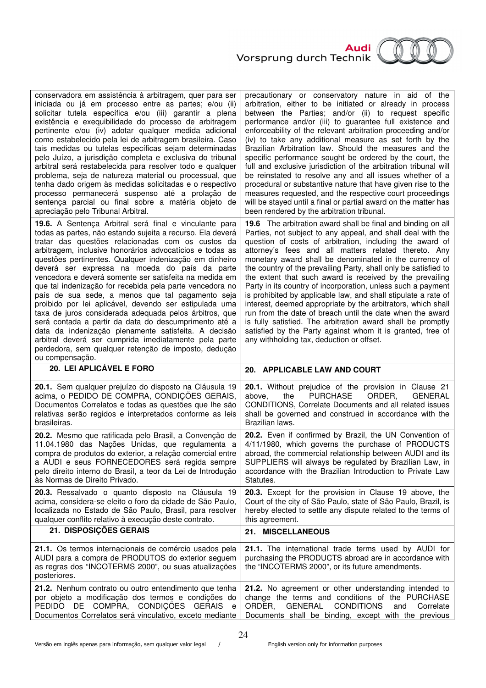

| conservadora em assistência à arbitragem, quer para ser<br>iniciada ou já em processo entre as partes; e/ou (ii)<br>solicitar tutela específica e/ou (iii) garantir a plena<br>existência e exequibilidade do processo de arbitragem<br>pertinente e/ou (iv) adotar qualquer medida adicional<br>como estabelecido pela lei de arbitragem brasileira. Caso<br>tais medidas ou tutelas específicas sejam determinadas<br>pelo Juízo, a jurisdição completa e exclusiva do tribunal<br>arbitral será restabelecida para resolver todo e qualquer<br>problema, seja de natureza material ou processual, que<br>tenha dado origem às medidas solicitadas e o respectivo<br>processo permanecerá suspenso até a prolação de<br>sentença parcial ou final sobre a matéria objeto de<br>apreciação pelo Tribunal Arbitral.                                                                                 | precautionary or conservatory nature in aid of the<br>arbitration, either to be initiated or already in process<br>between the Parties; and/or (ii) to request specific<br>performance and/or (iii) to guarantee full existence and<br>enforceability of the relevant arbitration proceeding and/or<br>(iv) to take any additional measure as set forth by the<br>Brazilian Arbitration law. Should the measures and the<br>specific performance sought be ordered by the court, the<br>full and exclusive jurisdiction of the arbitration tribunal will<br>be reinstated to resolve any and all issues whether of a<br>procedural or substantive nature that have given rise to the<br>measures requested, and the respective court proceedings<br>will be stayed until a final or partial award on the matter has<br>been rendered by the arbitration tribunal.                 |
|-----------------------------------------------------------------------------------------------------------------------------------------------------------------------------------------------------------------------------------------------------------------------------------------------------------------------------------------------------------------------------------------------------------------------------------------------------------------------------------------------------------------------------------------------------------------------------------------------------------------------------------------------------------------------------------------------------------------------------------------------------------------------------------------------------------------------------------------------------------------------------------------------------|-----------------------------------------------------------------------------------------------------------------------------------------------------------------------------------------------------------------------------------------------------------------------------------------------------------------------------------------------------------------------------------------------------------------------------------------------------------------------------------------------------------------------------------------------------------------------------------------------------------------------------------------------------------------------------------------------------------------------------------------------------------------------------------------------------------------------------------------------------------------------------------|
| 19.6. A Sentença Arbitral será final e vinculante para<br>todas as partes, não estando sujeita a recurso. Ela deverá<br>tratar das questões relacionadas com os custos da<br>arbitragem, inclusive honorários advocatícios e todas as<br>questões pertinentes. Qualquer indenização em dinheiro<br>deverá ser expressa na moeda do país da parte<br>vencedora e deverá somente ser satisfeita na medida em<br>que tal indenização for recebida pela parte vencedora no<br>país de sua sede, a menos que tal pagamento seja<br>proibido por lei aplicável, devendo ser estipulada uma<br>taxa de juros considerada adequada pelos árbitros, que<br>será contada a partir da data do descumprimento até a<br>data da indenização plenamente satisfeita. A decisão<br>arbitral deverá ser cumprida imediatamente pela parte<br>perdedora, sem qualquer retenção de imposto, dedução<br>ou compensação. | 19.6 The arbitration award shall be final and binding on all<br>Parties, not subject to any appeal, and shall deal with the<br>question of costs of arbitration, including the award of<br>attorney's fees and all matters related thereto. Any<br>monetary award shall be denominated in the currency of<br>the country of the prevailing Party, shall only be satisfied to<br>the extent that such award is received by the prevailing<br>Party in its country of incorporation, unless such a payment<br>is prohibited by applicable law, and shall stipulate a rate of<br>interest, deemed appropriate by the arbitrators, which shall<br>run from the date of breach until the date when the award<br>is fully satisfied. The arbitration award shall be promptly<br>satisfied by the Party against whom it is granted, free of<br>any withholding tax, deduction or offset. |
|                                                                                                                                                                                                                                                                                                                                                                                                                                                                                                                                                                                                                                                                                                                                                                                                                                                                                                     |                                                                                                                                                                                                                                                                                                                                                                                                                                                                                                                                                                                                                                                                                                                                                                                                                                                                                   |
| 20. LEI APLICÁVEL E FORO                                                                                                                                                                                                                                                                                                                                                                                                                                                                                                                                                                                                                                                                                                                                                                                                                                                                            | 20. APPLICABLE LAW AND COURT                                                                                                                                                                                                                                                                                                                                                                                                                                                                                                                                                                                                                                                                                                                                                                                                                                                      |
| 20.1. Sem qualquer prejuízo do disposto na Cláusula 19<br>acima, o PEDIDO DE COMPRA, CONDIÇÕES GERAIS,<br>Documentos Correlatos e todas as questões que lhe são<br>relativas serão regidos e interpretados conforme as leis<br>brasileiras.                                                                                                                                                                                                                                                                                                                                                                                                                                                                                                                                                                                                                                                         | 20.1. Without prejudice of the provision in Clause 21<br>above,<br>the<br><b>PURCHASE</b><br>ORDER,<br><b>GENERAL</b><br>CONDITIONS, Correlate Documents and all related issues<br>shall be governed and construed in accordance with the<br>Brazilian laws.                                                                                                                                                                                                                                                                                                                                                                                                                                                                                                                                                                                                                      |
| 20.2. Mesmo que ratificada pelo Brasil, a Convenção de<br>11.04.1980 das Nações Unidas, que regulamenta a<br>compra de produtos do exterior, a relação comercial entre<br>a AUDI e seus FORNECEDORES será regida sempre<br>pelo direito interno do Brasil, a teor da Lei de Introdução<br>às Normas de Direito Privado.                                                                                                                                                                                                                                                                                                                                                                                                                                                                                                                                                                             | 20.2. Even if confirmed by Brazil, the UN Convention of<br>4/11/1980, which governs the purchase of PRODUCTS<br>abroad, the commercial relationship between AUDI and its<br>SUPPLIERS will always be regulated by Brazilian Law, in<br>accordance with the Brazilian Introduction to Private Law<br>Statutes.                                                                                                                                                                                                                                                                                                                                                                                                                                                                                                                                                                     |
| 20.3. Ressalvado o quanto disposto na Cláusula 19<br>acima, considera-se eleito o foro da cidade de São Paulo,<br>localizada no Estado de São Paulo, Brasil, para resolver<br>qualquer conflito relativo à execução deste contrato.                                                                                                                                                                                                                                                                                                                                                                                                                                                                                                                                                                                                                                                                 | 20.3. Except for the provision in Clause 19 above, the<br>Court of the city of São Paulo, state of São Paulo, Brazil, is<br>hereby elected to settle any dispute related to the terms of<br>this agreement.                                                                                                                                                                                                                                                                                                                                                                                                                                                                                                                                                                                                                                                                       |
| 21. DISPOSIÇÕES GERAIS                                                                                                                                                                                                                                                                                                                                                                                                                                                                                                                                                                                                                                                                                                                                                                                                                                                                              | 21. MISCELLANEOUS                                                                                                                                                                                                                                                                                                                                                                                                                                                                                                                                                                                                                                                                                                                                                                                                                                                                 |
| 21.1. Os termos internacionais de comércio usados pela<br>AUDI para a compra de PRODUTOS do exterior seguem<br>as regras dos "INCOTERMS 2000", ou suas atualizações<br>posteriores.                                                                                                                                                                                                                                                                                                                                                                                                                                                                                                                                                                                                                                                                                                                 | 21.1. The international trade terms used by AUDI for<br>purchasing the PRODUCTS abroad are in accordance with<br>the "INCOTERMS 2000", or its future amendments.                                                                                                                                                                                                                                                                                                                                                                                                                                                                                                                                                                                                                                                                                                                  |